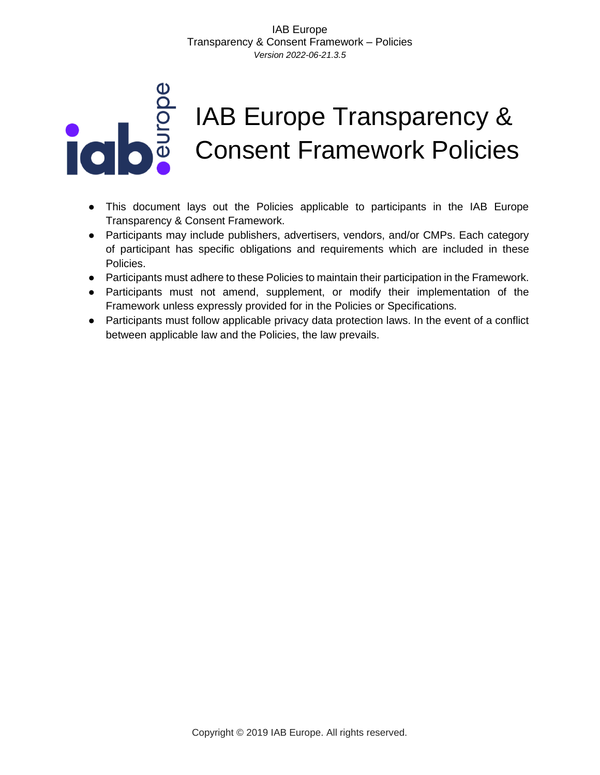# IAB Europe Transparency & Consent Framework Policies

- This document lays out the Policies applicable to participants in the IAB Europe Transparency & Consent Framework.
- Participants may include publishers, advertisers, vendors, and/or CMPs. Each category of participant has specific obligations and requirements which are included in these Policies.
- Participants must adhere to these Policies to maintain their participation in the Framework.
- Participants must not amend, supplement, or modify their implementation of the Framework unless expressly provided for in the Policies or Specifications.
- Participants must follow applicable privacy data protection laws. In the event of a conflict between applicable law and the Policies, the law prevails.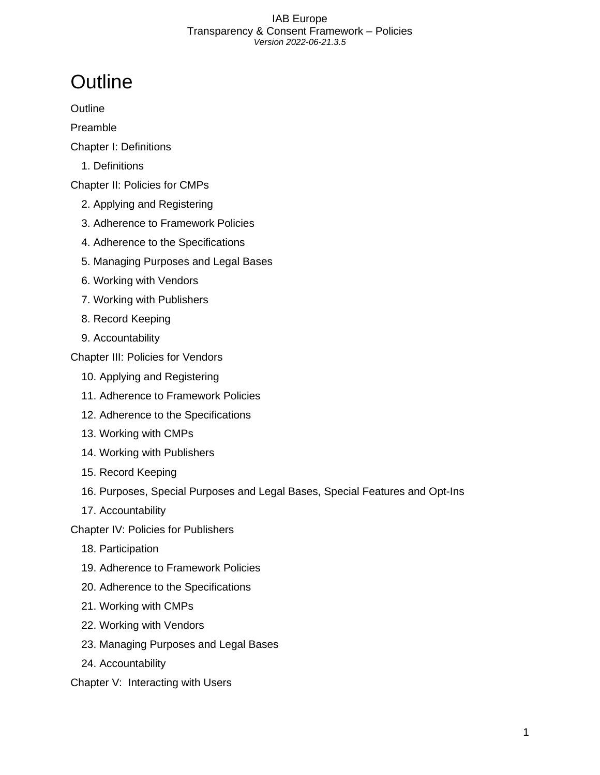## <span id="page-1-0"></span>**Outline**

**[Outline](#page-1-0)** 

[Preamble](#page-5-0)

- [Chapter I: Definitions](#page-6-0)
	- [1. Definitions](#page-6-1)

[Chapter II: Policies for CMPs](#page-9-0)

- [2. Applying and Registering](#page-9-1)
- [3. Adherence to Framework Policies](#page-9-2)
- [4. Adherence to the Specifications](#page-9-3)
- [5. Managing Purposes and Legal Bases](#page-10-0)
- [6. Working with Vendors](#page-11-0)
- [7. Working with Publishers](#page-12-0)
- [8. Record Keeping](#page-12-1)
- [9. Accountability](#page-12-2)

[Chapter III: Policies for Vendors](#page-13-0)

- [10. Applying and Registering](#page-13-1)
- [11. Adherence to Framework Policies](#page-13-2)
- [12. Adherence to the Specifications](#page-14-0)
- [13. Working with CMPs](#page-14-1)
- [14. Working with Publishers](#page-15-0)
- [15. Record Keeping](#page-15-1)
- [16. Purposes, Special Purposes and Legal Bases, Special Features and Opt-Ins](#page-16-0)
- [17. Accountability](#page-20-0)

[Chapter IV: Policies for Publishers](#page-20-1)

- [18. Participation](#page-20-2)
- [19. Adherence to Framework Policies](#page-21-0)
- [20. Adherence to the Specifications](#page-21-1)
- [21. Working with CMPs](#page-21-2)
- [22. Working with Vendors](#page-22-0)
- [23. Managing Purposes and Legal Bases](#page-22-1)
- [24. Accountability](#page-24-0)

[Chapter V: Interacting with Users](#page-25-0)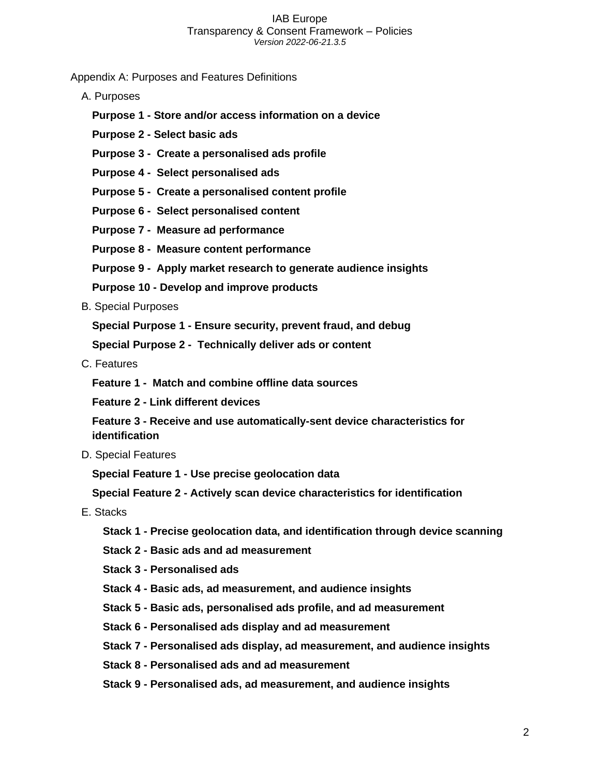[Appendix A: Purposes and Features Definitions](#page-26-0)

- [A. Purposes](#page-26-1)
	- **Purpose 1 - [Store and/or access information on a device](#page-26-2)**
	- **Purpose 2 - [Select basic ads](#page-27-0)**
	- **[Purpose 3 Create a personalised ads profile](#page-28-0)**
	- **[Purpose 4 Select personalised ads](#page-30-0)**
	- **[Purpose 5 Create a personalised content profile](#page-31-0)**
	- **[Purpose 6 Select personalised content](#page-32-0)**
	- **[Purpose 7 Measure ad performance](#page-33-0)**
	- **[Purpose 8 Measure content performance](#page-35-0)**
	- **[Purpose 9 Apply market research to generate audience insights](#page-36-0)**
	- **Purpose 10 - [Develop and improve products](#page-38-0)**
- [B. Special Purposes](#page-39-0)

**Special Purpose 1 - [Ensure security, prevent fraud, and debug](#page-39-1)**

**[Special Purpose 2 - Technically deliver ads or content](#page-40-0)**

[C. Features](#page-41-0)

**[Feature 1 - Match and combine offline data sources](#page-41-1)**

**Feature 2 - [Link different devices](#page-42-0)**

**Feature 3 - [Receive and use automatically-sent device characteristics for](#page-42-1)  [identification](#page-42-1)**

[D. Special Features](#page-43-0)

**Special Feature 1 - [Use precise geolocation data](#page-43-1)**

**Special Feature 2 - [Actively scan device characteristics for identification](#page-44-0)**

- [E. Stacks](#page-45-0)
	- **Stack 1 - [Precise geolocation data, and identification through device scanning](#page-45-1)**
	- **Stack 2 - [Basic ads and ad measurement](#page-45-2)**
	- **Stack 3 - [Personalised ads](#page-46-0)**
	- **Stack 4 - [Basic ads, ad measurement, and audience insights](#page-46-1)**
	- **Stack 5 - [Basic ads, personalised ads profile, and ad measurement](#page-46-2)**
	- **Stack 6 - [Personalised ads display and ad measurement](#page-46-3)**
	- **Stack 7 - [Personalised ads display, ad measurement, and audience insights](#page-47-0)**
	- **Stack 8 - [Personalised ads and ad measurement](#page-47-1)**
	- **Stack 9 - [Personalised ads, ad measurement, and audience insights](#page-47-2)**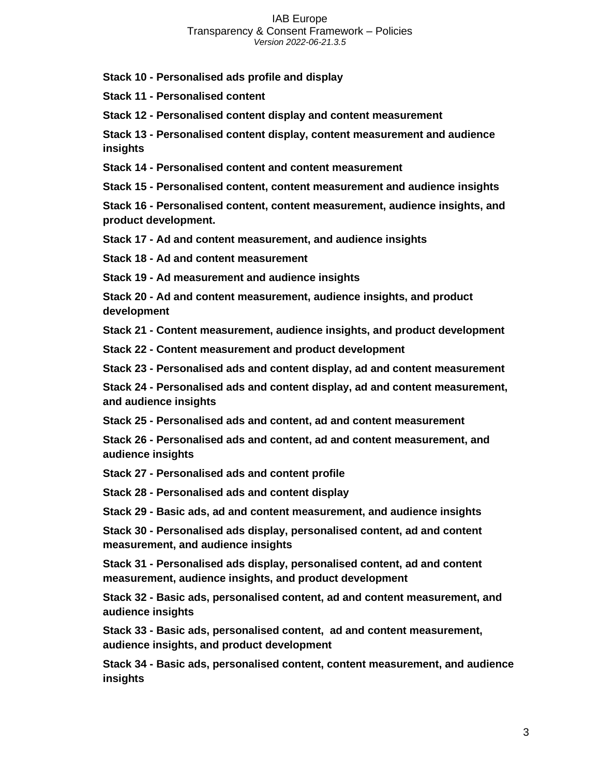**Stack 10 - [Personalised ads profile and display](#page-48-0)**

**Stack 11 - [Personalised content](#page-48-1)**

**Stack 12 - [Personalised content display and content measurement](#page-48-2)**

**Stack 13 - [Personalised content display, content measurement and audience](#page-49-0)  [insights](#page-49-0)**

**Stack 14 - [Personalised content and content measurement](#page-49-1)**

**Stack 15 - [Personalised content, content measurement and audience insights](#page-50-0)**

**Stack 16 - [Personalised content, content measurement, audience insights, and](#page-50-1)  [product development.](#page-50-1)**

**Stack 17 - [Ad and content measurement, and audience insights](#page-50-2)**

**Stack 18 - [Ad and content measurement](#page-51-0)**

**Stack 19 - [Ad measurement and audience insights](#page-51-1)**

**Stack 20 - [Ad and content measurement, audience insights, and product](#page-51-2)  [development](#page-51-2)**

**Stack 21 - [Content measurement, audience insights, and product development](#page-52-0)**

**Stack 22 - [Content measurement and product development](#page-52-1)**

**Stack 23 - [Personalised ads and content display, ad and content measurement](#page-52-2)**

**Stack 24 - [Personalised ads and content display, ad and content measurement,](#page-53-0)  [and audience insights](#page-53-0)**

**Stack 25 - [Personalised ads and content, ad and content measurement](#page-53-1)**

**Stack 26 - [Personalised ads and content, ad and content measurement, and](#page-54-0)  [audience insights](#page-54-0)**

**Stack 27 - [Personalised ads and content profile](#page-54-1)**

**Stack 28 - [Personalised ads and content display](#page-54-2)**

**Stack 29 - [Basic ads, ad and content measurement, and audience insights](#page-55-0)**

**Stack 30 - [Personalised ads display, personalised content, ad and content](#page-55-1)  [measurement, and audience insights](#page-55-1)**

**Stack 31 - [Personalised ads display, personalised content, ad and content](#page-55-2)  [measurement, audience insights, and product development](#page-55-2)**

**Stack 32 - [Basic ads, personalised content, ad and content measurement, and](#page-56-0)  [audience insights](#page-56-0)**

**Stack 33 - [Basic ads, personalised content, ad and content measurement,](#page-56-1)  [audience insights, and product development](#page-56-1)**

**Stack 34 - [Basic ads, personalised content, content measurement, and audience](#page-57-0)  [insights](#page-57-0)**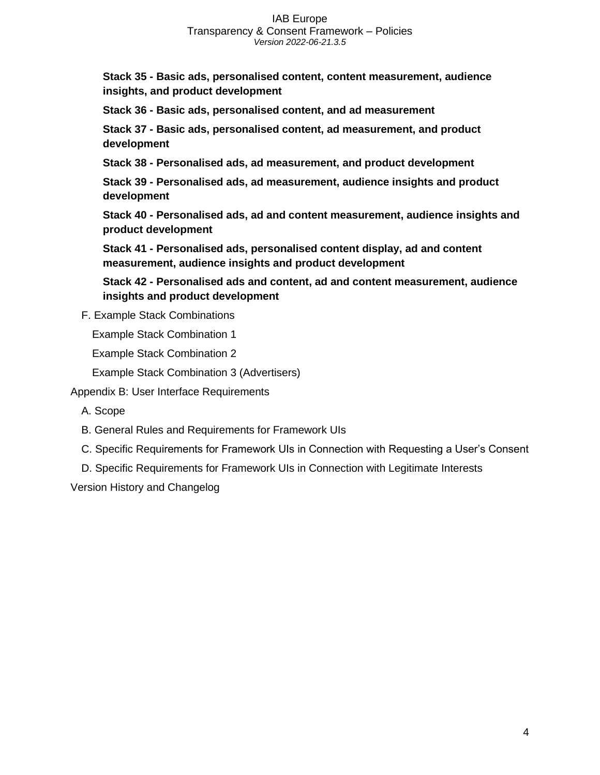**Stack 35 - [Basic ads, personalised content, content measurement, audience](#page-57-1)  [insights, and product development](#page-57-1)**

**Stack 36 - [Basic ads, personalised content, and ad measurement](#page-58-0)**

**Stack 37 - [Basic ads, personalised content, ad measurement, and product](#page-58-1)  [development](#page-58-1)**

**Stack 38 - [Personalised ads, ad measurement, and product development](#page-59-0)**

**Stack 39 - [Personalised ads, ad measurement, audience insights and product](#page-59-1)  [development](#page-59-1)**

**Stack 40 - [Personalised ads, ad and content measurement, audience insights and](#page-60-0)  [product development](#page-60-0)**

**Stack 41 - [Personalised ads, personalised content display, ad and content](#page-60-1)  [measurement, audience insights and product development](#page-60-1)**

**Stack 42 - [Personalised ads and content, ad and content measurement, audience](#page-61-0)  [insights and product development](#page-61-0)**

F. [Example Stack Combinations](#page-61-1)

[Example Stack Combination 1](#page-61-2)

[Example Stack Combination 2](#page-62-0)

[Example Stack Combination 3 \(Advertisers\)](#page-62-1)

[Appendix B: User Interface Requirements](#page-63-0)

[A. Scope](#page-63-1)

[B. General Rules and Requirements for Framework UIs](#page-63-2)

- [C. Specific Requirements for Framework UIs in Connection with Requesting a User's Consent](#page-64-0)
- [D. Specific Requirements for Framework UIs in Connection with Legitimate Interests](#page-66-0)

[Version History and Changelog](#page-68-0)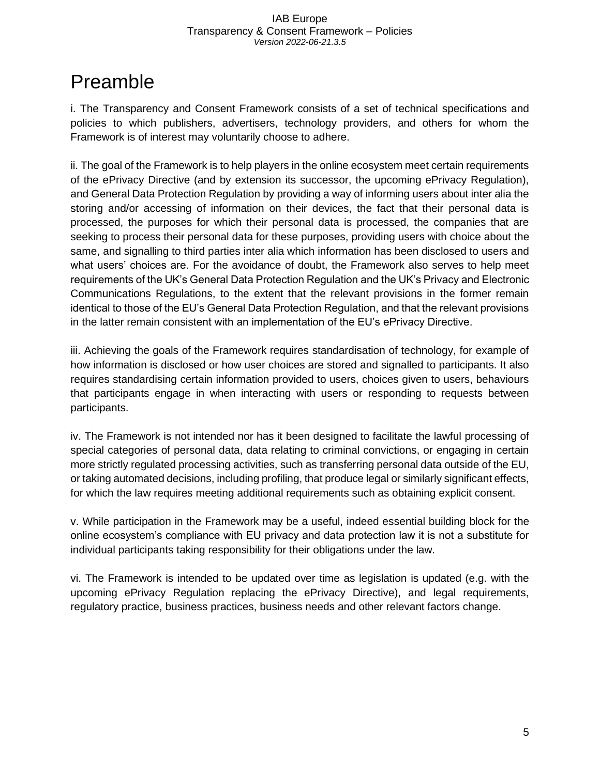## <span id="page-5-0"></span>Preamble

i. The Transparency and Consent Framework consists of a set of technical specifications and policies to which publishers, advertisers, technology providers, and others for whom the Framework is of interest may voluntarily choose to adhere.

ii. The goal of the Framework is to help players in the online ecosystem meet certain requirements of the ePrivacy Directive (and by extension its successor, the upcoming ePrivacy Regulation), and General Data Protection Regulation by providing a way of informing users about inter alia the storing and/or accessing of information on their devices, the fact that their personal data is processed, the purposes for which their personal data is processed, the companies that are seeking to process their personal data for these purposes, providing users with choice about the same, and signalling to third parties inter alia which information has been disclosed to users and what users' choices are. For the avoidance of doubt, the Framework also serves to help meet requirements of the UK's General Data Protection Regulation and the UK's Privacy and Electronic Communications Regulations, to the extent that the relevant provisions in the former remain identical to those of the EU's General Data Protection Regulation, and that the relevant provisions in the latter remain consistent with an implementation of the EU's ePrivacy Directive.

iii. Achieving the goals of the Framework requires standardisation of technology, for example of how information is disclosed or how user choices are stored and signalled to participants. It also requires standardising certain information provided to users, choices given to users, behaviours that participants engage in when interacting with users or responding to requests between participants.

iv. The Framework is not intended nor has it been designed to facilitate the lawful processing of special categories of personal data, data relating to criminal convictions, or engaging in certain more strictly regulated processing activities, such as transferring personal data outside of the EU, or taking automated decisions, including profiling, that produce legal or similarly significant effects, for which the law requires meeting additional requirements such as obtaining explicit consent.

v. While participation in the Framework may be a useful, indeed essential building block for the online ecosystem's compliance with EU privacy and data protection law it is not a substitute for individual participants taking responsibility for their obligations under the law.

vi. The Framework is intended to be updated over time as legislation is updated (e.g. with the upcoming ePrivacy Regulation replacing the ePrivacy Directive), and legal requirements, regulatory practice, business practices, business needs and other relevant factors change.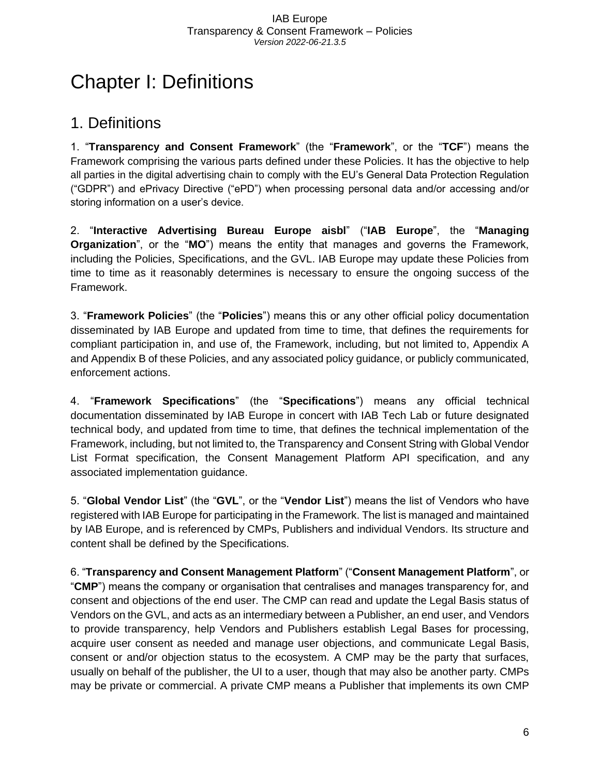## <span id="page-6-0"></span>Chapter I: Definitions

### <span id="page-6-1"></span>1. Definitions

1. "**Transparency and Consent Framework**" (the "**Framework**", or the "**TCF**") means the Framework comprising the various parts defined under these Policies. It has the objective to help all parties in the digital advertising chain to comply with the EU's General Data Protection Regulation ("GDPR") and ePrivacy Directive ("ePD") when processing personal data and/or accessing and/or storing information on a user's device.

2. "**Interactive Advertising Bureau Europe aisbl**" ("**IAB Europe**", the "**Managing Organization**", or the "**MO**") means the entity that manages and governs the Framework, including the Policies, Specifications, and the GVL. IAB Europe may update these Policies from time to time as it reasonably determines is necessary to ensure the ongoing success of the Framework.

3. "**Framework Policies**" (the "**Policies**") means this or any other official policy documentation disseminated by IAB Europe and updated from time to time, that defines the requirements for compliant participation in, and use of, the Framework, including, but not limited to, Appendix A and Appendix B of these Policies, and any associated policy guidance, or publicly communicated, enforcement actions.

4. "**Framework Specifications**" (the "**Specifications**") means any official technical documentation disseminated by IAB Europe in concert with IAB Tech Lab or future designated technical body, and updated from time to time, that defines the technical implementation of the Framework, including, but not limited to, the Transparency and Consent String with Global Vendor List Format specification, the Consent Management Platform API specification, and any associated implementation guidance.

5. "**Global Vendor List**" (the "**GVL**", or the "**Vendor List**") means the list of Vendors who have registered with IAB Europe for participating in the Framework. The list is managed and maintained by IAB Europe, and is referenced by CMPs, Publishers and individual Vendors. Its structure and content shall be defined by the Specifications.

6. "**Transparency and Consent Management Platform**" ("**Consent Management Platform**", or "**CMP**") means the company or organisation that centralises and manages transparency for, and consent and objections of the end user. The CMP can read and update the Legal Basis status of Vendors on the GVL, and acts as an intermediary between a Publisher, an end user, and Vendors to provide transparency, help Vendors and Publishers establish Legal Bases for processing, acquire user consent as needed and manage user objections, and communicate Legal Basis, consent or and/or objection status to the ecosystem. A CMP may be the party that surfaces, usually on behalf of the publisher, the UI to a user, though that may also be another party. CMPs may be private or commercial. A private CMP means a Publisher that implements its own CMP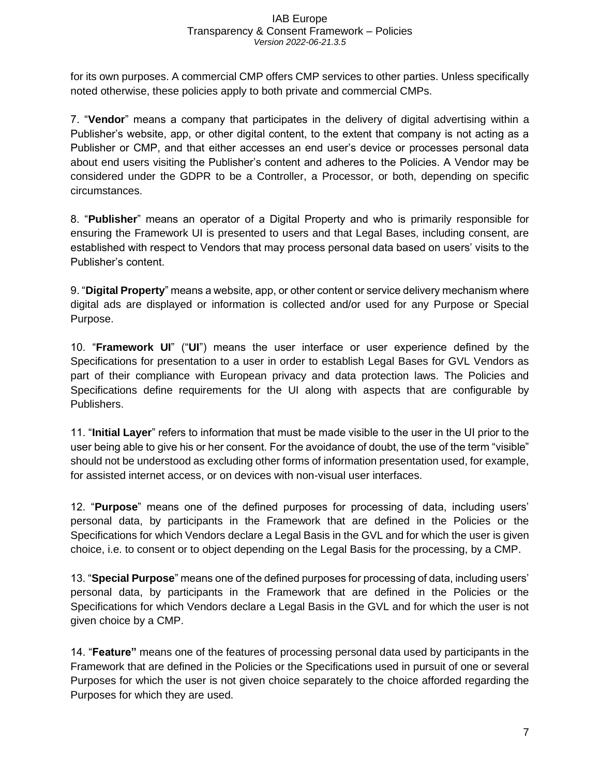for its own purposes. A commercial CMP offers CMP services to other parties. Unless specifically noted otherwise, these policies apply to both private and commercial CMPs.

7. "**Vendor**" means a company that participates in the delivery of digital advertising within a Publisher's website, app, or other digital content, to the extent that company is not acting as a Publisher or CMP, and that either accesses an end user's device or processes personal data about end users visiting the Publisher's content and adheres to the Policies. A Vendor may be considered under the GDPR to be a Controller, a Processor, or both, depending on specific circumstances.

8. "**Publisher**" means an operator of a Digital Property and who is primarily responsible for ensuring the Framework UI is presented to users and that Legal Bases, including consent, are established with respect to Vendors that may process personal data based on users' visits to the Publisher's content.

9. "**Digital Property**" means a website, app, or other content or service delivery mechanism where digital ads are displayed or information is collected and/or used for any Purpose or Special Purpose.

10. "**Framework UI**" ("**UI**") means the user interface or user experience defined by the Specifications for presentation to a user in order to establish Legal Bases for GVL Vendors as part of their compliance with European privacy and data protection laws. The Policies and Specifications define requirements for the UI along with aspects that are configurable by Publishers.

11. "**Initial Layer**" refers to information that must be made visible to the user in the UI prior to the user being able to give his or her consent. For the avoidance of doubt, the use of the term "visible" should not be understood as excluding other forms of information presentation used, for example, for assisted internet access, or on devices with non-visual user interfaces.

12. "**Purpose**" means one of the defined purposes for processing of data, including users' personal data, by participants in the Framework that are defined in the Policies or the Specifications for which Vendors declare a Legal Basis in the GVL and for which the user is given choice, i.e. to consent or to object depending on the Legal Basis for the processing, by a CMP.

13. "**Special Purpose**" means one of the defined purposes for processing of data, including users' personal data, by participants in the Framework that are defined in the Policies or the Specifications for which Vendors declare a Legal Basis in the GVL and for which the user is not given choice by a CMP.

14. "**Feature"** means one of the features of processing personal data used by participants in the Framework that are defined in the Policies or the Specifications used in pursuit of one or several Purposes for which the user is not given choice separately to the choice afforded regarding the Purposes for which they are used.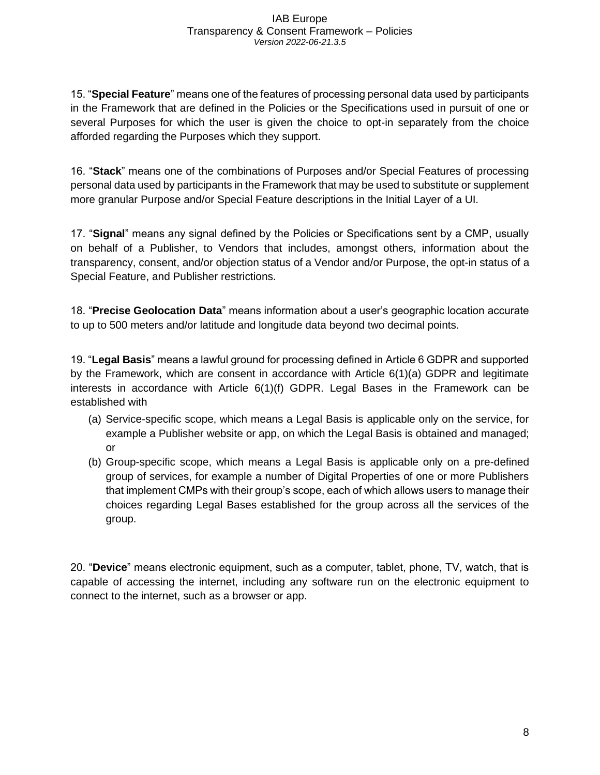15. "**Special Feature**" means one of the features of processing personal data used by participants in the Framework that are defined in the Policies or the Specifications used in pursuit of one or several Purposes for which the user is given the choice to opt-in separately from the choice afforded regarding the Purposes which they support.

16. "**Stack**" means one of the combinations of Purposes and/or Special Features of processing personal data used by participants in the Framework that may be used to substitute or supplement more granular Purpose and/or Special Feature descriptions in the Initial Layer of a UI.

17. "**Signal**" means any signal defined by the Policies or Specifications sent by a CMP, usually on behalf of a Publisher, to Vendors that includes, amongst others, information about the transparency, consent, and/or objection status of a Vendor and/or Purpose, the opt-in status of a Special Feature, and Publisher restrictions.

18. "**Precise Geolocation Data**" means information about a user's geographic location accurate to up to 500 meters and/or latitude and longitude data beyond two decimal points.

19. "**Legal Basis**" means a lawful ground for processing defined in Article 6 GDPR and supported by the Framework, which are consent in accordance with Article 6(1)(a) GDPR and legitimate interests in accordance with Article  $6(1)(f)$  GDPR. Legal Bases in the Framework can be established with

- (a) Service-specific scope, which means a Legal Basis is applicable only on the service, for example a Publisher website or app, on which the Legal Basis is obtained and managed; or
- (b) Group-specific scope, which means a Legal Basis is applicable only on a pre-defined group of services, for example a number of Digital Properties of one or more Publishers that implement CMPs with their group's scope, each of which allows users to manage their choices regarding Legal Bases established for the group across all the services of the group.

20. "**Device**" means electronic equipment, such as a computer, tablet, phone, TV, watch, that is capable of accessing the internet, including any software run on the electronic equipment to connect to the internet, such as a browser or app.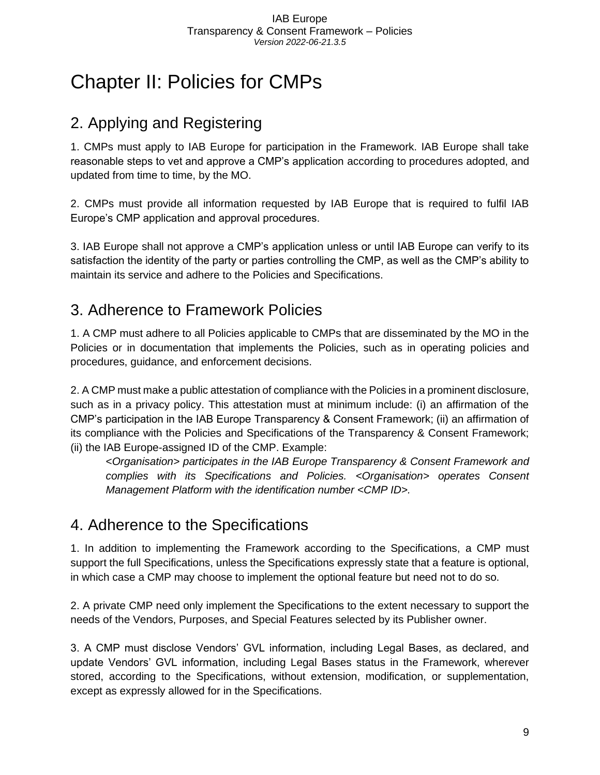## <span id="page-9-0"></span>Chapter II: Policies for CMPs

## <span id="page-9-1"></span>2. Applying and Registering

1. CMPs must apply to IAB Europe for participation in the Framework. IAB Europe shall take reasonable steps to vet and approve a CMP's application according to procedures adopted, and updated from time to time, by the MO.

2. CMPs must provide all information requested by IAB Europe that is required to fulfil IAB Europe's CMP application and approval procedures.

3. IAB Europe shall not approve a CMP's application unless or until IAB Europe can verify to its satisfaction the identity of the party or parties controlling the CMP, as well as the CMP's ability to maintain its service and adhere to the Policies and Specifications.

## <span id="page-9-2"></span>3. Adherence to Framework Policies

1. A CMP must adhere to all Policies applicable to CMPs that are disseminated by the MO in the Policies or in documentation that implements the Policies, such as in operating policies and procedures, guidance, and enforcement decisions.

2. A CMP must make a public attestation of compliance with the Policies in a prominent disclosure, such as in a privacy policy. This attestation must at minimum include: (i) an affirmation of the CMP's participation in the IAB Europe Transparency & Consent Framework; (ii) an affirmation of its compliance with the Policies and Specifications of the Transparency & Consent Framework; (ii) the IAB Europe-assigned ID of the CMP. Example:

<*Organisation> participates in the IAB Europe Transparency & Consent Framework and complies with its Specifications and Policies. <Organisation> operates Consent Management Platform with the identification number <CMP ID>.*

## <span id="page-9-3"></span>4. Adherence to the Specifications

1. In addition to implementing the Framework according to the Specifications, a CMP must support the full Specifications, unless the Specifications expressly state that a feature is optional, in which case a CMP may choose to implement the optional feature but need not to do so.

2. A private CMP need only implement the Specifications to the extent necessary to support the needs of the Vendors, Purposes, and Special Features selected by its Publisher owner.

3. A CMP must disclose Vendors' GVL information, including Legal Bases, as declared, and update Vendors' GVL information, including Legal Bases status in the Framework, wherever stored, according to the Specifications, without extension, modification, or supplementation, except as expressly allowed for in the Specifications.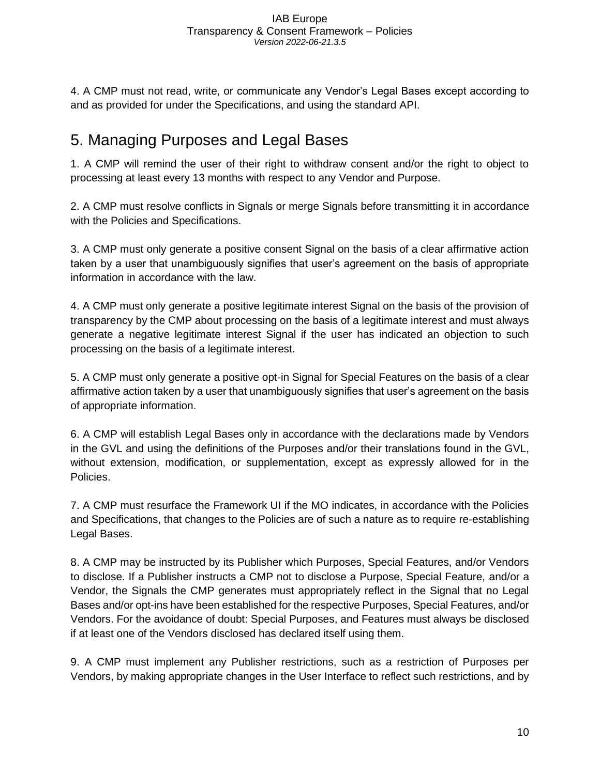4. A CMP must not read, write, or communicate any Vendor's Legal Bases except according to and as provided for under the Specifications, and using the standard API.

## <span id="page-10-0"></span>5. Managing Purposes and Legal Bases

1. A CMP will remind the user of their right to withdraw consent and/or the right to object to processing at least every 13 months with respect to any Vendor and Purpose.

2. A CMP must resolve conflicts in Signals or merge Signals before transmitting it in accordance with the Policies and Specifications.

3. A CMP must only generate a positive consent Signal on the basis of a clear affirmative action taken by a user that unambiguously signifies that user's agreement on the basis of appropriate information in accordance with the law.

4. A CMP must only generate a positive legitimate interest Signal on the basis of the provision of transparency by the CMP about processing on the basis of a legitimate interest and must always generate a negative legitimate interest Signal if the user has indicated an objection to such processing on the basis of a legitimate interest.

5. A CMP must only generate a positive opt-in Signal for Special Features on the basis of a clear affirmative action taken by a user that unambiguously signifies that user's agreement on the basis of appropriate information.

6. A CMP will establish Legal Bases only in accordance with the declarations made by Vendors in the GVL and using the definitions of the Purposes and/or their translations found in the GVL, without extension, modification, or supplementation, except as expressly allowed for in the Policies.

7. A CMP must resurface the Framework UI if the MO indicates, in accordance with the Policies and Specifications, that changes to the Policies are of such a nature as to require re-establishing Legal Bases.

8. A CMP may be instructed by its Publisher which Purposes, Special Features, and/or Vendors to disclose. If a Publisher instructs a CMP not to disclose a Purpose, Special Feature, and/or a Vendor, the Signals the CMP generates must appropriately reflect in the Signal that no Legal Bases and/or opt-ins have been established for the respective Purposes, Special Features, and/or Vendors. For the avoidance of doubt: Special Purposes, and Features must always be disclosed if at least one of the Vendors disclosed has declared itself using them.

9. A CMP must implement any Publisher restrictions, such as a restriction of Purposes per Vendors, by making appropriate changes in the User Interface to reflect such restrictions, and by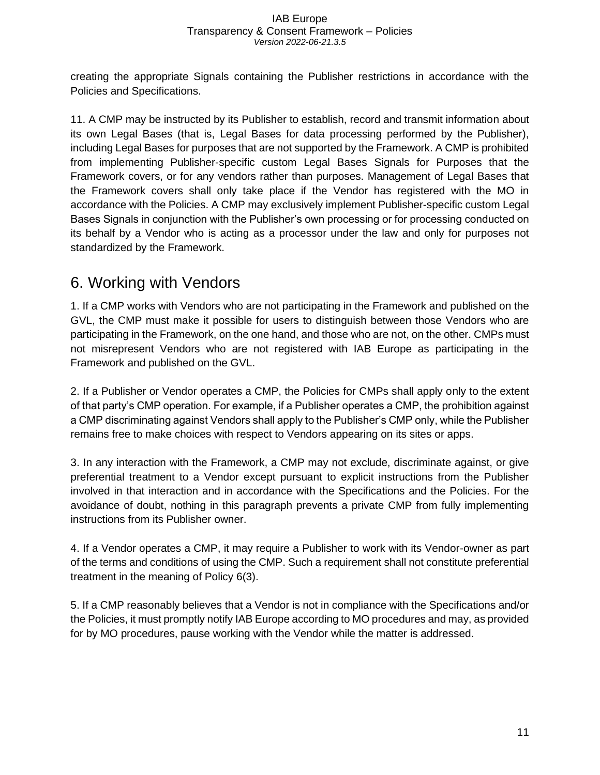creating the appropriate Signals containing the Publisher restrictions in accordance with the Policies and Specifications.

11. A CMP may be instructed by its Publisher to establish, record and transmit information about its own Legal Bases (that is, Legal Bases for data processing performed by the Publisher), including Legal Bases for purposes that are not supported by the Framework. A CMP is prohibited from implementing Publisher-specific custom Legal Bases Signals for Purposes that the Framework covers, or for any vendors rather than purposes. Management of Legal Bases that the Framework covers shall only take place if the Vendor has registered with the MO in accordance with the Policies. A CMP may exclusively implement Publisher-specific custom Legal Bases Signals in conjunction with the Publisher's own processing or for processing conducted on its behalf by a Vendor who is acting as a processor under the law and only for purposes not standardized by the Framework.

## <span id="page-11-0"></span>6. Working with Vendors

1. If a CMP works with Vendors who are not participating in the Framework and published on the GVL, the CMP must make it possible for users to distinguish between those Vendors who are participating in the Framework, on the one hand, and those who are not, on the other. CMPs must not misrepresent Vendors who are not registered with IAB Europe as participating in the Framework and published on the GVL.

2. If a Publisher or Vendor operates a CMP, the Policies for CMPs shall apply only to the extent of that party's CMP operation. For example, if a Publisher operates a CMP, the prohibition against a CMP discriminating against Vendors shall apply to the Publisher's CMP only, while the Publisher remains free to make choices with respect to Vendors appearing on its sites or apps.

3. In any interaction with the Framework, a CMP may not exclude, discriminate against, or give preferential treatment to a Vendor except pursuant to explicit instructions from the Publisher involved in that interaction and in accordance with the Specifications and the Policies. For the avoidance of doubt, nothing in this paragraph prevents a private CMP from fully implementing instructions from its Publisher owner.

4. If a Vendor operates a CMP, it may require a Publisher to work with its Vendor-owner as part of the terms and conditions of using the CMP. Such a requirement shall not constitute preferential treatment in the meaning of Policy 6(3).

5. If a CMP reasonably believes that a Vendor is not in compliance with the Specifications and/or the Policies, it must promptly notify IAB Europe according to MO procedures and may, as provided for by MO procedures, pause working with the Vendor while the matter is addressed.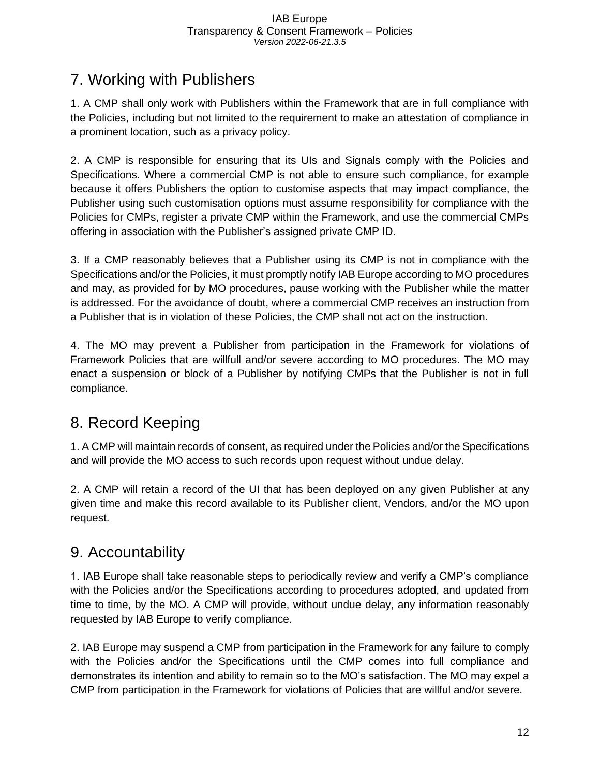## <span id="page-12-0"></span>7. Working with Publishers

1. A CMP shall only work with Publishers within the Framework that are in full compliance with the Policies, including but not limited to the requirement to make an attestation of compliance in a prominent location, such as a privacy policy.

2. A CMP is responsible for ensuring that its UIs and Signals comply with the Policies and Specifications. Where a commercial CMP is not able to ensure such compliance, for example because it offers Publishers the option to customise aspects that may impact compliance, the Publisher using such customisation options must assume responsibility for compliance with the Policies for CMPs, register a private CMP within the Framework, and use the commercial CMPs offering in association with the Publisher's assigned private CMP ID.

3. If a CMP reasonably believes that a Publisher using its CMP is not in compliance with the Specifications and/or the Policies, it must promptly notify IAB Europe according to MO procedures and may, as provided for by MO procedures, pause working with the Publisher while the matter is addressed. For the avoidance of doubt, where a commercial CMP receives an instruction from a Publisher that is in violation of these Policies, the CMP shall not act on the instruction.

4. The MO may prevent a Publisher from participation in the Framework for violations of Framework Policies that are willfull and/or severe according to MO procedures. The MO may enact a suspension or block of a Publisher by notifying CMPs that the Publisher is not in full compliance.

## <span id="page-12-1"></span>8. Record Keeping

1. A CMP will maintain records of consent, as required under the Policies and/or the Specifications and will provide the MO access to such records upon request without undue delay.

2. A CMP will retain a record of the UI that has been deployed on any given Publisher at any given time and make this record available to its Publisher client, Vendors, and/or the MO upon request.

## <span id="page-12-2"></span>9. Accountability

1. IAB Europe shall take reasonable steps to periodically review and verify a CMP's compliance with the Policies and/or the Specifications according to procedures adopted, and updated from time to time, by the MO. A CMP will provide, without undue delay, any information reasonably requested by IAB Europe to verify compliance.

2. IAB Europe may suspend a CMP from participation in the Framework for any failure to comply with the Policies and/or the Specifications until the CMP comes into full compliance and demonstrates its intention and ability to remain so to the MO's satisfaction. The MO may expel a CMP from participation in the Framework for violations of Policies that are willful and/or severe.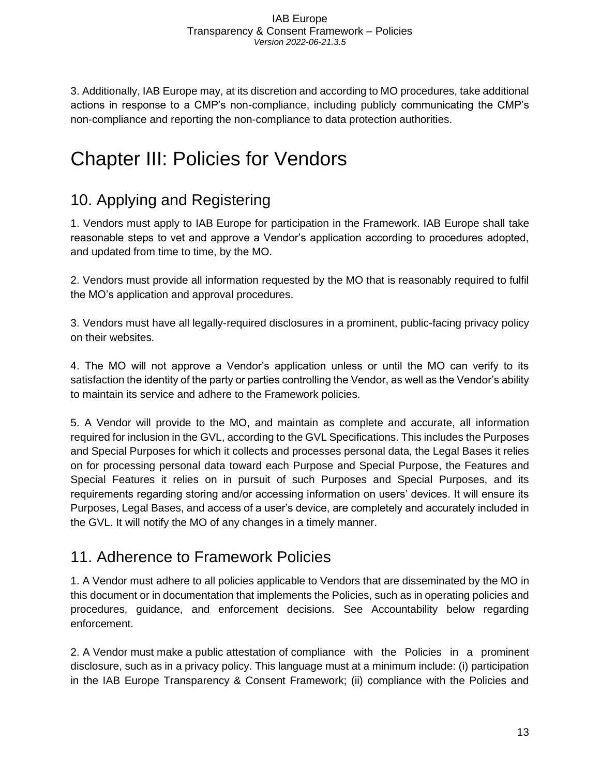3. Additionally, IAB Europe may, at its discretion and according to MO procedures, take additional actions in response to a CMP's non-compliance, including publicly communicating the CMP's non-compliance and reporting the non-compliance to data protection authorities.

## <span id="page-13-0"></span>Chapter III: Policies for Vendors

## <span id="page-13-1"></span>10. Applying and Registering

1. Vendors must apply to IAB Europe for participation in the Framework. IAB Europe shall take reasonable steps to vet and approve a Vendor's application according to procedures adopted, and updated from time to time, by the MO.

2. Vendors must provide all information requested by the MO that is reasonably required to fulfil the MO's application and approval procedures.

3. Vendors must have all legally-required disclosures in a prominent, public-facing privacy policy on their websites.

4. The MO will not approve a Vendor's application unless or until the MO can verify to its satisfaction the identity of the party or parties controlling the Vendor, as well as the Vendor's ability to maintain its service and adhere to the Framework policies.

5. A Vendor will provide to the MO, and maintain as complete and accurate, all information required for inclusion in the GVL, according to the GVL Specifications. This includes the Purposes and Special Purposes for which it collects and processes personal data, the Legal Bases it relies on for processing personal data toward each Purpose and Special Purpose, the Features and Special Features it relies on in pursuit of such Purposes and Special Purposes, and its requirements regarding storing and/or accessing information on users' devices. It will ensure its Purposes, Legal Bases, and access of a user's device, are completely and accurately included in the GVL. It will notify the MO of any changes in a timely manner.

## <span id="page-13-2"></span>11. Adherence to Framework Policies

1. A Vendor must adhere to all policies applicable to Vendors that are disseminated by the MO in this document or in documentation that implements the Policies, such as in operating policies and procedures, guidance, and enforcement decisions. See Accountability below regarding enforcement.

2. A Vendor must make a public attestation of compliance with the Policies in a prominent disclosure, such as in a privacy policy. This language must at a minimum include: (i) participation in the IAB Europe Transparency & Consent Framework; (ii) compliance with the Policies and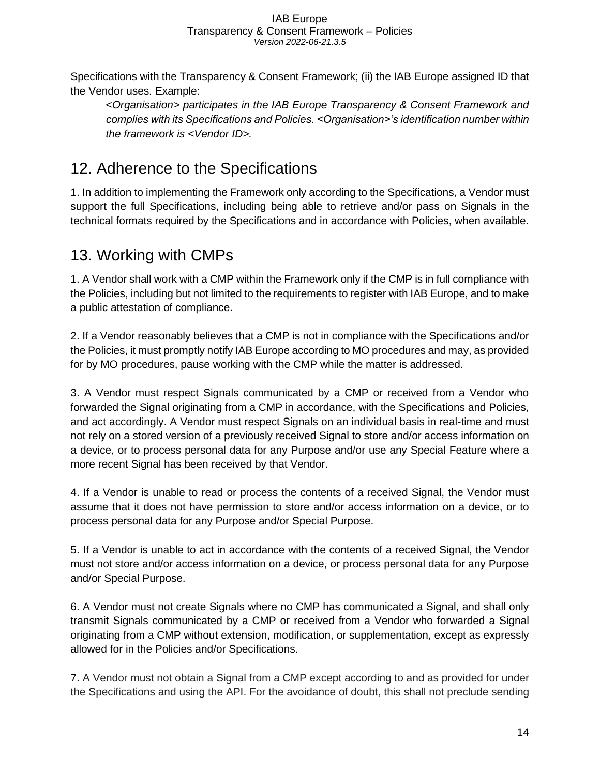Specifications with the Transparency & Consent Framework; (ii) the IAB Europe assigned ID that the Vendor uses. Example:

<*Organisation> participates in the IAB Europe Transparency & Consent Framework and complies with its Specifications and Policies. <Organisation>'s identification number within the framework is <Vendor ID>.*

## <span id="page-14-0"></span>12. Adherence to the Specifications

1. In addition to implementing the Framework only according to the Specifications, a Vendor must support the full Specifications, including being able to retrieve and/or pass on Signals in the technical formats required by the Specifications and in accordance with Policies, when available.

## <span id="page-14-1"></span>13. Working with CMPs

1. A Vendor shall work with a CMP within the Framework only if the CMP is in full compliance with the Policies, including but not limited to the requirements to register with IAB Europe, and to make a public attestation of compliance.

2. If a Vendor reasonably believes that a CMP is not in compliance with the Specifications and/or the Policies, it must promptly notify IAB Europe according to MO procedures and may, as provided for by MO procedures, pause working with the CMP while the matter is addressed.

3. A Vendor must respect Signals communicated by a CMP or received from a Vendor who forwarded the Signal originating from a CMP in accordance, with the Specifications and Policies, and act accordingly. A Vendor must respect Signals on an individual basis in real-time and must not rely on a stored version of a previously received Signal to store and/or access information on a device, or to process personal data for any Purpose and/or use any Special Feature where a more recent Signal has been received by that Vendor.

4. If a Vendor is unable to read or process the contents of a received Signal, the Vendor must assume that it does not have permission to store and/or access information on a device, or to process personal data for any Purpose and/or Special Purpose.

5. If a Vendor is unable to act in accordance with the contents of a received Signal, the Vendor must not store and/or access information on a device, or process personal data for any Purpose and/or Special Purpose.

6. A Vendor must not create Signals where no CMP has communicated a Signal, and shall only transmit Signals communicated by a CMP or received from a Vendor who forwarded a Signal originating from a CMP without extension, modification, or supplementation, except as expressly allowed for in the Policies and/or Specifications.

7. A Vendor must not obtain a Signal from a CMP except according to and as provided for under the Specifications and using the API. For the avoidance of doubt, this shall not preclude sending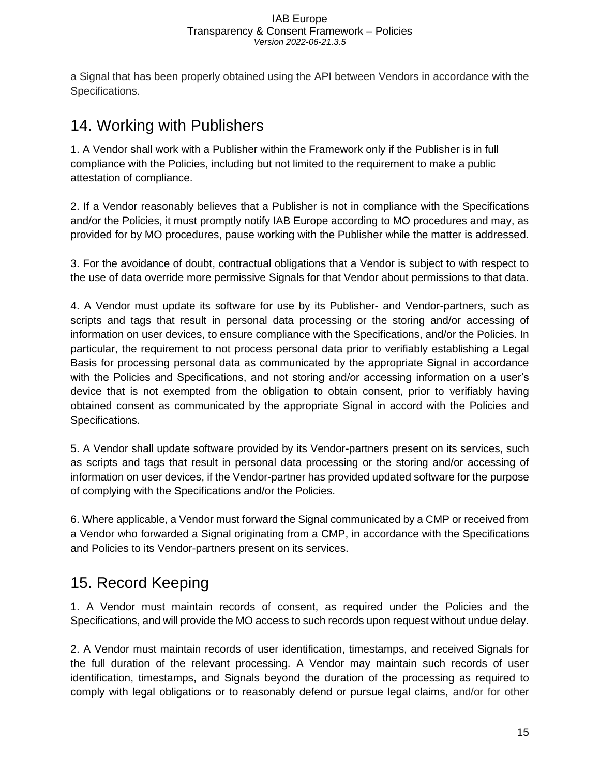a Signal that has been properly obtained using the API between Vendors in accordance with the Specifications.

### <span id="page-15-0"></span>14. Working with Publishers

1. A Vendor shall work with a Publisher within the Framework only if the Publisher is in full compliance with the Policies, including but not limited to the requirement to make a public attestation of compliance.

2. If a Vendor reasonably believes that a Publisher is not in compliance with the Specifications and/or the Policies, it must promptly notify IAB Europe according to MO procedures and may, as provided for by MO procedures, pause working with the Publisher while the matter is addressed.

3. For the avoidance of doubt, contractual obligations that a Vendor is subject to with respect to the use of data override more permissive Signals for that Vendor about permissions to that data.

4. A Vendor must update its software for use by its Publisher- and Vendor-partners, such as scripts and tags that result in personal data processing or the storing and/or accessing of information on user devices, to ensure compliance with the Specifications, and/or the Policies. In particular, the requirement to not process personal data prior to verifiably establishing a Legal Basis for processing personal data as communicated by the appropriate Signal in accordance with the Policies and Specifications, and not storing and/or accessing information on a user's device that is not exempted from the obligation to obtain consent, prior to verifiably having obtained consent as communicated by the appropriate Signal in accord with the Policies and Specifications.

5. A Vendor shall update software provided by its Vendor-partners present on its services, such as scripts and tags that result in personal data processing or the storing and/or accessing of information on user devices, if the Vendor-partner has provided updated software for the purpose of complying with the Specifications and/or the Policies.

6. Where applicable, a Vendor must forward the Signal communicated by a CMP or received from a Vendor who forwarded a Signal originating from a CMP, in accordance with the Specifications and Policies to its Vendor-partners present on its services.

### <span id="page-15-1"></span>15. Record Keeping

1. A Vendor must maintain records of consent, as required under the Policies and the Specifications, and will provide the MO access to such records upon request without undue delay.

2. A Vendor must maintain records of user identification, timestamps, and received Signals for the full duration of the relevant processing. A Vendor may maintain such records of user identification, timestamps, and Signals beyond the duration of the processing as required to comply with legal obligations or to reasonably defend or pursue legal claims, and/or for other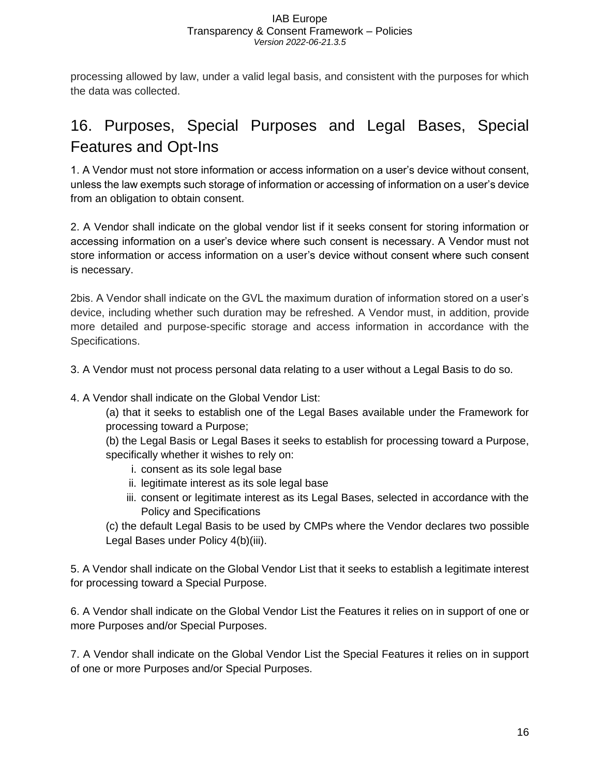processing allowed by law, under a valid legal basis, and consistent with the purposes for which the data was collected.

## <span id="page-16-0"></span>16. Purposes, Special Purposes and Legal Bases, Special Features and Opt-Ins

1. A Vendor must not store information or access information on a user's device without consent, unless the law exempts such storage of information or accessing of information on a user's device from an obligation to obtain consent.

2. A Vendor shall indicate on the global vendor list if it seeks consent for storing information or accessing information on a user's device where such consent is necessary. A Vendor must not store information or access information on a user's device without consent where such consent is necessary.

2bis. A Vendor shall indicate on the GVL the maximum duration of information stored on a user's device, including whether such duration may be refreshed. A Vendor must, in addition, provide more detailed and purpose-specific storage and access information in accordance with the Specifications.

3. A Vendor must not process personal data relating to a user without a Legal Basis to do so.

4. A Vendor shall indicate on the Global Vendor List:

(a) that it seeks to establish one of the Legal Bases available under the Framework for processing toward a Purpose;

(b) the Legal Basis or Legal Bases it seeks to establish for processing toward a Purpose, specifically whether it wishes to rely on:

- i. consent as its sole legal base
- ii. legitimate interest as its sole legal base
- iii. consent or legitimate interest as its Legal Bases, selected in accordance with the Policy and Specifications

(c) the default Legal Basis to be used by CMPs where the Vendor declares two possible Legal Bases under Policy 4(b)(iii).

5. A Vendor shall indicate on the Global Vendor List that it seeks to establish a legitimate interest for processing toward a Special Purpose.

6. A Vendor shall indicate on the Global Vendor List the Features it relies on in support of one or more Purposes and/or Special Purposes.

7. A Vendor shall indicate on the Global Vendor List the Special Features it relies on in support of one or more Purposes and/or Special Purposes.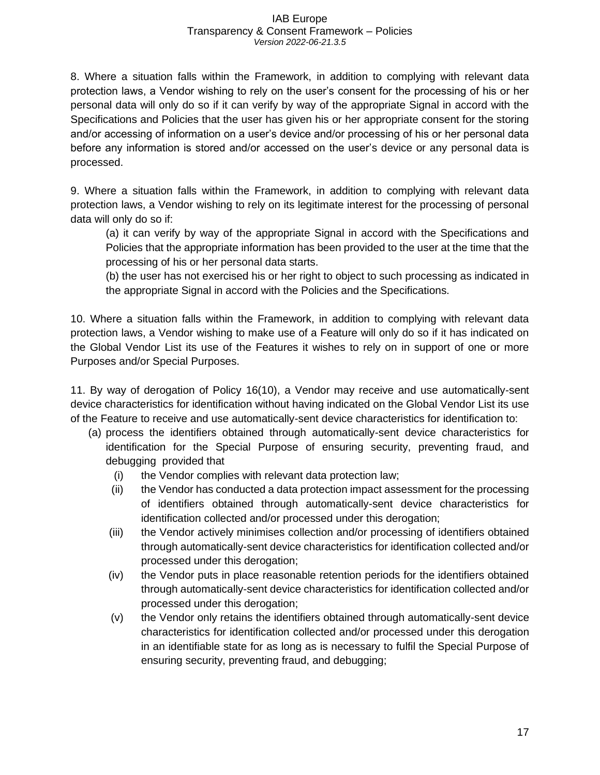8. Where a situation falls within the Framework, in addition to complying with relevant data protection laws, a Vendor wishing to rely on the user's consent for the processing of his or her personal data will only do so if it can verify by way of the appropriate Signal in accord with the Specifications and Policies that the user has given his or her appropriate consent for the storing and/or accessing of information on a user's device and/or processing of his or her personal data before any information is stored and/or accessed on the user's device or any personal data is processed.

9. Where a situation falls within the Framework, in addition to complying with relevant data protection laws, a Vendor wishing to rely on its legitimate interest for the processing of personal data will only do so if:

(a) it can verify by way of the appropriate Signal in accord with the Specifications and Policies that the appropriate information has been provided to the user at the time that the processing of his or her personal data starts.

(b) the user has not exercised his or her right to object to such processing as indicated in the appropriate Signal in accord with the Policies and the Specifications.

10. Where a situation falls within the Framework, in addition to complying with relevant data protection laws, a Vendor wishing to make use of a Feature will only do so if it has indicated on the Global Vendor List its use of the Features it wishes to rely on in support of one or more Purposes and/or Special Purposes.

11. By way of derogation of Policy 16(10), a Vendor may receive and use automatically-sent device characteristics for identification without having indicated on the Global Vendor List its use of the Feature to receive and use automatically-sent device characteristics for identification to:

- (a) process the identifiers obtained through automatically-sent device characteristics for identification for the Special Purpose of ensuring security, preventing fraud, and debugging provided that
	- (i) the Vendor complies with relevant data protection law;
	- (ii) the Vendor has conducted a data protection impact assessment for the processing of identifiers obtained through automatically-sent device characteristics for identification collected and/or processed under this derogation;
	- (iii) the Vendor actively minimises collection and/or processing of identifiers obtained through automatically-sent device characteristics for identification collected and/or processed under this derogation;
	- (iv) the Vendor puts in place reasonable retention periods for the identifiers obtained through automatically-sent device characteristics for identification collected and/or processed under this derogation;
	- (v) the Vendor only retains the identifiers obtained through automatically-sent device characteristics for identification collected and/or processed under this derogation in an identifiable state for as long as is necessary to fulfil the Special Purpose of ensuring security, preventing fraud, and debugging;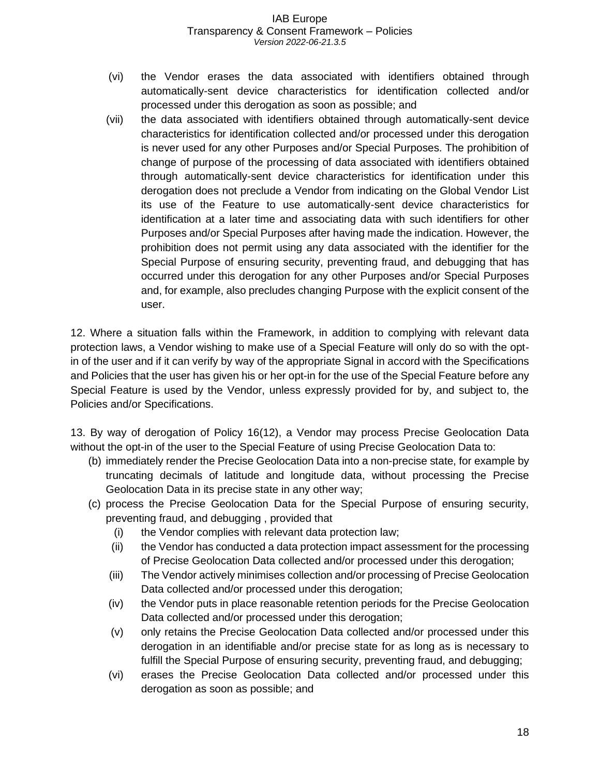- (vi) the Vendor erases the data associated with identifiers obtained through automatically-sent device characteristics for identification collected and/or processed under this derogation as soon as possible; and
- (vii) the data associated with identifiers obtained through automatically-sent device characteristics for identification collected and/or processed under this derogation is never used for any other Purposes and/or Special Purposes. The prohibition of change of purpose of the processing of data associated with identifiers obtained through automatically-sent device characteristics for identification under this derogation does not preclude a Vendor from indicating on the Global Vendor List its use of the Feature to use automatically-sent device characteristics for identification at a later time and associating data with such identifiers for other Purposes and/or Special Purposes after having made the indication. However, the prohibition does not permit using any data associated with the identifier for the Special Purpose of ensuring security, preventing fraud, and debugging that has occurred under this derogation for any other Purposes and/or Special Purposes and, for example, also precludes changing Purpose with the explicit consent of the user.

12. Where a situation falls within the Framework, in addition to complying with relevant data protection laws, a Vendor wishing to make use of a Special Feature will only do so with the optin of the user and if it can verify by way of the appropriate Signal in accord with the Specifications and Policies that the user has given his or her opt-in for the use of the Special Feature before any Special Feature is used by the Vendor, unless expressly provided for by, and subject to, the Policies and/or Specifications.

13. By way of derogation of Policy 16(12), a Vendor may process Precise Geolocation Data without the opt-in of the user to the Special Feature of using Precise Geolocation Data to:

- (b) immediately render the Precise Geolocation Data into a non-precise state, for example by truncating decimals of latitude and longitude data, without processing the Precise Geolocation Data in its precise state in any other way;
- (c) process the Precise Geolocation Data for the Special Purpose of ensuring security, preventing fraud, and debugging , provided that
	- (i) the Vendor complies with relevant data protection law;
	- (ii) the Vendor has conducted a data protection impact assessment for the processing of Precise Geolocation Data collected and/or processed under this derogation;
	- (iii) The Vendor actively minimises collection and/or processing of Precise Geolocation Data collected and/or processed under this derogation;
	- (iv) the Vendor puts in place reasonable retention periods for the Precise Geolocation Data collected and/or processed under this derogation;
	- (v) only retains the Precise Geolocation Data collected and/or processed under this derogation in an identifiable and/or precise state for as long as is necessary to fulfill the Special Purpose of ensuring security, preventing fraud, and debugging;
	- (vi) erases the Precise Geolocation Data collected and/or processed under this derogation as soon as possible; and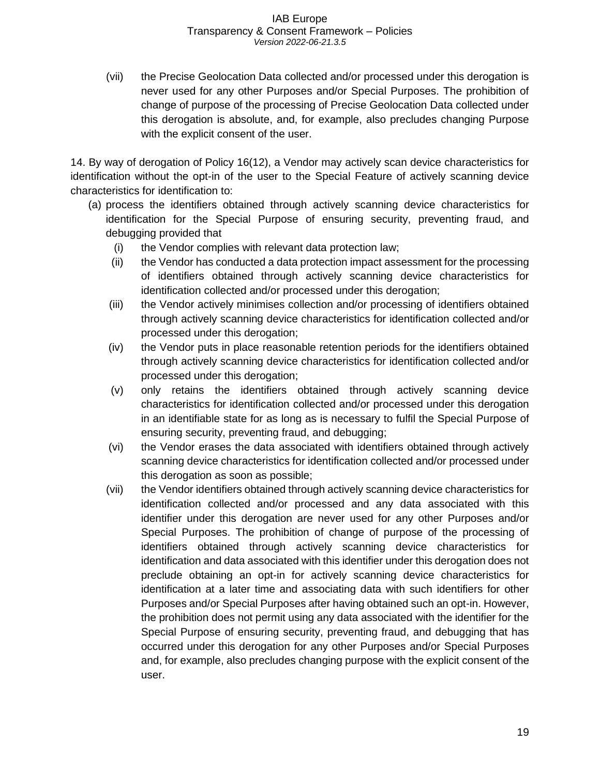(vii) the Precise Geolocation Data collected and/or processed under this derogation is never used for any other Purposes and/or Special Purposes. The prohibition of change of purpose of the processing of Precise Geolocation Data collected under this derogation is absolute, and, for example, also precludes changing Purpose with the explicit consent of the user.

14. By way of derogation of Policy 16(12), a Vendor may actively scan device characteristics for identification without the opt-in of the user to the Special Feature of actively scanning device characteristics for identification to:

- (a) process the identifiers obtained through actively scanning device characteristics for identification for the Special Purpose of ensuring security, preventing fraud, and debugging provided that
	- (i) the Vendor complies with relevant data protection law;
	- (ii) the Vendor has conducted a data protection impact assessment for the processing of identifiers obtained through actively scanning device characteristics for identification collected and/or processed under this derogation;
	- (iii) the Vendor actively minimises collection and/or processing of identifiers obtained through actively scanning device characteristics for identification collected and/or processed under this derogation;
	- (iv) the Vendor puts in place reasonable retention periods for the identifiers obtained through actively scanning device characteristics for identification collected and/or processed under this derogation;
	- (v) only retains the identifiers obtained through actively scanning device characteristics for identification collected and/or processed under this derogation in an identifiable state for as long as is necessary to fulfil the Special Purpose of ensuring security, preventing fraud, and debugging;
	- (vi) the Vendor erases the data associated with identifiers obtained through actively scanning device characteristics for identification collected and/or processed under this derogation as soon as possible;
	- (vii) the Vendor identifiers obtained through actively scanning device characteristics for identification collected and/or processed and any data associated with this identifier under this derogation are never used for any other Purposes and/or Special Purposes. The prohibition of change of purpose of the processing of identifiers obtained through actively scanning device characteristics for identification and data associated with this identifier under this derogation does not preclude obtaining an opt-in for actively scanning device characteristics for identification at a later time and associating data with such identifiers for other Purposes and/or Special Purposes after having obtained such an opt-in. However, the prohibition does not permit using any data associated with the identifier for the Special Purpose of ensuring security, preventing fraud, and debugging that has occurred under this derogation for any other Purposes and/or Special Purposes and, for example, also precludes changing purpose with the explicit consent of the user.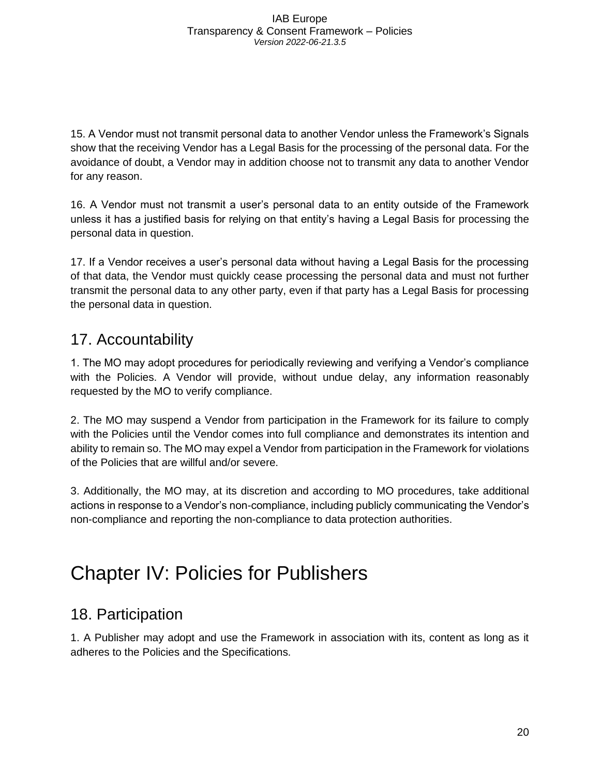15. A Vendor must not transmit personal data to another Vendor unless the Framework's Signals show that the receiving Vendor has a Legal Basis for the processing of the personal data. For the avoidance of doubt, a Vendor may in addition choose not to transmit any data to another Vendor for any reason.

16. A Vendor must not transmit a user's personal data to an entity outside of the Framework unless it has a justified basis for relying on that entity's having a Legal Basis for processing the personal data in question.

17. If a Vendor receives a user's personal data without having a Legal Basis for the processing of that data, the Vendor must quickly cease processing the personal data and must not further transmit the personal data to any other party, even if that party has a Legal Basis for processing the personal data in question.

## <span id="page-20-0"></span>17. Accountability

1. The MO may adopt procedures for periodically reviewing and verifying a Vendor's compliance with the Policies. A Vendor will provide, without undue delay, any information reasonably requested by the MO to verify compliance.

2. The MO may suspend a Vendor from participation in the Framework for its failure to comply with the Policies until the Vendor comes into full compliance and demonstrates its intention and ability to remain so. The MO may expel a Vendor from participation in the Framework for violations of the Policies that are willful and/or severe.

3. Additionally, the MO may, at its discretion and according to MO procedures, take additional actions in response to a Vendor's non-compliance, including publicly communicating the Vendor's non-compliance and reporting the non-compliance to data protection authorities.

## <span id="page-20-1"></span>Chapter IV: Policies for Publishers

## <span id="page-20-2"></span>18. Participation

1. A Publisher may adopt and use the Framework in association with its, content as long as it adheres to the Policies and the Specifications.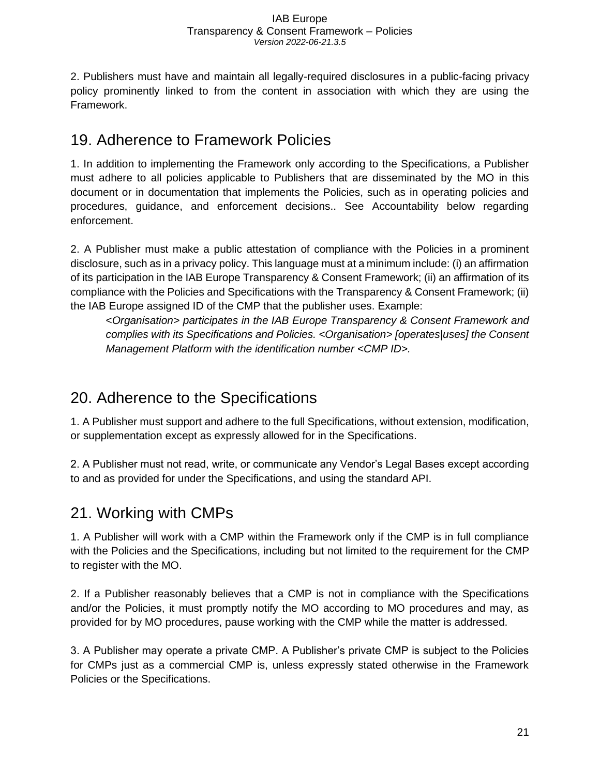2. Publishers must have and maintain all legally-required disclosures in a public-facing privacy policy prominently linked to from the content in association with which they are using the Framework.

### <span id="page-21-0"></span>19. Adherence to Framework Policies

1. In addition to implementing the Framework only according to the Specifications, a Publisher must adhere to all policies applicable to Publishers that are disseminated by the MO in this document or in documentation that implements the Policies, such as in operating policies and procedures, guidance, and enforcement decisions.. See Accountability below regarding enforcement.

2. A Publisher must make a public attestation of compliance with the Policies in a prominent disclosure, such as in a privacy policy. This language must at a minimum include: (i) an affirmation of its participation in the IAB Europe Transparency & Consent Framework; (ii) an affirmation of its compliance with the Policies and Specifications with the Transparency & Consent Framework; (ii) the IAB Europe assigned ID of the CMP that the publisher uses. Example:

<*Organisation> participates in the IAB Europe Transparency & Consent Framework and complies with its Specifications and Policies. <Organisation> [operates|uses] the Consent Management Platform with the identification number <CMP ID>.*

## <span id="page-21-1"></span>20. Adherence to the Specifications

1. A Publisher must support and adhere to the full Specifications, without extension, modification, or supplementation except as expressly allowed for in the Specifications.

2. A Publisher must not read, write, or communicate any Vendor's Legal Bases except according to and as provided for under the Specifications, and using the standard API.

## <span id="page-21-2"></span>21. Working with CMPs

1. A Publisher will work with a CMP within the Framework only if the CMP is in full compliance with the Policies and the Specifications, including but not limited to the requirement for the CMP to register with the MO.

2. If a Publisher reasonably believes that a CMP is not in compliance with the Specifications and/or the Policies, it must promptly notify the MO according to MO procedures and may, as provided for by MO procedures, pause working with the CMP while the matter is addressed.

3. A Publisher may operate a private CMP. A Publisher's private CMP is subject to the Policies for CMPs just as a commercial CMP is, unless expressly stated otherwise in the Framework Policies or the Specifications.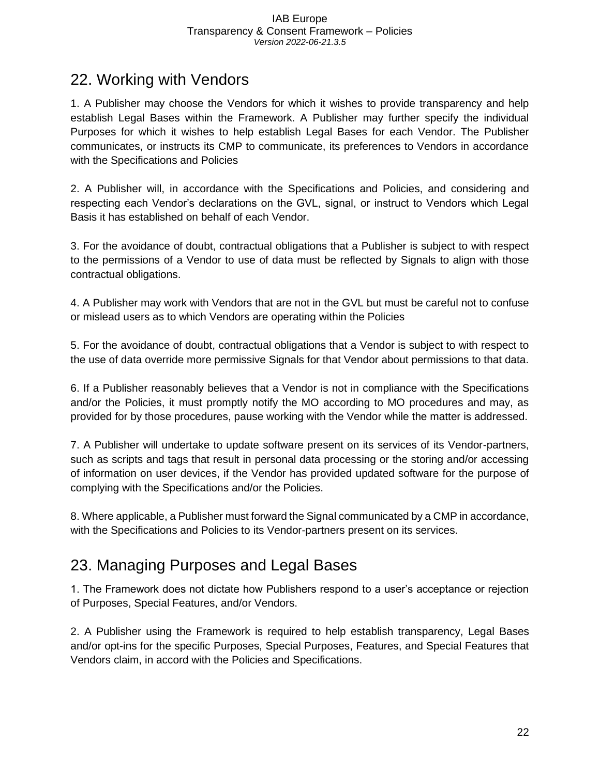### <span id="page-22-0"></span>22. Working with Vendors

1. A Publisher may choose the Vendors for which it wishes to provide transparency and help establish Legal Bases within the Framework. A Publisher may further specify the individual Purposes for which it wishes to help establish Legal Bases for each Vendor. The Publisher communicates, or instructs its CMP to communicate, its preferences to Vendors in accordance with the Specifications and Policies

2. A Publisher will, in accordance with the Specifications and Policies, and considering and respecting each Vendor's declarations on the GVL, signal, or instruct to Vendors which Legal Basis it has established on behalf of each Vendor.

3. For the avoidance of doubt, contractual obligations that a Publisher is subject to with respect to the permissions of a Vendor to use of data must be reflected by Signals to align with those contractual obligations.

4. A Publisher may work with Vendors that are not in the GVL but must be careful not to confuse or mislead users as to which Vendors are operating within the Policies

5. For the avoidance of doubt, contractual obligations that a Vendor is subject to with respect to the use of data override more permissive Signals for that Vendor about permissions to that data.

6. If a Publisher reasonably believes that a Vendor is not in compliance with the Specifications and/or the Policies, it must promptly notify the MO according to MO procedures and may, as provided for by those procedures, pause working with the Vendor while the matter is addressed.

7. A Publisher will undertake to update software present on its services of its Vendor-partners, such as scripts and tags that result in personal data processing or the storing and/or accessing of information on user devices, if the Vendor has provided updated software for the purpose of complying with the Specifications and/or the Policies.

8. Where applicable, a Publisher must forward the Signal communicated by a CMP in accordance, with the Specifications and Policies to its Vendor-partners present on its services.

## <span id="page-22-1"></span>23. Managing Purposes and Legal Bases

1. The Framework does not dictate how Publishers respond to a user's acceptance or rejection of Purposes, Special Features, and/or Vendors.

2. A Publisher using the Framework is required to help establish transparency, Legal Bases and/or opt-ins for the specific Purposes, Special Purposes, Features, and Special Features that Vendors claim, in accord with the Policies and Specifications.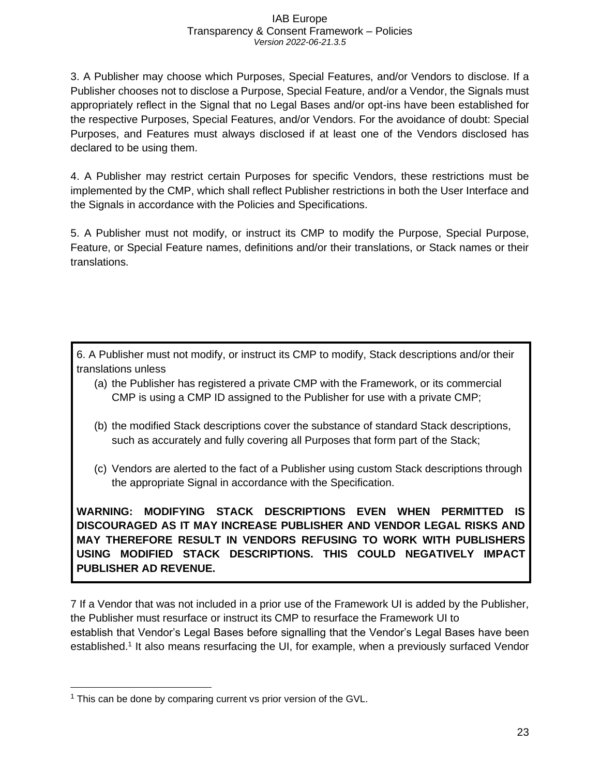3. A Publisher may choose which Purposes, Special Features, and/or Vendors to disclose. If a Publisher chooses not to disclose a Purpose, Special Feature, and/or a Vendor, the Signals must appropriately reflect in the Signal that no Legal Bases and/or opt-ins have been established for the respective Purposes, Special Features, and/or Vendors. For the avoidance of doubt: Special Purposes, and Features must always disclosed if at least one of the Vendors disclosed has declared to be using them.

4. A Publisher may restrict certain Purposes for specific Vendors, these restrictions must be implemented by the CMP, which shall reflect Publisher restrictions in both the User Interface and the Signals in accordance with the Policies and Specifications.

5. A Publisher must not modify, or instruct its CMP to modify the Purpose, Special Purpose, Feature, or Special Feature names, definitions and/or their translations, or Stack names or their translations.

6. A Publisher must not modify, or instruct its CMP to modify, Stack descriptions and/or their translations unless

- (a) the Publisher has registered a private CMP with the Framework, or its commercial CMP is using a CMP ID assigned to the Publisher for use with a private CMP;
- (b) the modified Stack descriptions cover the substance of standard Stack descriptions, such as accurately and fully covering all Purposes that form part of the Stack;
- (c) Vendors are alerted to the fact of a Publisher using custom Stack descriptions through the appropriate Signal in accordance with the Specification.

**WARNING: MODIFYING STACK DESCRIPTIONS EVEN WHEN PERMITTED IS DISCOURAGED AS IT MAY INCREASE PUBLISHER AND VENDOR LEGAL RISKS AND MAY THEREFORE RESULT IN VENDORS REFUSING TO WORK WITH PUBLISHERS USING MODIFIED STACK DESCRIPTIONS. THIS COULD NEGATIVELY IMPACT PUBLISHER AD REVENUE.** 

7 If a Vendor that was not included in a prior use of the Framework UI is added by the Publisher, the Publisher must resurface or instruct its CMP to resurface the Framework UI to establish that Vendor's Legal Bases before signalling that the Vendor's Legal Bases have been established.<sup>1</sup> It also means resurfacing the UI, for example, when a previously surfaced Vendor

 $1$  This can be done by comparing current vs prior version of the GVL.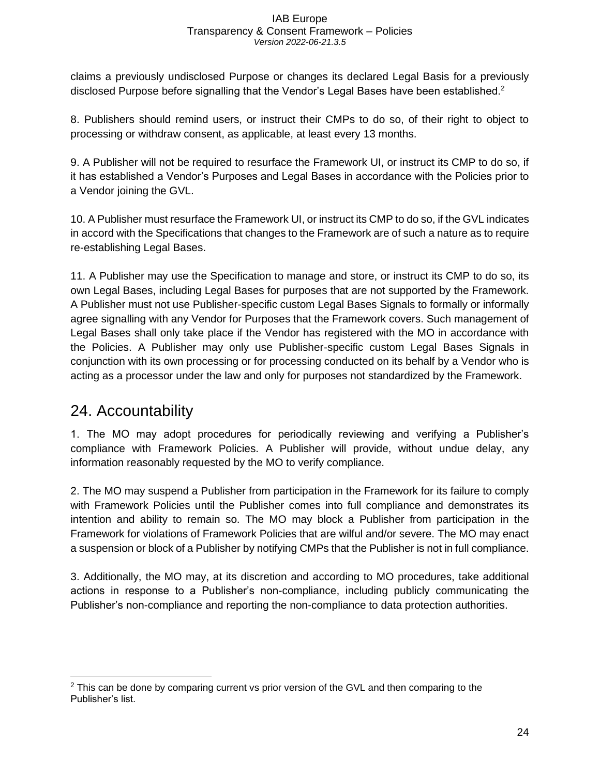claims a previously undisclosed Purpose or changes its declared Legal Basis for a previously disclosed Purpose before signalling that the Vendor's Legal Bases have been established.<sup>2</sup>

8. Publishers should remind users, or instruct their CMPs to do so, of their right to object to processing or withdraw consent, as applicable, at least every 13 months.

9. A Publisher will not be required to resurface the Framework UI, or instruct its CMP to do so, if it has established a Vendor's Purposes and Legal Bases in accordance with the Policies prior to a Vendor joining the GVL.

10. A Publisher must resurface the Framework UI, or instruct its CMP to do so, if the GVL indicates in accord with the Specifications that changes to the Framework are of such a nature as to require re-establishing Legal Bases.

11. A Publisher may use the Specification to manage and store, or instruct its CMP to do so, its own Legal Bases, including Legal Bases for purposes that are not supported by the Framework. A Publisher must not use Publisher-specific custom Legal Bases Signals to formally or informally agree signalling with any Vendor for Purposes that the Framework covers. Such management of Legal Bases shall only take place if the Vendor has registered with the MO in accordance with the Policies. A Publisher may only use Publisher-specific custom Legal Bases Signals in conjunction with its own processing or for processing conducted on its behalf by a Vendor who is acting as a processor under the law and only for purposes not standardized by the Framework.

## <span id="page-24-0"></span>24. Accountability

1. The MO may adopt procedures for periodically reviewing and verifying a Publisher's compliance with Framework Policies. A Publisher will provide, without undue delay, any information reasonably requested by the MO to verify compliance.

2. The MO may suspend a Publisher from participation in the Framework for its failure to comply with Framework Policies until the Publisher comes into full compliance and demonstrates its intention and ability to remain so. The MO may block a Publisher from participation in the Framework for violations of Framework Policies that are wilful and/or severe. The MO may enact a suspension or block of a Publisher by notifying CMPs that the Publisher is not in full compliance.

3. Additionally, the MO may, at its discretion and according to MO procedures, take additional actions in response to a Publisher's non-compliance, including publicly communicating the Publisher's non-compliance and reporting the non-compliance to data protection authorities.

 $2$  This can be done by comparing current vs prior version of the GVL and then comparing to the Publisher's list.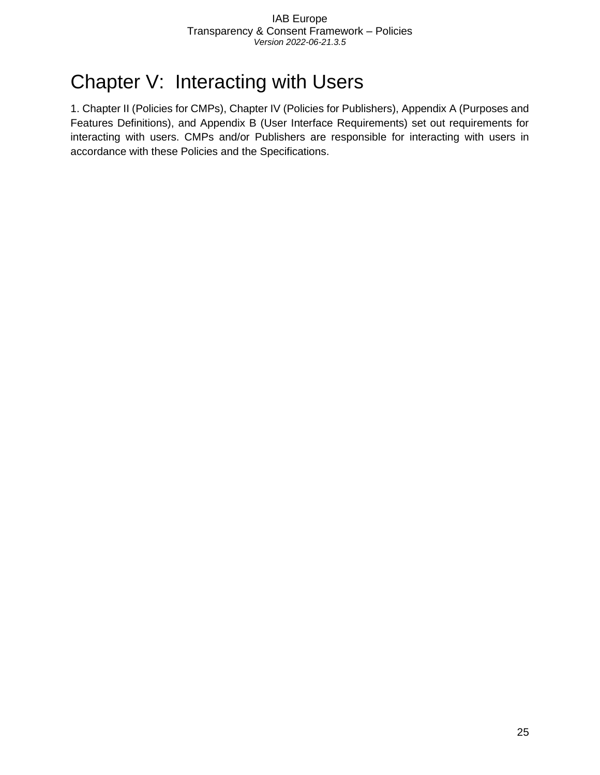## <span id="page-25-0"></span>Chapter V: Interacting with Users

1. Chapter II (Policies for CMPs), Chapter IV (Policies for Publishers), Appendix A (Purposes and Features Definitions), and Appendix B (User Interface Requirements) set out requirements for interacting with users. CMPs and/or Publishers are responsible for interacting with users in accordance with these Policies and the Specifications.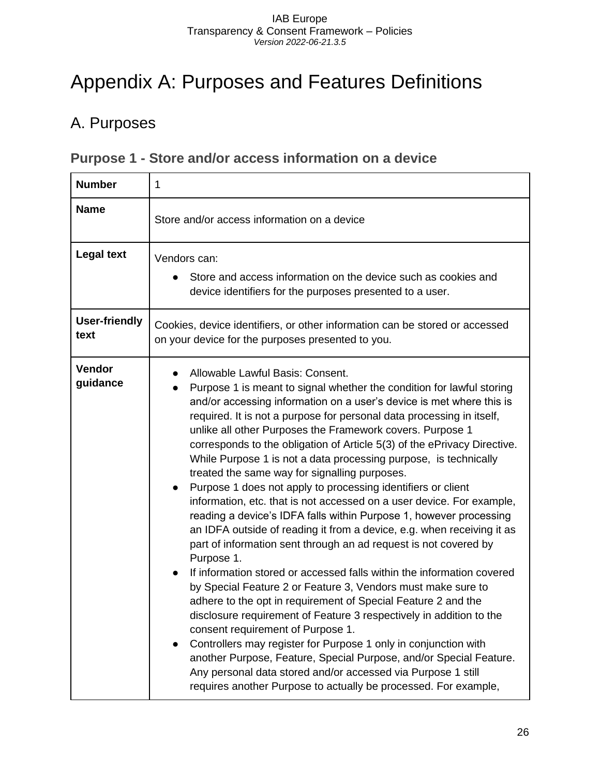## <span id="page-26-0"></span>Appendix A: Purposes and Features Definitions

## <span id="page-26-1"></span>A. Purposes

### <span id="page-26-2"></span>**Purpose 1 - Store and/or access information on a device**

| <b>Number</b>                | 1                                                                                                                                                                                                                                                                                                                                                                                                                                                                                                                                                                                                                                                                                                                                                                                                                                                                                                                                                                                                                                                                                                                                                                                                                                                                                                                                                                                                                                                                                                      |
|------------------------------|--------------------------------------------------------------------------------------------------------------------------------------------------------------------------------------------------------------------------------------------------------------------------------------------------------------------------------------------------------------------------------------------------------------------------------------------------------------------------------------------------------------------------------------------------------------------------------------------------------------------------------------------------------------------------------------------------------------------------------------------------------------------------------------------------------------------------------------------------------------------------------------------------------------------------------------------------------------------------------------------------------------------------------------------------------------------------------------------------------------------------------------------------------------------------------------------------------------------------------------------------------------------------------------------------------------------------------------------------------------------------------------------------------------------------------------------------------------------------------------------------------|
| <b>Name</b>                  | Store and/or access information on a device                                                                                                                                                                                                                                                                                                                                                                                                                                                                                                                                                                                                                                                                                                                                                                                                                                                                                                                                                                                                                                                                                                                                                                                                                                                                                                                                                                                                                                                            |
| <b>Legal text</b>            | Vendors can:<br>Store and access information on the device such as cookies and<br>device identifiers for the purposes presented to a user.                                                                                                                                                                                                                                                                                                                                                                                                                                                                                                                                                                                                                                                                                                                                                                                                                                                                                                                                                                                                                                                                                                                                                                                                                                                                                                                                                             |
| <b>User-friendly</b><br>text | Cookies, device identifiers, or other information can be stored or accessed<br>on your device for the purposes presented to you.                                                                                                                                                                                                                                                                                                                                                                                                                                                                                                                                                                                                                                                                                                                                                                                                                                                                                                                                                                                                                                                                                                                                                                                                                                                                                                                                                                       |
| Vendor<br>guidance           | Allowable Lawful Basis: Consent.<br>Purpose 1 is meant to signal whether the condition for lawful storing<br>and/or accessing information on a user's device is met where this is<br>required. It is not a purpose for personal data processing in itself,<br>unlike all other Purposes the Framework covers. Purpose 1<br>corresponds to the obligation of Article 5(3) of the ePrivacy Directive.<br>While Purpose 1 is not a data processing purpose, is technically<br>treated the same way for signalling purposes.<br>Purpose 1 does not apply to processing identifiers or client<br>information, etc. that is not accessed on a user device. For example,<br>reading a device's IDFA falls within Purpose 1, however processing<br>an IDFA outside of reading it from a device, e.g. when receiving it as<br>part of information sent through an ad request is not covered by<br>Purpose 1.<br>If information stored or accessed falls within the information covered<br>by Special Feature 2 or Feature 3, Vendors must make sure to<br>adhere to the opt in requirement of Special Feature 2 and the<br>disclosure requirement of Feature 3 respectively in addition to the<br>consent requirement of Purpose 1.<br>Controllers may register for Purpose 1 only in conjunction with<br>another Purpose, Feature, Special Purpose, and/or Special Feature.<br>Any personal data stored and/or accessed via Purpose 1 still<br>requires another Purpose to actually be processed. For example, |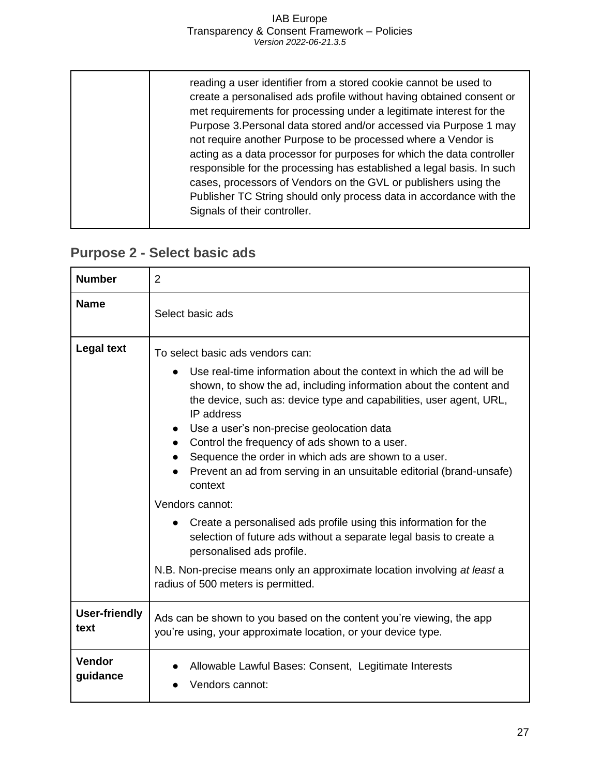| responsible for the processing has established a legal basis. In such<br>cases, processors of Vendors on the GVL or publishers using the<br>Publisher TC String should only process data in accordance with the<br>Signals of their controller. |  | reading a user identifier from a stored cookie cannot be used to<br>create a personalised ads profile without having obtained consent or<br>met requirements for processing under a legitimate interest for the<br>Purpose 3. Personal data stored and/or accessed via Purpose 1 may<br>not require another Purpose to be processed where a Vendor is<br>acting as a data processor for purposes for which the data controller |
|-------------------------------------------------------------------------------------------------------------------------------------------------------------------------------------------------------------------------------------------------|--|--------------------------------------------------------------------------------------------------------------------------------------------------------------------------------------------------------------------------------------------------------------------------------------------------------------------------------------------------------------------------------------------------------------------------------|
|-------------------------------------------------------------------------------------------------------------------------------------------------------------------------------------------------------------------------------------------------|--|--------------------------------------------------------------------------------------------------------------------------------------------------------------------------------------------------------------------------------------------------------------------------------------------------------------------------------------------------------------------------------------------------------------------------------|

## <span id="page-27-0"></span>**Purpose 2 - Select basic ads**

| <b>Number</b>                | $\overline{2}$                                                                                                                                                                                                                                                                                                                                                                                                                                                                                                                                                                                                                                                                                                                                                                                                          |
|------------------------------|-------------------------------------------------------------------------------------------------------------------------------------------------------------------------------------------------------------------------------------------------------------------------------------------------------------------------------------------------------------------------------------------------------------------------------------------------------------------------------------------------------------------------------------------------------------------------------------------------------------------------------------------------------------------------------------------------------------------------------------------------------------------------------------------------------------------------|
| <b>Name</b>                  | Select basic ads                                                                                                                                                                                                                                                                                                                                                                                                                                                                                                                                                                                                                                                                                                                                                                                                        |
| <b>Legal text</b>            | To select basic ads vendors can:<br>Use real-time information about the context in which the ad will be<br>shown, to show the ad, including information about the content and<br>the device, such as: device type and capabilities, user agent, URL,<br>IP address<br>Use a user's non-precise geolocation data<br>Control the frequency of ads shown to a user.<br>Sequence the order in which ads are shown to a user.<br>Prevent an ad from serving in an unsuitable editorial (brand-unsafe)<br>context<br>Vendors cannot:<br>Create a personalised ads profile using this information for the<br>selection of future ads without a separate legal basis to create a<br>personalised ads profile.<br>N.B. Non-precise means only an approximate location involving at least a<br>radius of 500 meters is permitted. |
| <b>User-friendly</b><br>text | Ads can be shown to you based on the content you're viewing, the app<br>you're using, your approximate location, or your device type.                                                                                                                                                                                                                                                                                                                                                                                                                                                                                                                                                                                                                                                                                   |
| Vendor<br>guidance           | Allowable Lawful Bases: Consent, Legitimate Interests<br>Vendors cannot:                                                                                                                                                                                                                                                                                                                                                                                                                                                                                                                                                                                                                                                                                                                                                |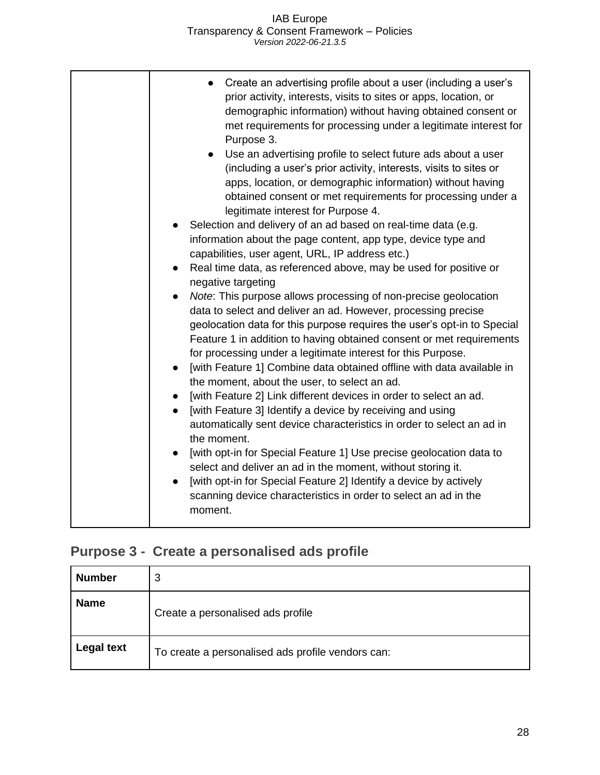## <span id="page-28-0"></span>**Purpose 3 - Create a personalised ads profile**

| <b>Number</b> | 3                                                 |
|---------------|---------------------------------------------------|
| <b>Name</b>   | Create a personalised ads profile                 |
| Legal text    | To create a personalised ads profile vendors can: |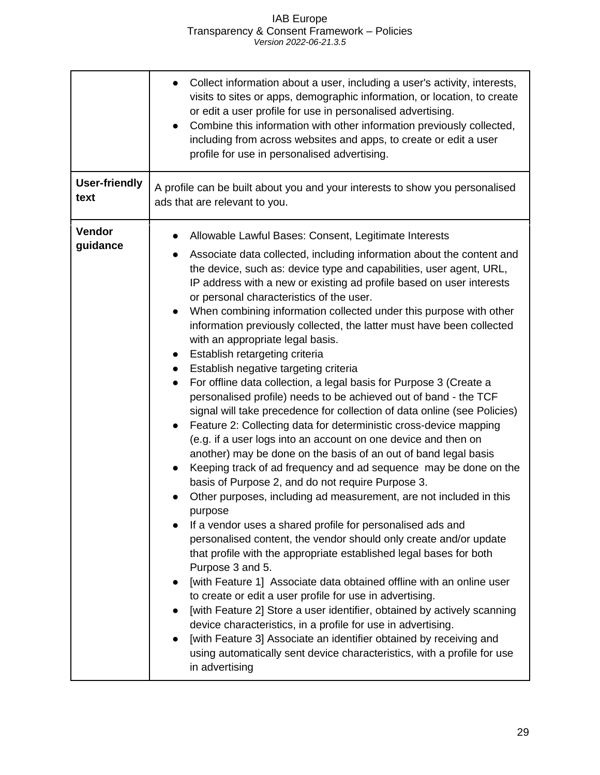|                              | Collect information about a user, including a user's activity, interests,<br>visits to sites or apps, demographic information, or location, to create<br>or edit a user profile for use in personalised advertising.<br>Combine this information with other information previously collected,<br>including from across websites and apps, to create or edit a user<br>profile for use in personalised advertising.                                                                                                                                                                                                                                                                                                                                                                                                                                                                                                                                                                                                                                                                                                                                                                                                                                                                                                                                                                                                                                                                                                                                                                                                                                                                                                                                                                                                                                                                                                                                                                             |
|------------------------------|------------------------------------------------------------------------------------------------------------------------------------------------------------------------------------------------------------------------------------------------------------------------------------------------------------------------------------------------------------------------------------------------------------------------------------------------------------------------------------------------------------------------------------------------------------------------------------------------------------------------------------------------------------------------------------------------------------------------------------------------------------------------------------------------------------------------------------------------------------------------------------------------------------------------------------------------------------------------------------------------------------------------------------------------------------------------------------------------------------------------------------------------------------------------------------------------------------------------------------------------------------------------------------------------------------------------------------------------------------------------------------------------------------------------------------------------------------------------------------------------------------------------------------------------------------------------------------------------------------------------------------------------------------------------------------------------------------------------------------------------------------------------------------------------------------------------------------------------------------------------------------------------------------------------------------------------------------------------------------------------|
| <b>User-friendly</b><br>text | A profile can be built about you and your interests to show you personalised<br>ads that are relevant to you.                                                                                                                                                                                                                                                                                                                                                                                                                                                                                                                                                                                                                                                                                                                                                                                                                                                                                                                                                                                                                                                                                                                                                                                                                                                                                                                                                                                                                                                                                                                                                                                                                                                                                                                                                                                                                                                                                  |
| Vendor<br>guidance           | Allowable Lawful Bases: Consent, Legitimate Interests<br>Associate data collected, including information about the content and<br>the device, such as: device type and capabilities, user agent, URL,<br>IP address with a new or existing ad profile based on user interests<br>or personal characteristics of the user.<br>When combining information collected under this purpose with other<br>$\bullet$<br>information previously collected, the latter must have been collected<br>with an appropriate legal basis.<br>Establish retargeting criteria<br>$\bullet$<br>Establish negative targeting criteria<br>$\bullet$<br>For offline data collection, a legal basis for Purpose 3 (Create a<br>$\bullet$<br>personalised profile) needs to be achieved out of band - the TCF<br>signal will take precedence for collection of data online (see Policies)<br>Feature 2: Collecting data for deterministic cross-device mapping<br>(e.g. if a user logs into an account on one device and then on<br>another) may be done on the basis of an out of band legal basis<br>Keeping track of ad frequency and ad sequence may be done on the<br>$\bullet$<br>basis of Purpose 2, and do not require Purpose 3.<br>Other purposes, including ad measurement, are not included in this<br>purpose<br>If a vendor uses a shared profile for personalised ads and<br>personalised content, the vendor should only create and/or update<br>that profile with the appropriate established legal bases for both<br>Purpose 3 and 5.<br>[with Feature 1] Associate data obtained offline with an online user<br>to create or edit a user profile for use in advertising.<br>[with Feature 2] Store a user identifier, obtained by actively scanning<br>device characteristics, in a profile for use in advertising.<br>[with Feature 3] Associate an identifier obtained by receiving and<br>$\bullet$<br>using automatically sent device characteristics, with a profile for use<br>in advertising |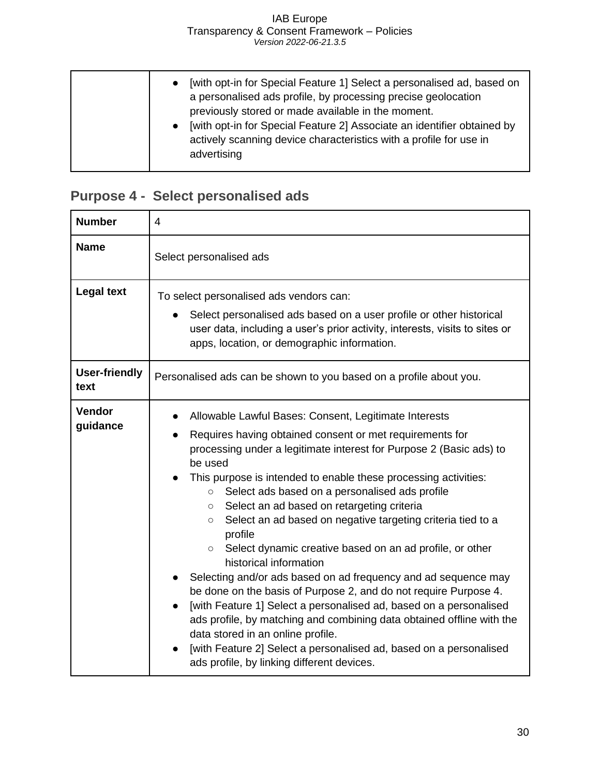| [with opt-in for Special Feature 1] Select a personalised ad, based on<br>a personalised ads profile, by processing precise geolocation<br>previously stored or made available in the moment.<br>• [with opt-in for Special Feature 2] Associate an identifier obtained by<br>actively scanning device characteristics with a profile for use in<br>advertising |
|-----------------------------------------------------------------------------------------------------------------------------------------------------------------------------------------------------------------------------------------------------------------------------------------------------------------------------------------------------------------|
|-----------------------------------------------------------------------------------------------------------------------------------------------------------------------------------------------------------------------------------------------------------------------------------------------------------------------------------------------------------------|

## <span id="page-30-0"></span>**Purpose 4 - Select personalised ads**

| <b>Number</b>                | 4                                                                                                                                                                                                                                                                                                                                                                                                                                                                                                                                                                                                                                                                                                                                                                                                                                                                                                                                                                                                                       |
|------------------------------|-------------------------------------------------------------------------------------------------------------------------------------------------------------------------------------------------------------------------------------------------------------------------------------------------------------------------------------------------------------------------------------------------------------------------------------------------------------------------------------------------------------------------------------------------------------------------------------------------------------------------------------------------------------------------------------------------------------------------------------------------------------------------------------------------------------------------------------------------------------------------------------------------------------------------------------------------------------------------------------------------------------------------|
| <b>Name</b>                  | Select personalised ads                                                                                                                                                                                                                                                                                                                                                                                                                                                                                                                                                                                                                                                                                                                                                                                                                                                                                                                                                                                                 |
| <b>Legal text</b>            | To select personalised ads vendors can:<br>Select personalised ads based on a user profile or other historical<br>user data, including a user's prior activity, interests, visits to sites or<br>apps, location, or demographic information.                                                                                                                                                                                                                                                                                                                                                                                                                                                                                                                                                                                                                                                                                                                                                                            |
| <b>User-friendly</b><br>text | Personalised ads can be shown to you based on a profile about you.                                                                                                                                                                                                                                                                                                                                                                                                                                                                                                                                                                                                                                                                                                                                                                                                                                                                                                                                                      |
| <b>Vendor</b><br>guidance    | Allowable Lawful Bases: Consent, Legitimate Interests<br>Requires having obtained consent or met requirements for<br>processing under a legitimate interest for Purpose 2 (Basic ads) to<br>be used<br>This purpose is intended to enable these processing activities:<br>Select ads based on a personalised ads profile<br>$\circ$<br>Select an ad based on retargeting criteria<br>$\circ$<br>Select an ad based on negative targeting criteria tied to a<br>$\circ$<br>profile<br>○ Select dynamic creative based on an ad profile, or other<br>historical information<br>Selecting and/or ads based on ad frequency and ad sequence may<br>be done on the basis of Purpose 2, and do not require Purpose 4.<br>[with Feature 1] Select a personalised ad, based on a personalised<br>ads profile, by matching and combining data obtained offline with the<br>data stored in an online profile.<br>[with Feature 2] Select a personalised ad, based on a personalised<br>ads profile, by linking different devices. |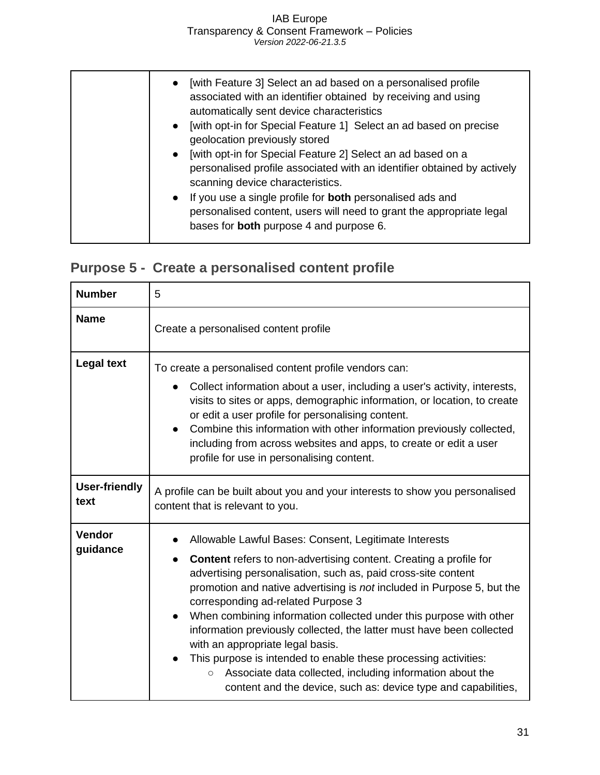|  | • [with Feature 3] Select an ad based on a personalised profile<br>associated with an identifier obtained by receiving and using<br>automatically sent device characteristics<br>• [with opt-in for Special Feature 1] Select an ad based on precise<br>geolocation previously stored<br>[with opt-in for Special Feature 2] Select an ad based on a<br>$\bullet$<br>personalised profile associated with an identifier obtained by actively<br>scanning device characteristics.<br>• If you use a single profile for <b>both</b> personalised ads and<br>personalised content, users will need to grant the appropriate legal<br>bases for <b>both</b> purpose 4 and purpose 6. |
|--|----------------------------------------------------------------------------------------------------------------------------------------------------------------------------------------------------------------------------------------------------------------------------------------------------------------------------------------------------------------------------------------------------------------------------------------------------------------------------------------------------------------------------------------------------------------------------------------------------------------------------------------------------------------------------------|
|--|----------------------------------------------------------------------------------------------------------------------------------------------------------------------------------------------------------------------------------------------------------------------------------------------------------------------------------------------------------------------------------------------------------------------------------------------------------------------------------------------------------------------------------------------------------------------------------------------------------------------------------------------------------------------------------|

## <span id="page-31-0"></span>**Purpose 5 - Create a personalised content profile**

| <b>Number</b>                | 5                                                                                                                                                                                                                                                                                                                                                                                                                                                                                                                                                                                                                                                                                                           |
|------------------------------|-------------------------------------------------------------------------------------------------------------------------------------------------------------------------------------------------------------------------------------------------------------------------------------------------------------------------------------------------------------------------------------------------------------------------------------------------------------------------------------------------------------------------------------------------------------------------------------------------------------------------------------------------------------------------------------------------------------|
| <b>Name</b>                  | Create a personalised content profile                                                                                                                                                                                                                                                                                                                                                                                                                                                                                                                                                                                                                                                                       |
| <b>Legal text</b>            | To create a personalised content profile vendors can:<br>Collect information about a user, including a user's activity, interests,<br>visits to sites or apps, demographic information, or location, to create<br>or edit a user profile for personalising content.<br>Combine this information with other information previously collected,<br>$\bullet$<br>including from across websites and apps, to create or edit a user<br>profile for use in personalising content.                                                                                                                                                                                                                                 |
| <b>User-friendly</b><br>text | A profile can be built about you and your interests to show you personalised<br>content that is relevant to you.                                                                                                                                                                                                                                                                                                                                                                                                                                                                                                                                                                                            |
| <b>Vendor</b><br>guidance    | Allowable Lawful Bases: Consent, Legitimate Interests<br>Content refers to non-advertising content. Creating a profile for<br>advertising personalisation, such as, paid cross-site content<br>promotion and native advertising is not included in Purpose 5, but the<br>corresponding ad-related Purpose 3<br>When combining information collected under this purpose with other<br>information previously collected, the latter must have been collected<br>with an appropriate legal basis.<br>This purpose is intended to enable these processing activities:<br>Associate data collected, including information about the<br>$\circ$<br>content and the device, such as: device type and capabilities, |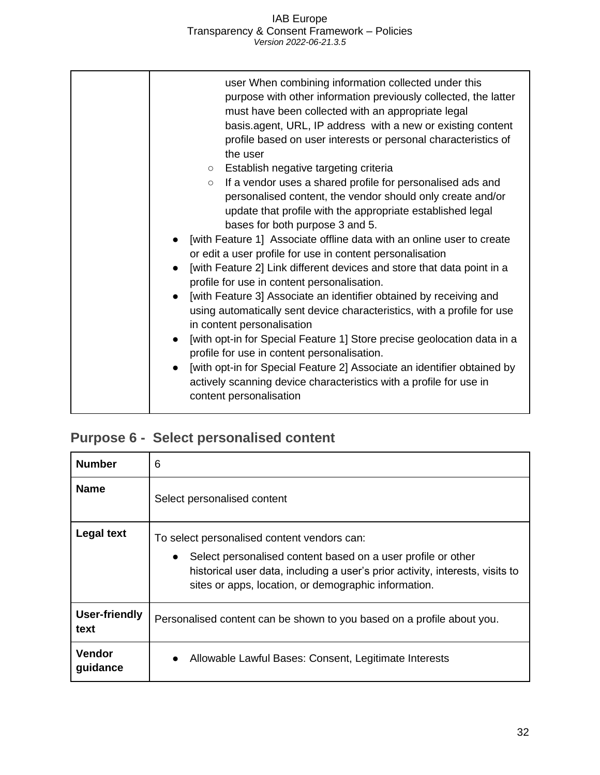| $\circ$ | user When combining information collected under this<br>purpose with other information previously collected, the latter<br>must have been collected with an appropriate legal<br>basis.agent, URL, IP address with a new or existing content<br>profile based on user interests or personal characteristics of<br>the user<br>○ Establish negative targeting criteria<br>If a vendor uses a shared profile for personalised ads and<br>personalised content, the vendor should only create and/or<br>update that profile with the appropriate established legal<br>bases for both purpose 3 and 5.<br>[with Feature 1] Associate offline data with an online user to create<br>or edit a user profile for use in content personalisation<br>[with Feature 2] Link different devices and store that data point in a<br>profile for use in content personalisation.<br>[with Feature 3] Associate an identifier obtained by receiving and<br>using automatically sent device characteristics, with a profile for use<br>in content personalisation<br>[with opt-in for Special Feature 1] Store precise geolocation data in a<br>profile for use in content personalisation.<br>[with opt-in for Special Feature 2] Associate an identifier obtained by<br>actively scanning device characteristics with a profile for use in<br>content personalisation |
|---------|--------------------------------------------------------------------------------------------------------------------------------------------------------------------------------------------------------------------------------------------------------------------------------------------------------------------------------------------------------------------------------------------------------------------------------------------------------------------------------------------------------------------------------------------------------------------------------------------------------------------------------------------------------------------------------------------------------------------------------------------------------------------------------------------------------------------------------------------------------------------------------------------------------------------------------------------------------------------------------------------------------------------------------------------------------------------------------------------------------------------------------------------------------------------------------------------------------------------------------------------------------------------------------------------------------------------------------------------------------|
|---------|--------------------------------------------------------------------------------------------------------------------------------------------------------------------------------------------------------------------------------------------------------------------------------------------------------------------------------------------------------------------------------------------------------------------------------------------------------------------------------------------------------------------------------------------------------------------------------------------------------------------------------------------------------------------------------------------------------------------------------------------------------------------------------------------------------------------------------------------------------------------------------------------------------------------------------------------------------------------------------------------------------------------------------------------------------------------------------------------------------------------------------------------------------------------------------------------------------------------------------------------------------------------------------------------------------------------------------------------------------|

## <span id="page-32-0"></span>**Purpose 6 - Select personalised content**

| <b>Number</b>             | 6                                                                                                                                                                                                                                                                 |
|---------------------------|-------------------------------------------------------------------------------------------------------------------------------------------------------------------------------------------------------------------------------------------------------------------|
| <b>Name</b>               | Select personalised content                                                                                                                                                                                                                                       |
| <b>Legal text</b>         | To select personalised content vendors can:<br>Select personalised content based on a user profile or other<br>$\bullet$<br>historical user data, including a user's prior activity, interests, visits to<br>sites or apps, location, or demographic information. |
| User-friendly<br>text     | Personalised content can be shown to you based on a profile about you.                                                                                                                                                                                            |
| <b>Vendor</b><br>guidance | Allowable Lawful Bases: Consent, Legitimate Interests                                                                                                                                                                                                             |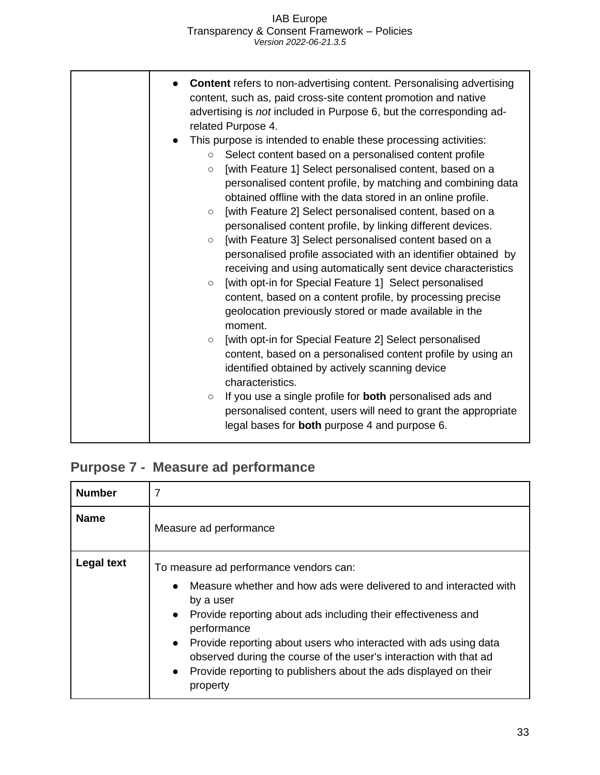| <b>Content</b> refers to non-advertising content. Personalising advertising<br>content, such as, paid cross-site content promotion and native<br>advertising is not included in Purpose 6, but the corresponding ad-<br>related Purpose 4.                                                                                                                                                                                                                                                                                                                                                                                                                                                                                                                                                                                                                                                         |
|----------------------------------------------------------------------------------------------------------------------------------------------------------------------------------------------------------------------------------------------------------------------------------------------------------------------------------------------------------------------------------------------------------------------------------------------------------------------------------------------------------------------------------------------------------------------------------------------------------------------------------------------------------------------------------------------------------------------------------------------------------------------------------------------------------------------------------------------------------------------------------------------------|
| This purpose is intended to enable these processing activities:<br>Select content based on a personalised content profile<br>$\circ$<br>[with Feature 1] Select personalised content, based on a<br>$\circ$<br>personalised content profile, by matching and combining data<br>obtained offline with the data stored in an online profile.<br>[with Feature 2] Select personalised content, based on a<br>$\circ$<br>personalised content profile, by linking different devices.<br>[with Feature 3] Select personalised content based on a<br>$\circ$<br>personalised profile associated with an identifier obtained by<br>receiving and using automatically sent device characteristics<br>[with opt-in for Special Feature 1] Select personalised<br>$\circ$<br>content, based on a content profile, by processing precise<br>geolocation previously stored or made available in the<br>moment. |
| [with opt-in for Special Feature 2] Select personalised<br>$\circ$<br>content, based on a personalised content profile by using an<br>identified obtained by actively scanning device<br>characteristics.<br>If you use a single profile for both personalised ads and<br>$\circ$<br>personalised content, users will need to grant the appropriate<br>legal bases for <b>both</b> purpose 4 and purpose 6.                                                                                                                                                                                                                                                                                                                                                                                                                                                                                        |

## <span id="page-33-0"></span>**Purpose 7 - Measure ad performance**

| <b>Number</b>     | 7                                                                                                                                                                                                                                                                                                                                                                                                                                                  |
|-------------------|----------------------------------------------------------------------------------------------------------------------------------------------------------------------------------------------------------------------------------------------------------------------------------------------------------------------------------------------------------------------------------------------------------------------------------------------------|
| <b>Name</b>       | Measure ad performance                                                                                                                                                                                                                                                                                                                                                                                                                             |
| <b>Legal text</b> | To measure ad performance vendors can:<br>Measure whether and how ads were delivered to and interacted with<br>by a user<br>• Provide reporting about ads including their effectiveness and<br>performance<br>• Provide reporting about users who interacted with ads using data<br>observed during the course of the user's interaction with that ad<br>Provide reporting to publishers about the ads displayed on their<br>$\bullet$<br>property |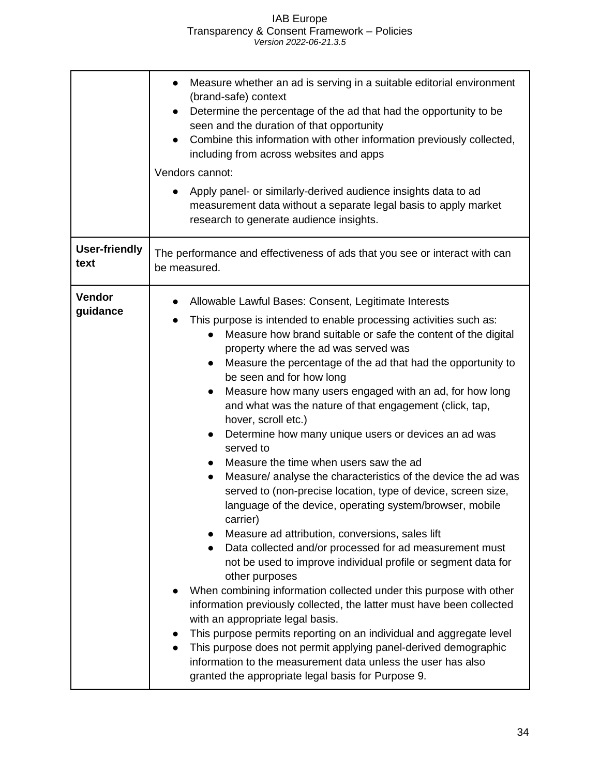|                              | Measure whether an ad is serving in a suitable editorial environment<br>(brand-safe) context<br>Determine the percentage of the ad that had the opportunity to be<br>seen and the duration of that opportunity<br>Combine this information with other information previously collected,<br>including from across websites and apps<br>Vendors cannot:<br>Apply panel- or similarly-derived audience insights data to ad<br>measurement data without a separate legal basis to apply market<br>research to generate audience insights.                                                                                                                                                                                                                                                                                                                                                                                                                                                                                                                                                                                                                                                                                                                                                                                                                                                                                                                                  |
|------------------------------|------------------------------------------------------------------------------------------------------------------------------------------------------------------------------------------------------------------------------------------------------------------------------------------------------------------------------------------------------------------------------------------------------------------------------------------------------------------------------------------------------------------------------------------------------------------------------------------------------------------------------------------------------------------------------------------------------------------------------------------------------------------------------------------------------------------------------------------------------------------------------------------------------------------------------------------------------------------------------------------------------------------------------------------------------------------------------------------------------------------------------------------------------------------------------------------------------------------------------------------------------------------------------------------------------------------------------------------------------------------------------------------------------------------------------------------------------------------------|
| <b>User-friendly</b><br>text | The performance and effectiveness of ads that you see or interact with can<br>be measured.                                                                                                                                                                                                                                                                                                                                                                                                                                                                                                                                                                                                                                                                                                                                                                                                                                                                                                                                                                                                                                                                                                                                                                                                                                                                                                                                                                             |
| Vendor<br>guidance           | Allowable Lawful Bases: Consent, Legitimate Interests<br>This purpose is intended to enable processing activities such as:<br>$\bullet$<br>Measure how brand suitable or safe the content of the digital<br>property where the ad was served was<br>Measure the percentage of the ad that had the opportunity to<br>be seen and for how long<br>Measure how many users engaged with an ad, for how long<br>and what was the nature of that engagement (click, tap,<br>hover, scroll etc.)<br>Determine how many unique users or devices an ad was<br>served to<br>Measure the time when users saw the ad<br>Measure/ analyse the characteristics of the device the ad was<br>served to (non-precise location, type of device, screen size,<br>language of the device, operating system/browser, mobile<br>carrier)<br>Measure ad attribution, conversions, sales lift<br>Data collected and/or processed for ad measurement must<br>not be used to improve individual profile or segment data for<br>other purposes<br>When combining information collected under this purpose with other<br>information previously collected, the latter must have been collected<br>with an appropriate legal basis.<br>This purpose permits reporting on an individual and aggregate level<br>This purpose does not permit applying panel-derived demographic<br>information to the measurement data unless the user has also<br>granted the appropriate legal basis for Purpose 9. |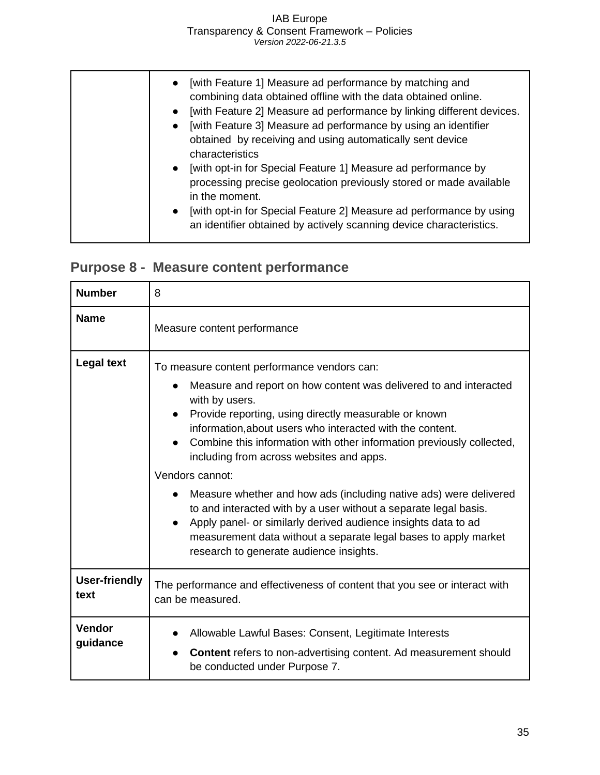| • [with Feature 1] Measure ad performance by matching and<br>combining data obtained offline with the data obtained online.<br>[with Feature 2] Measure ad performance by linking different devices.<br>[with Feature 3] Measure ad performance by using an identifier<br>obtained by receiving and using automatically sent device<br>characteristics |
|--------------------------------------------------------------------------------------------------------------------------------------------------------------------------------------------------------------------------------------------------------------------------------------------------------------------------------------------------------|
| • [with opt-in for Special Feature 1] Measure ad performance by<br>processing precise geolocation previously stored or made available<br>in the moment.<br>• [with opt-in for Special Feature 2] Measure ad performance by using<br>an identifier obtained by actively scanning device characteristics.                                                |

## <span id="page-35-0"></span>**Purpose 8 - Measure content performance**

| <b>Number</b>                | 8                                                                                                                                                                                                                                                                                                                                                                                                                                                                                                                                                                                                                                                                                                                                                   |
|------------------------------|-----------------------------------------------------------------------------------------------------------------------------------------------------------------------------------------------------------------------------------------------------------------------------------------------------------------------------------------------------------------------------------------------------------------------------------------------------------------------------------------------------------------------------------------------------------------------------------------------------------------------------------------------------------------------------------------------------------------------------------------------------|
| <b>Name</b>                  | Measure content performance                                                                                                                                                                                                                                                                                                                                                                                                                                                                                                                                                                                                                                                                                                                         |
| <b>Legal text</b>            | To measure content performance vendors can:<br>Measure and report on how content was delivered to and interacted<br>$\bullet$<br>with by users.<br>Provide reporting, using directly measurable or known<br>information, about users who interacted with the content.<br>Combine this information with other information previously collected,<br>including from across websites and apps.<br>Vendors cannot:<br>Measure whether and how ads (including native ads) were delivered<br>to and interacted with by a user without a separate legal basis.<br>Apply panel- or similarly derived audience insights data to ad<br>$\bullet$<br>measurement data without a separate legal bases to apply market<br>research to generate audience insights. |
| <b>User-friendly</b><br>text | The performance and effectiveness of content that you see or interact with<br>can be measured.                                                                                                                                                                                                                                                                                                                                                                                                                                                                                                                                                                                                                                                      |
| <b>Vendor</b><br>guidance    | Allowable Lawful Bases: Consent, Legitimate Interests<br><b>Content</b> refers to non-advertising content. Ad measurement should<br>be conducted under Purpose 7.                                                                                                                                                                                                                                                                                                                                                                                                                                                                                                                                                                                   |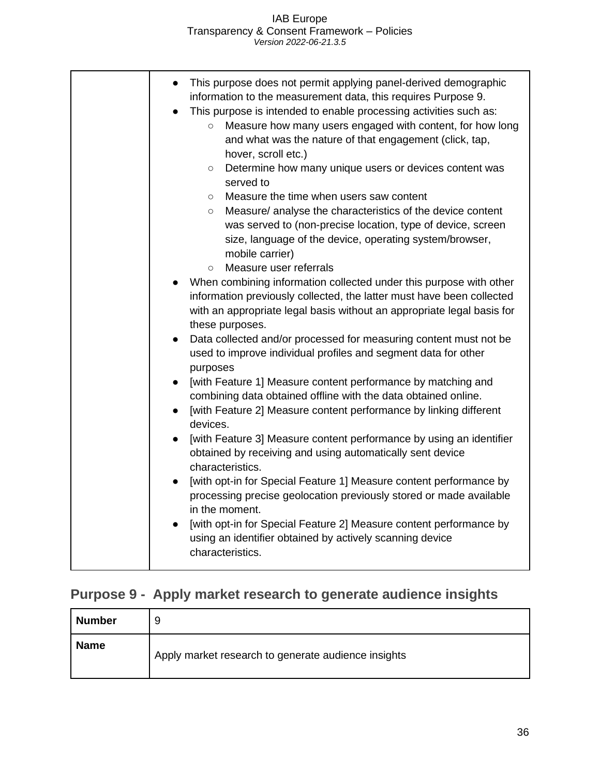| [with opt-in for Special Feature 2] Measure content performance by<br>using an identifier obtained by actively scanning device |
|--------------------------------------------------------------------------------------------------------------------------------|
|--------------------------------------------------------------------------------------------------------------------------------|

## <span id="page-36-0"></span>**Purpose 9 - Apply market research to generate audience insights**

| <b>Number</b> | 9                                                   |
|---------------|-----------------------------------------------------|
| <b>Name</b>   | Apply market research to generate audience insights |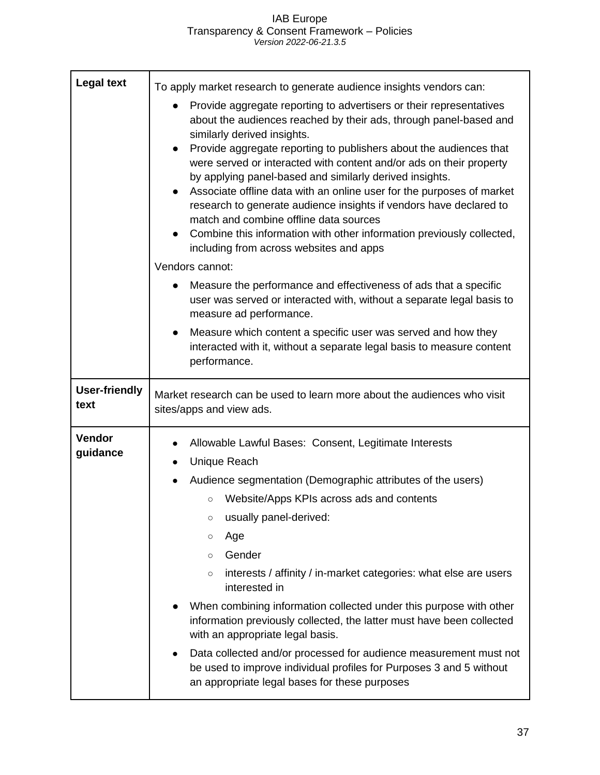| <b>Legal text</b>            | To apply market research to generate audience insights vendors can:                                                                                                                                                                                                                                                                                                                                                                                                                                                                                                                                                                                                                                                    |
|------------------------------|------------------------------------------------------------------------------------------------------------------------------------------------------------------------------------------------------------------------------------------------------------------------------------------------------------------------------------------------------------------------------------------------------------------------------------------------------------------------------------------------------------------------------------------------------------------------------------------------------------------------------------------------------------------------------------------------------------------------|
|                              | Provide aggregate reporting to advertisers or their representatives<br>about the audiences reached by their ads, through panel-based and<br>similarly derived insights.<br>Provide aggregate reporting to publishers about the audiences that<br>$\bullet$<br>were served or interacted with content and/or ads on their property<br>by applying panel-based and similarly derived insights.<br>Associate offline data with an online user for the purposes of market<br>research to generate audience insights if vendors have declared to<br>match and combine offline data sources<br>Combine this information with other information previously collected,<br>including from across websites and apps              |
|                              | Vendors cannot:                                                                                                                                                                                                                                                                                                                                                                                                                                                                                                                                                                                                                                                                                                        |
|                              | Measure the performance and effectiveness of ads that a specific<br>user was served or interacted with, without a separate legal basis to<br>measure ad performance.                                                                                                                                                                                                                                                                                                                                                                                                                                                                                                                                                   |
|                              | Measure which content a specific user was served and how they<br>interacted with it, without a separate legal basis to measure content<br>performance.                                                                                                                                                                                                                                                                                                                                                                                                                                                                                                                                                                 |
| <b>User-friendly</b><br>text | Market research can be used to learn more about the audiences who visit<br>sites/apps and view ads.                                                                                                                                                                                                                                                                                                                                                                                                                                                                                                                                                                                                                    |
| <b>Vendor</b><br>guidance    | Allowable Lawful Bases: Consent, Legitimate Interests<br>Unique Reach<br>Audience segmentation (Demographic attributes of the users)<br>Website/Apps KPIs across ads and contents<br>$\bigcirc$<br>usually panel-derived:<br>$\circlearrowright$<br>Age<br>$\circ$<br>Gender<br>$\circ$<br>interests / affinity / in-market categories: what else are users<br>$\circ$<br>interested in<br>When combining information collected under this purpose with other<br>information previously collected, the latter must have been collected<br>with an appropriate legal basis.<br>Data collected and/or processed for audience measurement must not<br>be used to improve individual profiles for Purposes 3 and 5 without |
|                              | an appropriate legal bases for these purposes                                                                                                                                                                                                                                                                                                                                                                                                                                                                                                                                                                                                                                                                          |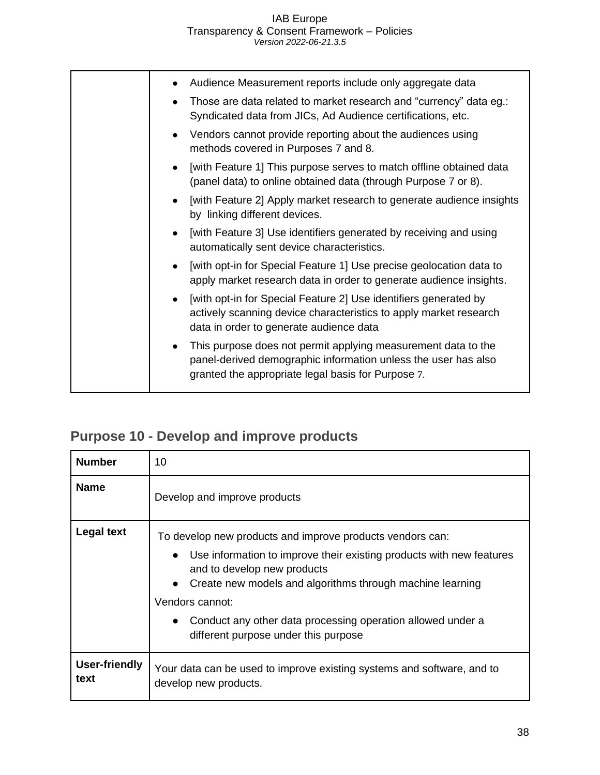|  | Audience Measurement reports include only aggregate data<br>Those are data related to market research and "currency" data eg.:<br>Syndicated data from JICs, Ad Audience certifications, etc. |
|--|-----------------------------------------------------------------------------------------------------------------------------------------------------------------------------------------------|
|  | • Vendors cannot provide reporting about the audiences using<br>methods covered in Purposes 7 and 8.                                                                                          |
|  | [with Feature 1] This purpose serves to match offline obtained data<br>(panel data) to online obtained data (through Purpose 7 or 8).                                                         |
|  | [with Feature 2] Apply market research to generate audience insights<br>by linking different devices.                                                                                         |
|  | [with Feature 3] Use identifiers generated by receiving and using<br>automatically sent device characteristics.                                                                               |
|  | [with opt-in for Special Feature 1] Use precise geolocation data to<br>apply market research data in order to generate audience insights.                                                     |
|  | [with opt-in for Special Feature 2] Use identifiers generated by<br>actively scanning device characteristics to apply market research<br>data in order to generate audience data              |
|  | This purpose does not permit applying measurement data to the<br>panel-derived demographic information unless the user has also<br>granted the appropriate legal basis for Purpose 7.         |
|  |                                                                                                                                                                                               |

## <span id="page-38-0"></span>**Purpose 10 - Develop and improve products**

| <b>Number</b>                | 10                                                                                                                                                                                                                                                                                                                                                                   |
|------------------------------|----------------------------------------------------------------------------------------------------------------------------------------------------------------------------------------------------------------------------------------------------------------------------------------------------------------------------------------------------------------------|
| <b>Name</b>                  | Develop and improve products                                                                                                                                                                                                                                                                                                                                         |
| <b>Legal text</b>            | To develop new products and improve products vendors can:<br>Use information to improve their existing products with new features<br>$\bullet$<br>and to develop new products<br>Create new models and algorithms through machine learning<br>Vendors cannot:<br>Conduct any other data processing operation allowed under a<br>different purpose under this purpose |
| <b>User-friendly</b><br>text | Your data can be used to improve existing systems and software, and to<br>develop new products.                                                                                                                                                                                                                                                                      |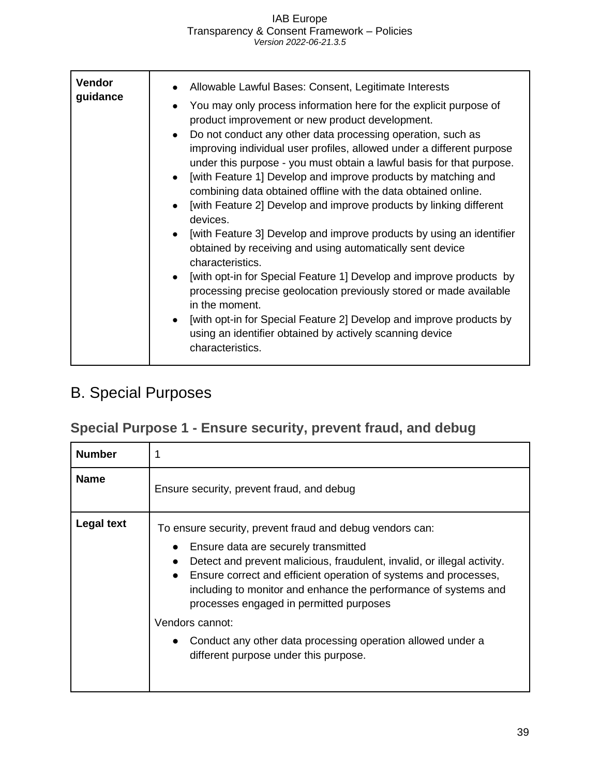| <b>Vendor</b><br>Allowable Lawful Bases: Consent, Legitimate Interests<br>guidance<br>You may only process information here for the explicit purpose of<br>product improvement or new product development.<br>Do not conduct any other data processing operation, such as<br>improving individual user profiles, allowed under a different purpose<br>under this purpose - you must obtain a lawful basis for that purpose.<br>[with Feature 1] Develop and improve products by matching and<br>combining data obtained offline with the data obtained online.<br>[with Feature 2] Develop and improve products by linking different<br>devices.<br>[with Feature 3] Develop and improve products by using an identifier<br>obtained by receiving and using automatically sent device<br>characteristics.<br>[with opt-in for Special Feature 1] Develop and improve products by<br>processing precise geolocation previously stored or made available<br>in the moment.<br>[with opt-in for Special Feature 2] Develop and improve products by<br>using an identifier obtained by actively scanning device<br>characteristics. |  |
|---------------------------------------------------------------------------------------------------------------------------------------------------------------------------------------------------------------------------------------------------------------------------------------------------------------------------------------------------------------------------------------------------------------------------------------------------------------------------------------------------------------------------------------------------------------------------------------------------------------------------------------------------------------------------------------------------------------------------------------------------------------------------------------------------------------------------------------------------------------------------------------------------------------------------------------------------------------------------------------------------------------------------------------------------------------------------------------------------------------------------------|--|

## <span id="page-39-0"></span>B. Special Purposes

## <span id="page-39-1"></span>**Special Purpose 1 - Ensure security, prevent fraud, and debug**

| <b>Number</b>     |                                                                                                                                                                                                                                                                                                                                                                                                                                                                                                         |
|-------------------|---------------------------------------------------------------------------------------------------------------------------------------------------------------------------------------------------------------------------------------------------------------------------------------------------------------------------------------------------------------------------------------------------------------------------------------------------------------------------------------------------------|
| <b>Name</b>       | Ensure security, prevent fraud, and debug                                                                                                                                                                                                                                                                                                                                                                                                                                                               |
| <b>Legal text</b> | To ensure security, prevent fraud and debug vendors can:<br>Ensure data are securely transmitted<br>Detect and prevent malicious, fraudulent, invalid, or illegal activity.<br>$\bullet$<br>• Ensure correct and efficient operation of systems and processes,<br>including to monitor and enhance the performance of systems and<br>processes engaged in permitted purposes<br>Vendors cannot:<br>Conduct any other data processing operation allowed under a<br>different purpose under this purpose. |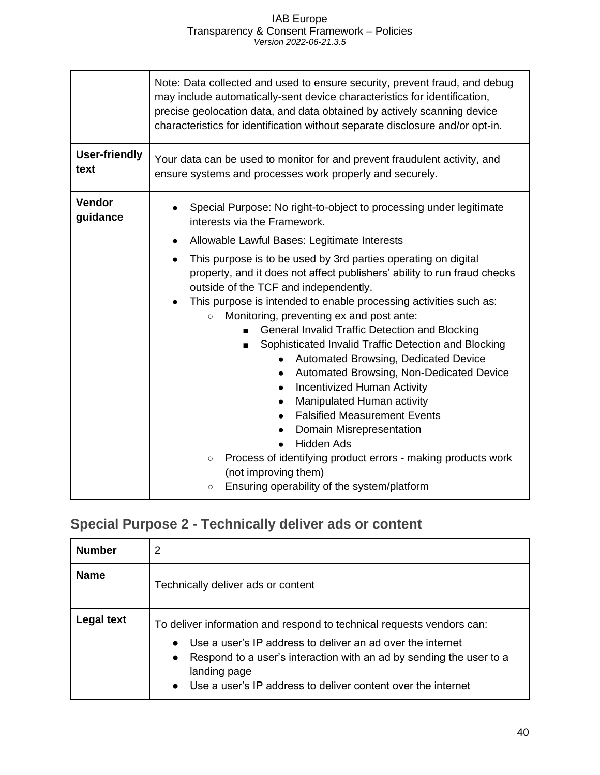|                              | Note: Data collected and used to ensure security, prevent fraud, and debug<br>may include automatically-sent device characteristics for identification,<br>precise geolocation data, and data obtained by actively scanning device<br>characteristics for identification without separate disclosure and/or opt-in.                                                                                                                                                                                                                                                                                                                                                                                                                                                                                                                                                                               |
|------------------------------|---------------------------------------------------------------------------------------------------------------------------------------------------------------------------------------------------------------------------------------------------------------------------------------------------------------------------------------------------------------------------------------------------------------------------------------------------------------------------------------------------------------------------------------------------------------------------------------------------------------------------------------------------------------------------------------------------------------------------------------------------------------------------------------------------------------------------------------------------------------------------------------------------|
| <b>User-friendly</b><br>text | Your data can be used to monitor for and prevent fraudulent activity, and<br>ensure systems and processes work properly and securely.                                                                                                                                                                                                                                                                                                                                                                                                                                                                                                                                                                                                                                                                                                                                                             |
| <b>Vendor</b><br>guidance    | Special Purpose: No right-to-object to processing under legitimate<br>interests via the Framework.<br>Allowable Lawful Bases: Legitimate Interests<br>$\bullet$                                                                                                                                                                                                                                                                                                                                                                                                                                                                                                                                                                                                                                                                                                                                   |
|                              | This purpose is to be used by 3rd parties operating on digital<br>property, and it does not affect publishers' ability to run fraud checks<br>outside of the TCF and independently.<br>This purpose is intended to enable processing activities such as:<br>Monitoring, preventing ex and post ante:<br>$\circ$<br><b>General Invalid Traffic Detection and Blocking</b><br>Sophisticated Invalid Traffic Detection and Blocking<br>Automated Browsing, Dedicated Device<br>$\bullet$<br>Automated Browsing, Non-Dedicated Device<br><b>Incentivized Human Activity</b><br>$\bullet$<br>Manipulated Human activity<br>$\bullet$<br><b>Falsified Measurement Events</b><br>$\bullet$<br>Domain Misrepresentation<br><b>Hidden Ads</b><br>Process of identifying product errors - making products work<br>$\circ$<br>(not improving them)<br>Ensuring operability of the system/platform<br>$\circ$ |

## <span id="page-40-0"></span>**Special Purpose 2 - Technically deliver ads or content**

| <b>Number</b>     | 2                                                                                                                                                                                                                                                                                          |
|-------------------|--------------------------------------------------------------------------------------------------------------------------------------------------------------------------------------------------------------------------------------------------------------------------------------------|
| <b>Name</b>       | Technically deliver ads or content                                                                                                                                                                                                                                                         |
| <b>Legal text</b> | To deliver information and respond to technical requests vendors can:<br>Use a user's IP address to deliver an ad over the internet<br>Respond to a user's interaction with an ad by sending the user to a<br>landing page<br>Use a user's IP address to deliver content over the internet |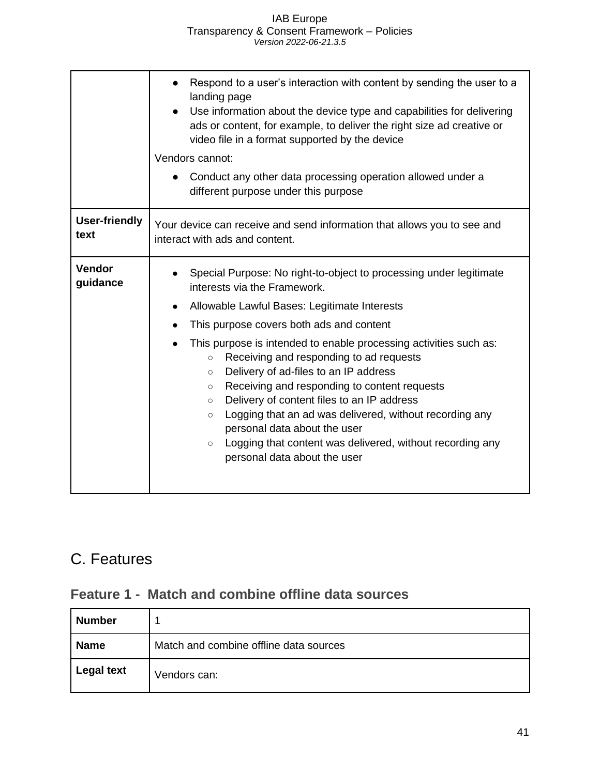| Respond to a user's interaction with content by sending the user to a<br>landing page<br>Use information about the device type and capabilities for delivering<br>ads or content, for example, to deliver the right size ad creative or<br>video file in a format supported by the device                                                                                                                                                                                                                     |
|---------------------------------------------------------------------------------------------------------------------------------------------------------------------------------------------------------------------------------------------------------------------------------------------------------------------------------------------------------------------------------------------------------------------------------------------------------------------------------------------------------------|
| Vendors cannot:                                                                                                                                                                                                                                                                                                                                                                                                                                                                                               |
| Conduct any other data processing operation allowed under a<br>different purpose under this purpose                                                                                                                                                                                                                                                                                                                                                                                                           |
| Your device can receive and send information that allows you to see and<br>interact with ads and content.                                                                                                                                                                                                                                                                                                                                                                                                     |
| Special Purpose: No right-to-object to processing under legitimate<br>interests via the Framework.                                                                                                                                                                                                                                                                                                                                                                                                            |
| Allowable Lawful Bases: Legitimate Interests                                                                                                                                                                                                                                                                                                                                                                                                                                                                  |
| This purpose covers both ads and content                                                                                                                                                                                                                                                                                                                                                                                                                                                                      |
| This purpose is intended to enable processing activities such as:<br>Receiving and responding to ad requests<br>$\circ$<br>Delivery of ad-files to an IP address<br>$\circ$<br>Receiving and responding to content requests<br>$\circ$<br>Delivery of content files to an IP address<br>$\circ$<br>Logging that an ad was delivered, without recording any<br>$\circ$<br>personal data about the user<br>Logging that content was delivered, without recording any<br>$\circ$<br>personal data about the user |
|                                                                                                                                                                                                                                                                                                                                                                                                                                                                                                               |

## <span id="page-41-0"></span>C. Features

### <span id="page-41-1"></span>**Feature 1 - Match and combine offline data sources**

| <b>Number</b>     |                                        |
|-------------------|----------------------------------------|
| Name              | Match and combine offline data sources |
| <b>Legal text</b> | Vendors can:                           |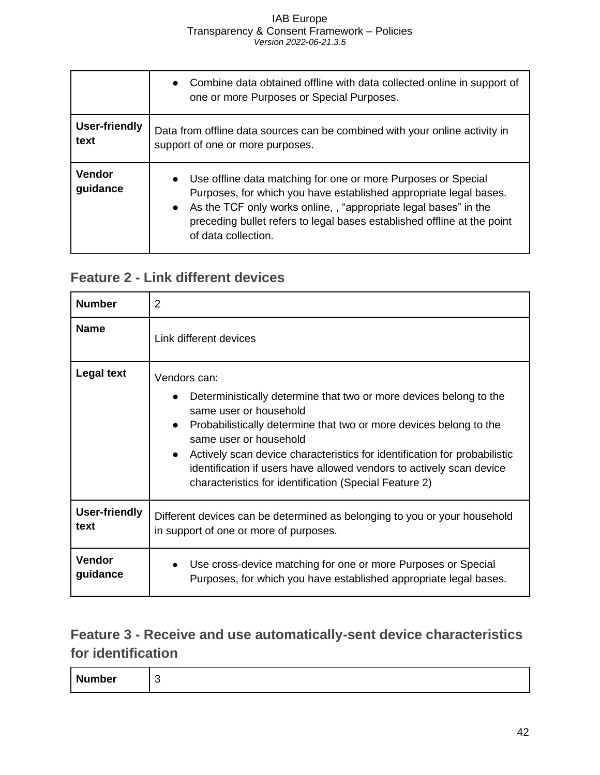|                              | Combine data obtained offline with data collected online in support of<br>one or more Purposes or Special Purposes.                                                                                                                                                                                         |
|------------------------------|-------------------------------------------------------------------------------------------------------------------------------------------------------------------------------------------------------------------------------------------------------------------------------------------------------------|
| <b>User-friendly</b><br>text | Data from offline data sources can be combined with your online activity in<br>support of one or more purposes.                                                                                                                                                                                             |
| <b>Vendor</b><br>guidance    | • Use offline data matching for one or more Purposes or Special<br>Purposes, for which you have established appropriate legal bases.<br>• As the TCF only works online,, "appropriate legal bases" in the<br>preceding bullet refers to legal bases established offline at the point<br>of data collection. |

### <span id="page-42-0"></span>**Feature 2 - Link different devices**

| <b>Number</b>                | 2                                                                                                                                                                                                                                                                                                                                                                                                                                        |
|------------------------------|------------------------------------------------------------------------------------------------------------------------------------------------------------------------------------------------------------------------------------------------------------------------------------------------------------------------------------------------------------------------------------------------------------------------------------------|
| <b>Name</b>                  | Link different devices                                                                                                                                                                                                                                                                                                                                                                                                                   |
| <b>Legal text</b>            | Vendors can:<br>Deterministically determine that two or more devices belong to the<br>same user or household<br>Probabilistically determine that two or more devices belong to the<br>$\bullet$<br>same user or household<br>Actively scan device characteristics for identification for probabilistic<br>identification if users have allowed vendors to actively scan device<br>characteristics for identification (Special Feature 2) |
| <b>User-friendly</b><br>text | Different devices can be determined as belonging to you or your household<br>in support of one or more of purposes.                                                                                                                                                                                                                                                                                                                      |
| <b>Vendor</b><br>guidance    | Use cross-device matching for one or more Purposes or Special<br>Purposes, for which you have established appropriate legal bases.                                                                                                                                                                                                                                                                                                       |

### <span id="page-42-1"></span>**Feature 3 - Receive and use automatically-sent device characteristics for identification**

| -Nr<br>umber |
|--------------|
|--------------|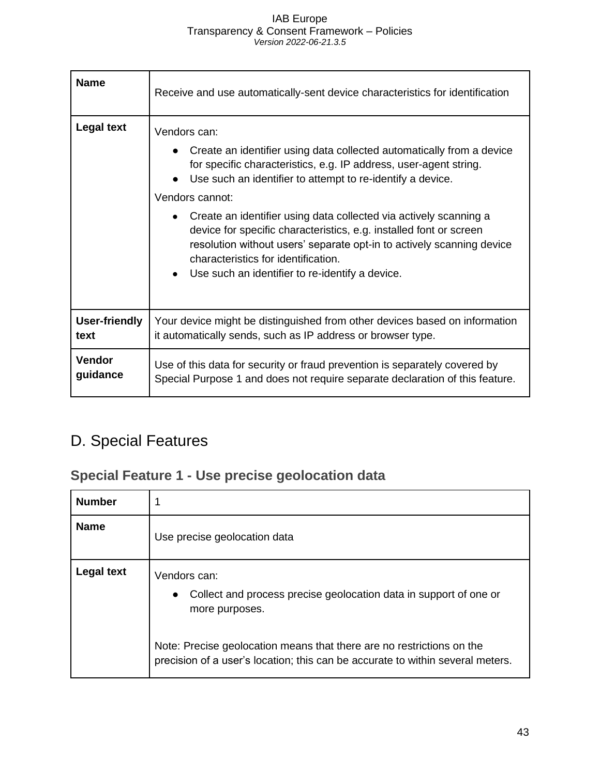| <b>Name</b>          | Receive and use automatically-sent device characteristics for identification                                                                                                                                                                                                                                                                                                                                                                                                                                                                              |
|----------------------|-----------------------------------------------------------------------------------------------------------------------------------------------------------------------------------------------------------------------------------------------------------------------------------------------------------------------------------------------------------------------------------------------------------------------------------------------------------------------------------------------------------------------------------------------------------|
| <b>Legal text</b>    | Vendors can:<br>Create an identifier using data collected automatically from a device<br>for specific characteristics, e.g. IP address, user-agent string.<br>Use such an identifier to attempt to re-identify a device.<br>Vendors cannot:<br>Create an identifier using data collected via actively scanning a<br>device for specific characteristics, e.g. installed font or screen<br>resolution without users' separate opt-in to actively scanning device<br>characteristics for identification.<br>Use such an identifier to re-identify a device. |
| <b>User-friendly</b> | Your device might be distinguished from other devices based on information                                                                                                                                                                                                                                                                                                                                                                                                                                                                                |
| text                 | it automatically sends, such as IP address or browser type.                                                                                                                                                                                                                                                                                                                                                                                                                                                                                               |
| <b>Vendor</b>        | Use of this data for security or fraud prevention is separately covered by                                                                                                                                                                                                                                                                                                                                                                                                                                                                                |
| guidance             | Special Purpose 1 and does not require separate declaration of this feature.                                                                                                                                                                                                                                                                                                                                                                                                                                                                              |

## <span id="page-43-0"></span>D. Special Features

## <span id="page-43-1"></span>**Special Feature 1 - Use precise geolocation data**

| <b>Number</b>     |                                                                                                                                                         |
|-------------------|---------------------------------------------------------------------------------------------------------------------------------------------------------|
| <b>Name</b>       | Use precise geolocation data                                                                                                                            |
| <b>Legal text</b> | Vendors can:<br>Collect and process precise geolocation data in support of one or<br>$\bullet$<br>more purposes.                                        |
|                   | Note: Precise geolocation means that there are no restrictions on the<br>precision of a user's location; this can be accurate to within several meters. |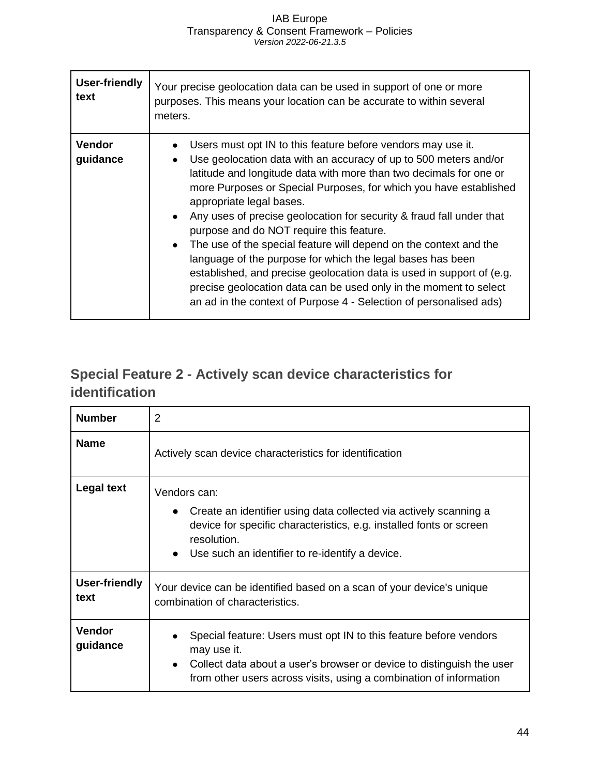| <b>User-friendly</b><br>text | Your precise geolocation data can be used in support of one or more<br>purposes. This means your location can be accurate to within several<br>meters.                                                                                                                                                                                                                                                                                                                                                                                                                                                                                                                                                                                                                                          |
|------------------------------|-------------------------------------------------------------------------------------------------------------------------------------------------------------------------------------------------------------------------------------------------------------------------------------------------------------------------------------------------------------------------------------------------------------------------------------------------------------------------------------------------------------------------------------------------------------------------------------------------------------------------------------------------------------------------------------------------------------------------------------------------------------------------------------------------|
| <b>Vendor</b><br>guidance    | Users must opt IN to this feature before vendors may use it.<br>Use geolocation data with an accuracy of up to 500 meters and/or<br>latitude and longitude data with more than two decimals for one or<br>more Purposes or Special Purposes, for which you have established<br>appropriate legal bases.<br>Any uses of precise geolocation for security & fraud fall under that<br>purpose and do NOT require this feature.<br>The use of the special feature will depend on the context and the<br>$\bullet$<br>language of the purpose for which the legal bases has been<br>established, and precise geolocation data is used in support of (e.g.<br>precise geolocation data can be used only in the moment to select<br>an ad in the context of Purpose 4 - Selection of personalised ads) |

## <span id="page-44-0"></span>**Special Feature 2 - Actively scan device characteristics for identification**

| <b>Number</b>                | $\overline{2}$                                                                                                                                                                                                                  |
|------------------------------|---------------------------------------------------------------------------------------------------------------------------------------------------------------------------------------------------------------------------------|
| <b>Name</b>                  | Actively scan device characteristics for identification                                                                                                                                                                         |
| Legal text                   | Vendors can:<br>Create an identifier using data collected via actively scanning a<br>device for specific characteristics, e.g. installed fonts or screen<br>resolution.<br>• Use such an identifier to re-identify a device.    |
| <b>User-friendly</b><br>text | Your device can be identified based on a scan of your device's unique<br>combination of characteristics.                                                                                                                        |
| Vendor<br>guidance           | Special feature: Users must opt IN to this feature before vendors<br>may use it.<br>Collect data about a user's browser or device to distinguish the user<br>from other users across visits, using a combination of information |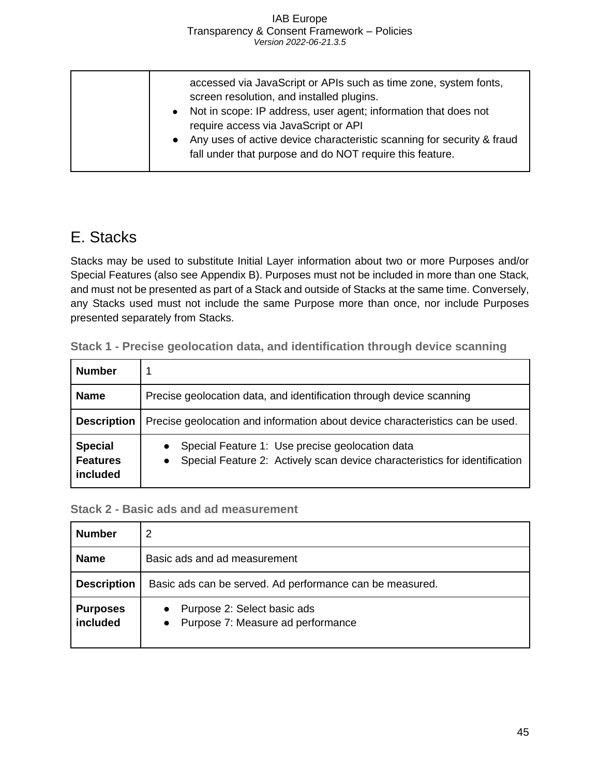| accessed via JavaScript or APIs such as time zone, system fonts,<br>screen resolution, and installed plugins.<br>• Not in scope: IP address, user agent; information that does not<br>require access via JavaScript or API<br>• Any uses of active device characteristic scanning for security & fraud<br>fall under that purpose and do NOT require this feature. |
|--------------------------------------------------------------------------------------------------------------------------------------------------------------------------------------------------------------------------------------------------------------------------------------------------------------------------------------------------------------------|
|                                                                                                                                                                                                                                                                                                                                                                    |

### <span id="page-45-0"></span>E. Stacks

Stacks may be used to substitute Initial Layer information about two or more Purposes and/or Special Features (also see Appendix B). Purposes must not be included in more than one Stack, and must not be presented as part of a Stack and outside of Stacks at the same time. Conversely, any Stacks used must not include the same Purpose more than once, nor include Purposes presented separately from Stacks.

| <b>Number</b>                                 |                                                                                                                                                         |
|-----------------------------------------------|---------------------------------------------------------------------------------------------------------------------------------------------------------|
| <b>Name</b>                                   | Precise geolocation data, and identification through device scanning                                                                                    |
| <b>Description</b>                            | Precise geolocation and information about device characteristics can be used.                                                                           |
| <b>Special</b><br><b>Features</b><br>included | Special Feature 1: Use precise geolocation data<br>$\bullet$<br>Special Feature 2: Actively scan device characteristics for identification<br>$\bullet$ |

<span id="page-45-1"></span>**Stack 1 - Precise geolocation data, and identification through device scanning**

### <span id="page-45-2"></span>**Stack 2 - Basic ads and ad measurement**

| <b>Number</b>               | 2                                                                               |
|-----------------------------|---------------------------------------------------------------------------------|
| <b>Name</b>                 | Basic ads and ad measurement                                                    |
| <b>Description</b>          | Basic ads can be served. Ad performance can be measured.                        |
| <b>Purposes</b><br>included | Purpose 2: Select basic ads<br>$\bullet$<br>• Purpose 7: Measure ad performance |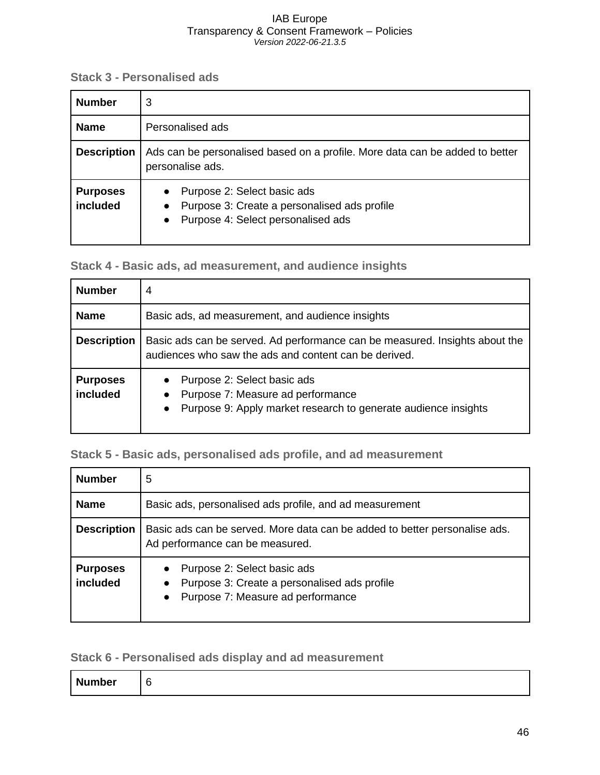<span id="page-46-0"></span>**Stack 3 - Personalised ads**

| <b>Number</b>               | 3                                                                                                                                                        |
|-----------------------------|----------------------------------------------------------------------------------------------------------------------------------------------------------|
| <b>Name</b>                 | Personalised ads                                                                                                                                         |
| <b>Description</b>          | Ads can be personalised based on a profile. More data can be added to better<br>personalise ads.                                                         |
| <b>Purposes</b><br>included | Purpose 2: Select basic ads<br>$\bullet$<br>Purpose 3: Create a personalised ads profile<br>$\bullet$<br>Purpose 4: Select personalised ads<br>$\bullet$ |

<span id="page-46-1"></span>**Stack 4 - Basic ads, ad measurement, and audience insights**

| <b>Number</b>               | $\overline{4}$                                                                                                                                                            |
|-----------------------------|---------------------------------------------------------------------------------------------------------------------------------------------------------------------------|
| <b>Name</b>                 | Basic ads, ad measurement, and audience insights                                                                                                                          |
| <b>Description</b>          | Basic ads can be served. Ad performance can be measured. Insights about the<br>audiences who saw the ads and content can be derived.                                      |
| <b>Purposes</b><br>included | Purpose 2: Select basic ads<br>$\bullet$<br>Purpose 7: Measure ad performance<br>$\bullet$<br>Purpose 9: Apply market research to generate audience insights<br>$\bullet$ |

### <span id="page-46-2"></span>**Stack 5 - Basic ads, personalised ads profile, and ad measurement**

| <b>Number</b>               | 5                                                                                                                                 |
|-----------------------------|-----------------------------------------------------------------------------------------------------------------------------------|
| <b>Name</b>                 | Basic ads, personalised ads profile, and ad measurement                                                                           |
| <b>Description</b>          | Basic ads can be served. More data can be added to better personalise ads.<br>Ad performance can be measured.                     |
| <b>Purposes</b><br>included | • Purpose 2: Select basic ads<br>Purpose 3: Create a personalised ads profile<br>$\bullet$<br>• Purpose 7: Measure ad performance |

### <span id="page-46-3"></span>**Stack 6 - Personalised ads display and ad measurement**

| <b>Number</b> | £ |
|---------------|---|
|---------------|---|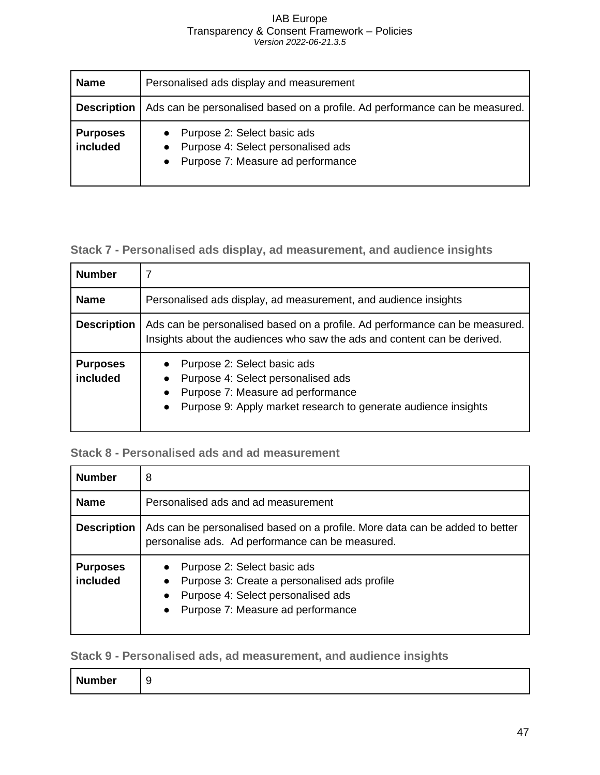| <b>Name</b>                 | Personalised ads display and measurement                                                                     |
|-----------------------------|--------------------------------------------------------------------------------------------------------------|
| <b>Description</b>          | Ads can be personalised based on a profile. Ad performance can be measured.                                  |
| <b>Purposes</b><br>included | • Purpose 2: Select basic ads<br>• Purpose 4: Select personalised ads<br>• Purpose 7: Measure ad performance |

### <span id="page-47-0"></span>**Stack 7 - Personalised ads display, ad measurement, and audience insights**

| <b>Number</b>               | 7                                                                                                                                                                                     |
|-----------------------------|---------------------------------------------------------------------------------------------------------------------------------------------------------------------------------------|
| <b>Name</b>                 | Personalised ads display, ad measurement, and audience insights                                                                                                                       |
| <b>Description</b>          | Ads can be personalised based on a profile. Ad performance can be measured.<br>Insights about the audiences who saw the ads and content can be derived.                               |
| <b>Purposes</b><br>included | Purpose 2: Select basic ads<br>Purpose 4: Select personalised ads<br>Purpose 7: Measure ad performance<br>Purpose 9: Apply market research to generate audience insights<br>$\bullet$ |

### <span id="page-47-1"></span>**Stack 8 - Personalised ads and ad measurement**

| <b>Number</b>               | 8                                                                                                                                                                                                          |
|-----------------------------|------------------------------------------------------------------------------------------------------------------------------------------------------------------------------------------------------------|
| <b>Name</b>                 | Personalised ads and ad measurement                                                                                                                                                                        |
| <b>Description</b>          | Ads can be personalised based on a profile. More data can be added to better<br>personalise ads. Ad performance can be measured.                                                                           |
| <b>Purposes</b><br>included | Purpose 2: Select basic ads<br>$\bullet$<br>Purpose 3: Create a personalised ads profile<br>$\bullet$<br>Purpose 4: Select personalised ads<br>$\bullet$<br>Purpose 7: Measure ad performance<br>$\bullet$ |

<span id="page-47-2"></span>**Stack 9 - Personalised ads, ad measurement, and audience insights**

| <b>Number</b> |
|---------------|
|---------------|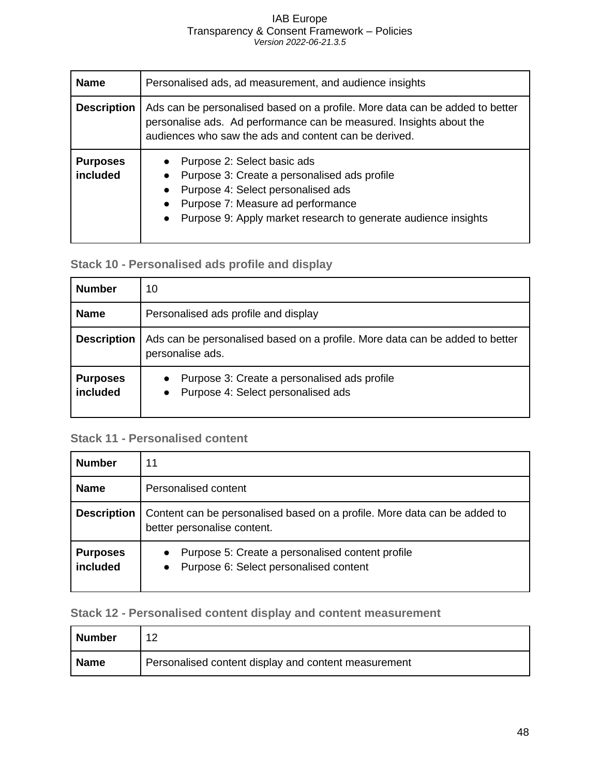| <b>Name</b>                 | Personalised ads, ad measurement, and audience insights                                                                                                                                                                               |
|-----------------------------|---------------------------------------------------------------------------------------------------------------------------------------------------------------------------------------------------------------------------------------|
| <b>Description</b>          | Ads can be personalised based on a profile. More data can be added to better<br>personalise ads. Ad performance can be measured. Insights about the<br>audiences who saw the ads and content can be derived.                          |
| <b>Purposes</b><br>included | Purpose 2: Select basic ads<br>Purpose 3: Create a personalised ads profile<br>Purpose 4: Select personalised ads<br>Purpose 7: Measure ad performance<br>Purpose 9: Apply market research to generate audience insights<br>$\bullet$ |

### <span id="page-48-0"></span>**Stack 10 - Personalised ads profile and display**

| <b>Number</b>               | 10                                                                                                           |
|-----------------------------|--------------------------------------------------------------------------------------------------------------|
| <b>Name</b>                 | Personalised ads profile and display                                                                         |
| <b>Description</b>          | Ads can be personalised based on a profile. More data can be added to better<br>personalise ads.             |
| <b>Purposes</b><br>included | Purpose 3: Create a personalised ads profile<br>$\bullet$<br>Purpose 4: Select personalised ads<br>$\bullet$ |

### <span id="page-48-1"></span>**Stack 11 - Personalised content**

| <b>Number</b>               | 11                                                                                                                   |
|-----------------------------|----------------------------------------------------------------------------------------------------------------------|
| <b>Name</b>                 | Personalised content                                                                                                 |
| <b>Description</b>          | Content can be personalised based on a profile. More data can be added to<br>better personalise content.             |
| <b>Purposes</b><br>included | Purpose 5: Create a personalised content profile<br>$\bullet$<br>Purpose 6: Select personalised content<br>$\bullet$ |

### <span id="page-48-2"></span>**Stack 12 - Personalised content display and content measurement**

| <b>Number</b> |                                                      |
|---------------|------------------------------------------------------|
| <b>Name</b>   | Personalised content display and content measurement |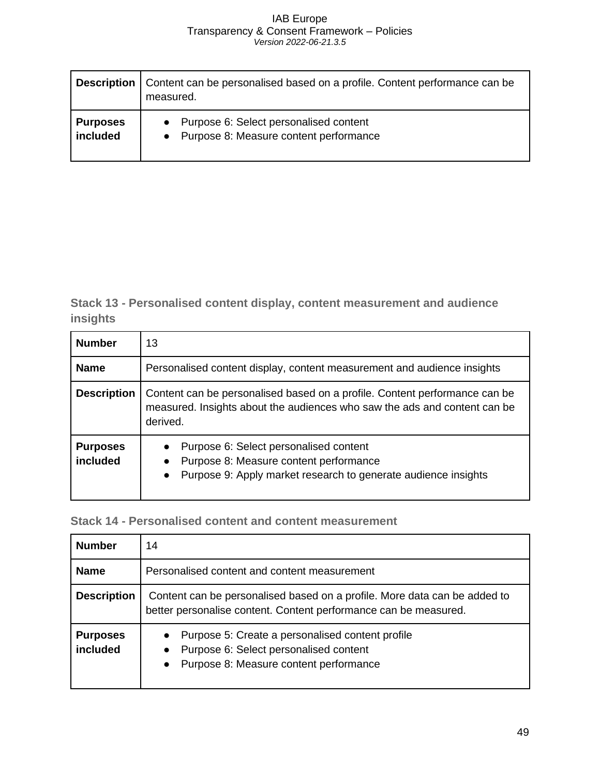| <b>Description</b> | Content can be personalised based on a profile. Content performance can be<br>measured. |
|--------------------|-----------------------------------------------------------------------------------------|
| <b>Purposes</b>    | • Purpose 6: Select personalised content                                                |
| included           | • Purpose 8: Measure content performance                                                |

<span id="page-49-0"></span>**Stack 13 - Personalised content display, content measurement and audience insights**

| <b>Number</b>               | 13                                                                                                                                                                                        |
|-----------------------------|-------------------------------------------------------------------------------------------------------------------------------------------------------------------------------------------|
| <b>Name</b>                 | Personalised content display, content measurement and audience insights                                                                                                                   |
| <b>Description</b>          | Content can be personalised based on a profile. Content performance can be<br>measured. Insights about the audiences who saw the ads and content can be<br>derived.                       |
| <b>Purposes</b><br>included | Purpose 6: Select personalised content<br>$\bullet$<br>Purpose 8: Measure content performance<br>$\bullet$<br>Purpose 9: Apply market research to generate audience insights<br>$\bullet$ |

### <span id="page-49-1"></span>**Stack 14 - Personalised content and content measurement**

| <b>Number</b>               | 14                                                                                                                                                                          |
|-----------------------------|-----------------------------------------------------------------------------------------------------------------------------------------------------------------------------|
| <b>Name</b>                 | Personalised content and content measurement                                                                                                                                |
| <b>Description</b>          | Content can be personalised based on a profile. More data can be added to<br>better personalise content. Content performance can be measured.                               |
| <b>Purposes</b><br>included | Purpose 5: Create a personalised content profile<br>$\bullet$<br>Purpose 6: Select personalised content<br>$\bullet$<br>Purpose 8: Measure content performance<br>$\bullet$ |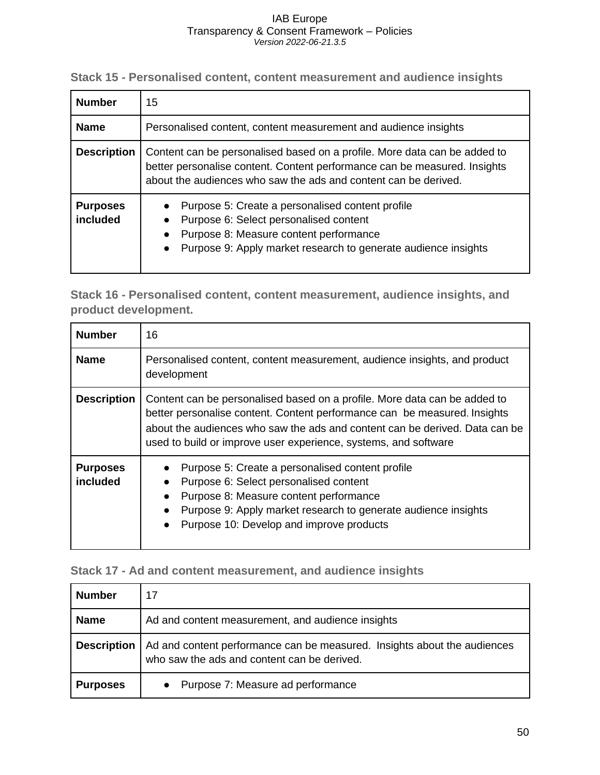<span id="page-50-0"></span>**Stack 15 - Personalised content, content measurement and audience insights**

| <b>Number</b>               | 15                                                                                                                                                                                                                        |
|-----------------------------|---------------------------------------------------------------------------------------------------------------------------------------------------------------------------------------------------------------------------|
| <b>Name</b>                 | Personalised content, content measurement and audience insights                                                                                                                                                           |
| <b>Description</b>          | Content can be personalised based on a profile. More data can be added to<br>better personalise content. Content performance can be measured. Insights<br>about the audiences who saw the ads and content can be derived. |
| <b>Purposes</b><br>included | Purpose 5: Create a personalised content profile<br>Purpose 6: Select personalised content<br>Purpose 8: Measure content performance<br>Purpose 9: Apply market research to generate audience insights                    |

<span id="page-50-1"></span>**Stack 16 - Personalised content, content measurement, audience insights, and product development.**

| <b>Number</b>               | 16                                                                                                                                                                                                                                                                                                       |
|-----------------------------|----------------------------------------------------------------------------------------------------------------------------------------------------------------------------------------------------------------------------------------------------------------------------------------------------------|
| <b>Name</b>                 | Personalised content, content measurement, audience insights, and product<br>development                                                                                                                                                                                                                 |
| <b>Description</b>          | Content can be personalised based on a profile. More data can be added to<br>better personalise content. Content performance can be measured. Insights<br>about the audiences who saw the ads and content can be derived. Data can be<br>used to build or improve user experience, systems, and software |
| <b>Purposes</b><br>included | Purpose 5: Create a personalised content profile<br>Purpose 6: Select personalised content<br>Purpose 8: Measure content performance<br>Purpose 9: Apply market research to generate audience insights<br>Purpose 10: Develop and improve products                                                       |

### <span id="page-50-2"></span>**Stack 17 - Ad and content measurement, and audience insights**

| <b>Number</b>      | 17                                                                                                                      |
|--------------------|-------------------------------------------------------------------------------------------------------------------------|
| <b>Name</b>        | Ad and content measurement, and audience insights                                                                       |
| <b>Description</b> | Ad and content performance can be measured. Insights about the audiences<br>who saw the ads and content can be derived. |
| <b>Purposes</b>    | • Purpose 7: Measure ad performance                                                                                     |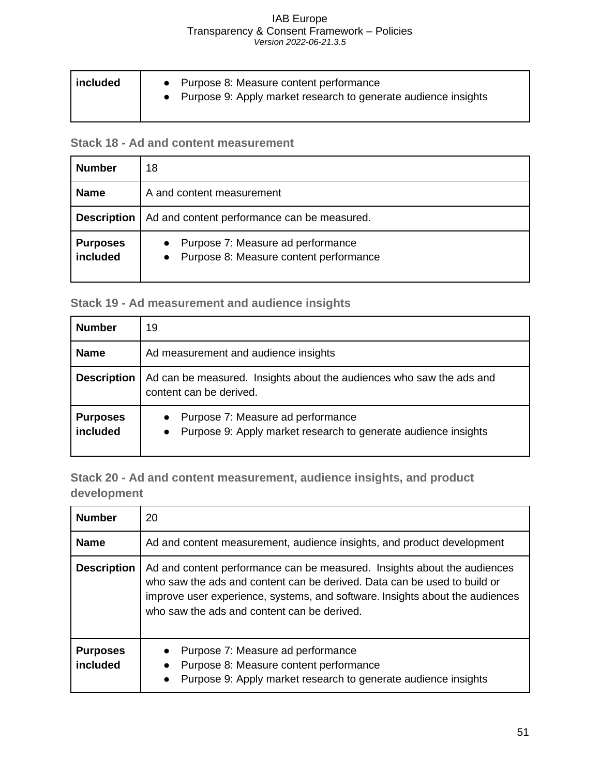| included | • Purpose 8: Measure content performance<br>• Purpose 9: Apply market research to generate audience insights |
|----------|--------------------------------------------------------------------------------------------------------------|
|          |                                                                                                              |

### <span id="page-51-0"></span>**Stack 18 - Ad and content measurement**

| <b>Number</b>               | 18                                                                              |
|-----------------------------|---------------------------------------------------------------------------------|
| <b>Name</b>                 | A and content measurement                                                       |
| <b>Description</b>          | Ad and content performance can be measured.                                     |
| <b>Purposes</b><br>included | • Purpose 7: Measure ad performance<br>• Purpose 8: Measure content performance |

### <span id="page-51-1"></span>**Stack 19 - Ad measurement and audience insights**

| <b>Number</b>               | 19                                                                                                                            |
|-----------------------------|-------------------------------------------------------------------------------------------------------------------------------|
| <b>Name</b>                 | Ad measurement and audience insights                                                                                          |
| <b>Description</b>          | Ad can be measured. Insights about the audiences who saw the ads and<br>content can be derived.                               |
| <b>Purposes</b><br>included | Purpose 7: Measure ad performance<br>$\bullet$<br>Purpose 9: Apply market research to generate audience insights<br>$\bullet$ |

<span id="page-51-2"></span>**Stack 20 - Ad and content measurement, audience insights, and product development**

| <b>Number</b>               | 20                                                                                                                                                                                                                                                                                  |
|-----------------------------|-------------------------------------------------------------------------------------------------------------------------------------------------------------------------------------------------------------------------------------------------------------------------------------|
| <b>Name</b>                 | Ad and content measurement, audience insights, and product development                                                                                                                                                                                                              |
| <b>Description</b>          | Ad and content performance can be measured. Insights about the audiences<br>who saw the ads and content can be derived. Data can be used to build or<br>improve user experience, systems, and software. Insights about the audiences<br>who saw the ads and content can be derived. |
| <b>Purposes</b><br>included | Purpose 7: Measure ad performance<br>Purpose 8: Measure content performance<br>$\bullet$<br>Purpose 9: Apply market research to generate audience insights<br>$\bullet$                                                                                                             |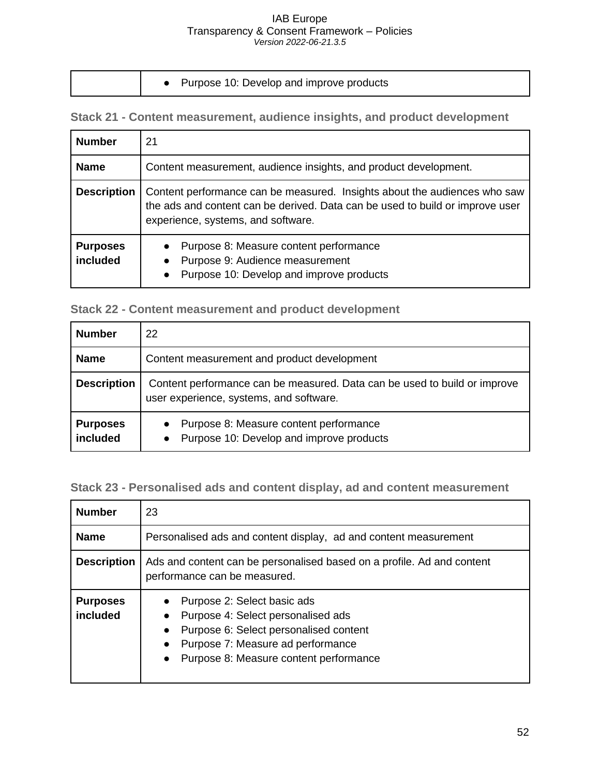|  |  | Purpose 10: Develop and improve products |
|--|--|------------------------------------------|
|--|--|------------------------------------------|

<span id="page-52-0"></span>**Stack 21 - Content measurement, audience insights, and product development**

| <b>Number</b>               | 21                                                                                                                                                                                               |  |  |
|-----------------------------|--------------------------------------------------------------------------------------------------------------------------------------------------------------------------------------------------|--|--|
| <b>Name</b>                 | Content measurement, audience insights, and product development.                                                                                                                                 |  |  |
| <b>Description</b>          | Content performance can be measured. Insights about the audiences who saw<br>the ads and content can be derived. Data can be used to build or improve user<br>experience, systems, and software. |  |  |
| <b>Purposes</b><br>included | Purpose 8: Measure content performance<br>Purpose 9: Audience measurement<br>$\bullet$<br>Purpose 10: Develop and improve products<br>$\bullet$                                                  |  |  |

<span id="page-52-1"></span>

|  |  | <b>Stack 22 - Content measurement and product development</b> |  |  |  |
|--|--|---------------------------------------------------------------|--|--|--|
|--|--|---------------------------------------------------------------|--|--|--|

| <b>Number</b>               | 22                                                                                                                   |  |  |
|-----------------------------|----------------------------------------------------------------------------------------------------------------------|--|--|
| <b>Name</b>                 | Content measurement and product development                                                                          |  |  |
| <b>Description</b>          | Content performance can be measured. Data can be used to build or improve<br>user experience, systems, and software. |  |  |
| <b>Purposes</b><br>included | Purpose 8: Measure content performance<br>$\bullet$<br>Purpose 10: Develop and improve products<br>$\bullet$         |  |  |

<span id="page-52-2"></span>**Stack 23 - Personalised ads and content display, ad and content measurement**

| <b>Number</b>               | 23                                                                                                                                                                                                                                |  |  |
|-----------------------------|-----------------------------------------------------------------------------------------------------------------------------------------------------------------------------------------------------------------------------------|--|--|
| <b>Name</b>                 | Personalised ads and content display, ad and content measurement                                                                                                                                                                  |  |  |
| <b>Description</b>          | Ads and content can be personalised based on a profile. Ad and content<br>performance can be measured.                                                                                                                            |  |  |
| <b>Purposes</b><br>included | Purpose 2: Select basic ads<br>Purpose 4: Select personalised ads<br>$\bullet$<br>Purpose 6: Select personalised content<br>$\bullet$<br>Purpose 7: Measure ad performance<br>Purpose 8: Measure content performance<br>$\bullet$ |  |  |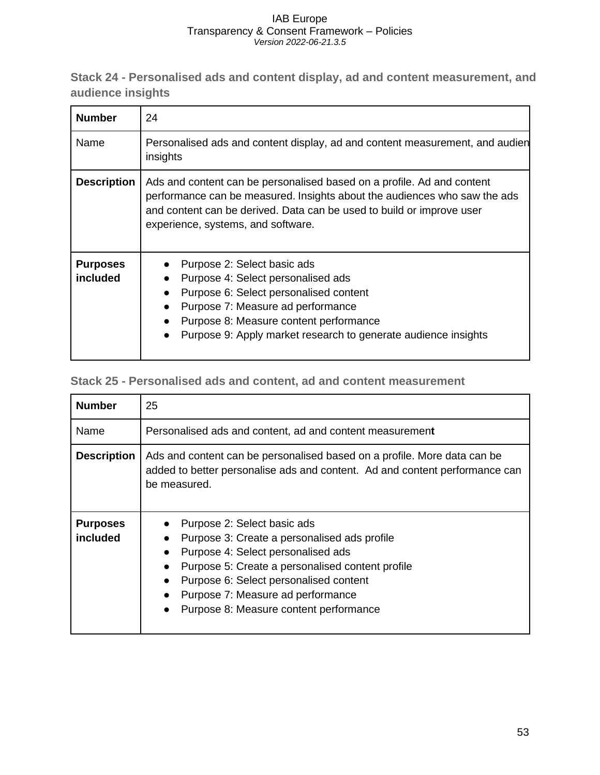<span id="page-53-0"></span>**Stack 24 - Personalised ads and content display, ad and content measurement, and audience insights**

| <b>Number</b>               | 24                                                                                                                                                                                                                                                                 |  |  |
|-----------------------------|--------------------------------------------------------------------------------------------------------------------------------------------------------------------------------------------------------------------------------------------------------------------|--|--|
| Name                        | Personalised ads and content display, ad and content measurement, and audien<br>insights                                                                                                                                                                           |  |  |
| <b>Description</b>          | Ads and content can be personalised based on a profile. Ad and content<br>performance can be measured. Insights about the audiences who saw the ads<br>and content can be derived. Data can be used to build or improve user<br>experience, systems, and software. |  |  |
| <b>Purposes</b><br>included | Purpose 2: Select basic ads<br>Purpose 4: Select personalised ads<br>Purpose 6: Select personalised content<br>Purpose 7: Measure ad performance<br>Purpose 8: Measure content performance<br>Purpose 9: Apply market research to generate audience insights       |  |  |

### <span id="page-53-1"></span>**Stack 25 - Personalised ads and content, ad and content measurement**

| <b>Number</b>               | 25                                                                                                                                                                                                                                                                                                                       |  |  |
|-----------------------------|--------------------------------------------------------------------------------------------------------------------------------------------------------------------------------------------------------------------------------------------------------------------------------------------------------------------------|--|--|
| Name                        | Personalised ads and content, ad and content measurement                                                                                                                                                                                                                                                                 |  |  |
| <b>Description</b>          | Ads and content can be personalised based on a profile. More data can be<br>added to better personalise ads and content. Ad and content performance can<br>be measured.                                                                                                                                                  |  |  |
| <b>Purposes</b><br>included | Purpose 2: Select basic ads<br>Purpose 3: Create a personalised ads profile<br>Purpose 4: Select personalised ads<br>Purpose 5: Create a personalised content profile<br>Purpose 6: Select personalised content<br>$\bullet$<br>Purpose 7: Measure ad performance<br>Purpose 8: Measure content performance<br>$\bullet$ |  |  |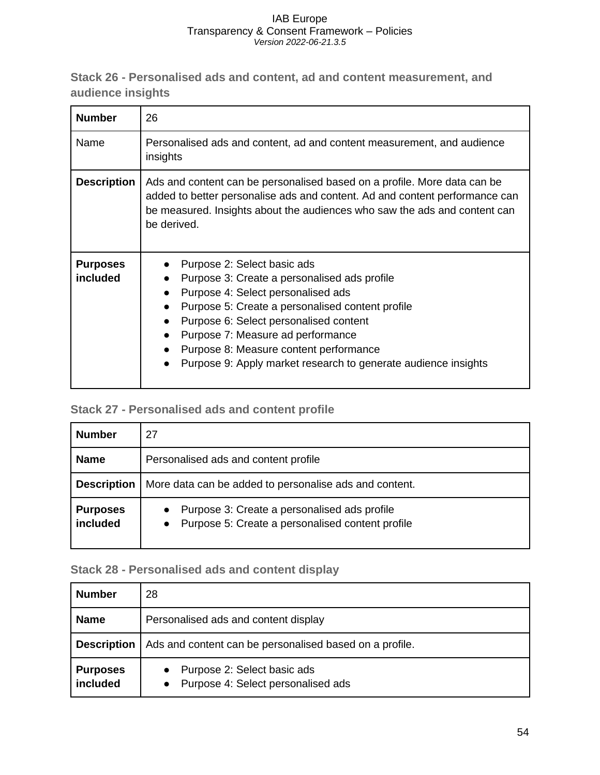<span id="page-54-0"></span>**Stack 26 - Personalised ads and content, ad and content measurement, and audience insights**

| <b>Number</b>               | 26                                                                                                                                                                                                                                                                                                                                                               |  |  |
|-----------------------------|------------------------------------------------------------------------------------------------------------------------------------------------------------------------------------------------------------------------------------------------------------------------------------------------------------------------------------------------------------------|--|--|
| Name                        | Personalised ads and content, ad and content measurement, and audience<br>insights                                                                                                                                                                                                                                                                               |  |  |
| <b>Description</b>          | Ads and content can be personalised based on a profile. More data can be<br>added to better personalise ads and content. Ad and content performance can<br>be measured. Insights about the audiences who saw the ads and content can<br>be derived.                                                                                                              |  |  |
| <b>Purposes</b><br>included | Purpose 2: Select basic ads<br>Purpose 3: Create a personalised ads profile<br>Purpose 4: Select personalised ads<br>Purpose 5: Create a personalised content profile<br>Purpose 6: Select personalised content<br>Purpose 7: Measure ad performance<br>Purpose 8: Measure content performance<br>Purpose 9: Apply market research to generate audience insights |  |  |

### <span id="page-54-1"></span>**Stack 27 - Personalised ads and content profile**

| <b>Number</b>               | 27                                                                                                              |  |  |
|-----------------------------|-----------------------------------------------------------------------------------------------------------------|--|--|
| <b>Name</b>                 | Personalised ads and content profile                                                                            |  |  |
| <b>Description</b>          | More data can be added to personalise ads and content.                                                          |  |  |
| <b>Purposes</b><br>included | Purpose 3: Create a personalised ads profile<br>$\bullet$<br>• Purpose 5: Create a personalised content profile |  |  |

### <span id="page-54-2"></span>**Stack 28 - Personalised ads and content display**

| <b>Number</b>               | 28                                                                                          |  |  |
|-----------------------------|---------------------------------------------------------------------------------------------|--|--|
| <b>Name</b>                 | Personalised ads and content display                                                        |  |  |
| <b>Description</b>          | Ads and content can be personalised based on a profile.                                     |  |  |
| <b>Purposes</b><br>included | Purpose 2: Select basic ads<br>$\bullet$<br>Purpose 4: Select personalised ads<br>$\bullet$ |  |  |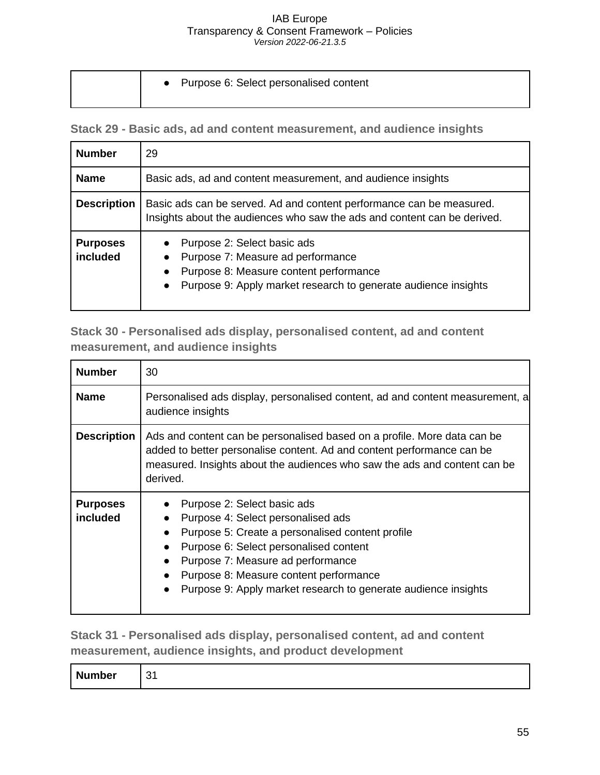| • Purpose 6: Select personalised content |
|------------------------------------------|
|                                          |

<span id="page-55-0"></span>**Stack 29 - Basic ads, ad and content measurement, and audience insights**

| <b>Number</b>               | 29                                                                                                                                                                                                     |  |  |
|-----------------------------|--------------------------------------------------------------------------------------------------------------------------------------------------------------------------------------------------------|--|--|
| <b>Name</b>                 | Basic ads, ad and content measurement, and audience insights                                                                                                                                           |  |  |
| <b>Description</b>          | Basic ads can be served. Ad and content performance can be measured.<br>Insights about the audiences who saw the ads and content can be derived.                                                       |  |  |
| <b>Purposes</b><br>included | Purpose 2: Select basic ads<br>Purpose 7: Measure ad performance<br>Purpose 8: Measure content performance<br>$\bullet$<br>Purpose 9: Apply market research to generate audience insights<br>$\bullet$ |  |  |

<span id="page-55-1"></span>**Stack 30 - Personalised ads display, personalised content, ad and content measurement, and audience insights**

| <b>Number</b>               | 30                                                                                                                                                                                                                                                                                                                            |  |
|-----------------------------|-------------------------------------------------------------------------------------------------------------------------------------------------------------------------------------------------------------------------------------------------------------------------------------------------------------------------------|--|
| <b>Name</b>                 | Personalised ads display, personalised content, ad and content measurement, a<br>audience insights                                                                                                                                                                                                                            |  |
| <b>Description</b>          | Ads and content can be personalised based on a profile. More data can be<br>added to better personalise content. Ad and content performance can be<br>measured. Insights about the audiences who saw the ads and content can be<br>derived.                                                                                   |  |
| <b>Purposes</b><br>included | Purpose 2: Select basic ads<br>Purpose 4: Select personalised ads<br>Purpose 5: Create a personalised content profile<br>$\bullet$<br>Purpose 6: Select personalised content<br>Purpose 7: Measure ad performance<br>Purpose 8: Measure content performance<br>Purpose 9: Apply market research to generate audience insights |  |

<span id="page-55-2"></span>**Stack 31 - Personalised ads display, personalised content, ad and content measurement, audience insights, and product development**

| <b>Number</b> | ີ<br>. . |
|---------------|----------|
|---------------|----------|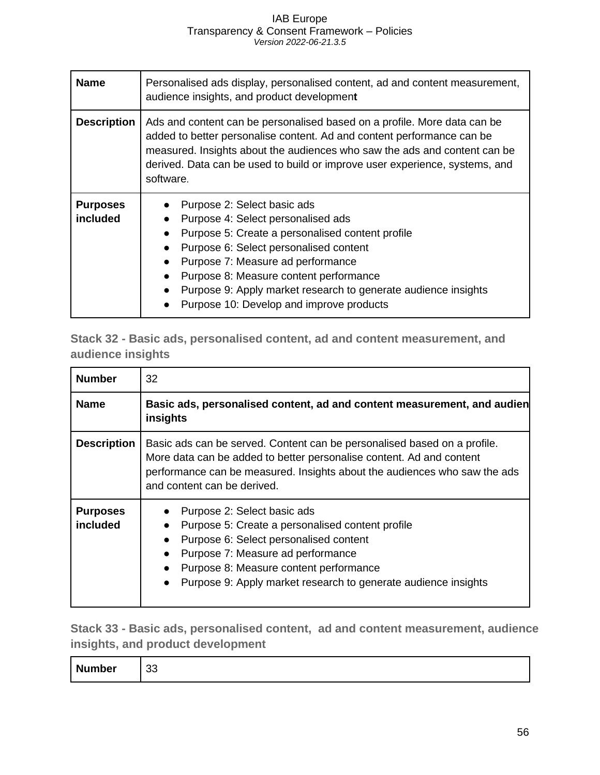| <b>Name</b>                 | Personalised ads display, personalised content, ad and content measurement,<br>audience insights, and product development                                                                                                                                                                                                                                                                           |  |
|-----------------------------|-----------------------------------------------------------------------------------------------------------------------------------------------------------------------------------------------------------------------------------------------------------------------------------------------------------------------------------------------------------------------------------------------------|--|
| <b>Description</b>          | Ads and content can be personalised based on a profile. More data can be<br>added to better personalise content. Ad and content performance can be<br>measured. Insights about the audiences who saw the ads and content can be<br>derived. Data can be used to build or improve user experience, systems, and<br>software.                                                                         |  |
| <b>Purposes</b><br>included | Purpose 2: Select basic ads<br>Purpose 4: Select personalised ads<br>$\bullet$<br>Purpose 5: Create a personalised content profile<br>$\bullet$<br>Purpose 6: Select personalised content<br>$\bullet$<br>Purpose 7: Measure ad performance<br>Purpose 8: Measure content performance<br>Purpose 9: Apply market research to generate audience insights<br>Purpose 10: Develop and improve products |  |

<span id="page-56-0"></span>**Stack 32 - Basic ads, personalised content, ad and content measurement, and audience insights**

| <b>Number</b>               | 32                                                                                                                                                                                                                                                                         |  |
|-----------------------------|----------------------------------------------------------------------------------------------------------------------------------------------------------------------------------------------------------------------------------------------------------------------------|--|
| <b>Name</b>                 | Basic ads, personalised content, ad and content measurement, and audien<br>insights                                                                                                                                                                                        |  |
| <b>Description</b>          | Basic ads can be served. Content can be personalised based on a profile.<br>More data can be added to better personalise content. Ad and content<br>performance can be measured. Insights about the audiences who saw the ads<br>and content can be derived.               |  |
| <b>Purposes</b><br>included | Purpose 2: Select basic ads<br>Purpose 5: Create a personalised content profile<br>Purpose 6: Select personalised content<br>Purpose 7: Measure ad performance<br>Purpose 8: Measure content performance<br>Purpose 9: Apply market research to generate audience insights |  |

<span id="page-56-1"></span>**Stack 33 - Basic ads, personalised content, ad and content measurement, audience insights, and product development**

| <b>Number</b><br>$\sim$<br>კკ |  |
|-------------------------------|--|
|-------------------------------|--|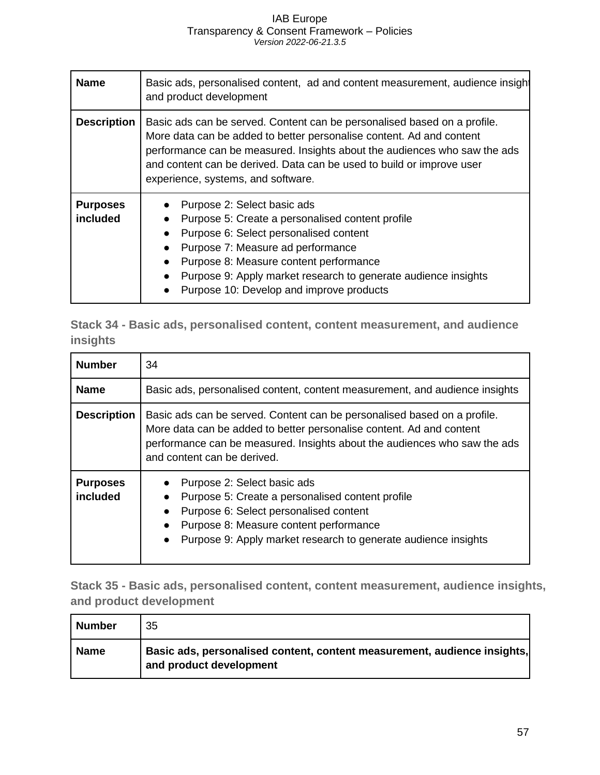| <b>Name</b>                 | Basic ads, personalised content, ad and content measurement, audience insight<br>and product development                                                                                                                                                                                                                                     |  |
|-----------------------------|----------------------------------------------------------------------------------------------------------------------------------------------------------------------------------------------------------------------------------------------------------------------------------------------------------------------------------------------|--|
| <b>Description</b>          | Basic ads can be served. Content can be personalised based on a profile.<br>More data can be added to better personalise content. Ad and content<br>performance can be measured. Insights about the audiences who saw the ads<br>and content can be derived. Data can be used to build or improve user<br>experience, systems, and software. |  |
| <b>Purposes</b><br>included | Purpose 2: Select basic ads<br>Purpose 5: Create a personalised content profile<br>Purpose 6: Select personalised content<br>Purpose 7: Measure ad performance<br>Purpose 8: Measure content performance<br>Purpose 9: Apply market research to generate audience insights<br>Purpose 10: Develop and improve products                       |  |

<span id="page-57-0"></span>**Stack 34 - Basic ads, personalised content, content measurement, and audience insights**

| <b>Number</b>               | 34                                                                                                                                                                                                                                                              |
|-----------------------------|-----------------------------------------------------------------------------------------------------------------------------------------------------------------------------------------------------------------------------------------------------------------|
| <b>Name</b>                 | Basic ads, personalised content, content measurement, and audience insights                                                                                                                                                                                     |
| <b>Description</b>          | Basic ads can be served. Content can be personalised based on a profile.<br>More data can be added to better personalise content. Ad and content<br>performance can be measured. Insights about the audiences who saw the ads<br>and content can be derived.    |
| <b>Purposes</b><br>included | Purpose 2: Select basic ads<br>Purpose 5: Create a personalised content profile<br>$\bullet$<br>Purpose 6: Select personalised content<br>Purpose 8: Measure content performance<br>$\bullet$<br>Purpose 9: Apply market research to generate audience insights |

<span id="page-57-1"></span>**Stack 35 - Basic ads, personalised content, content measurement, audience insights, and product development** 

| <b>Number</b> | 35                                                                                                  |
|---------------|-----------------------------------------------------------------------------------------------------|
| Name          | Basic ads, personalised content, content measurement, audience insights,<br>and product development |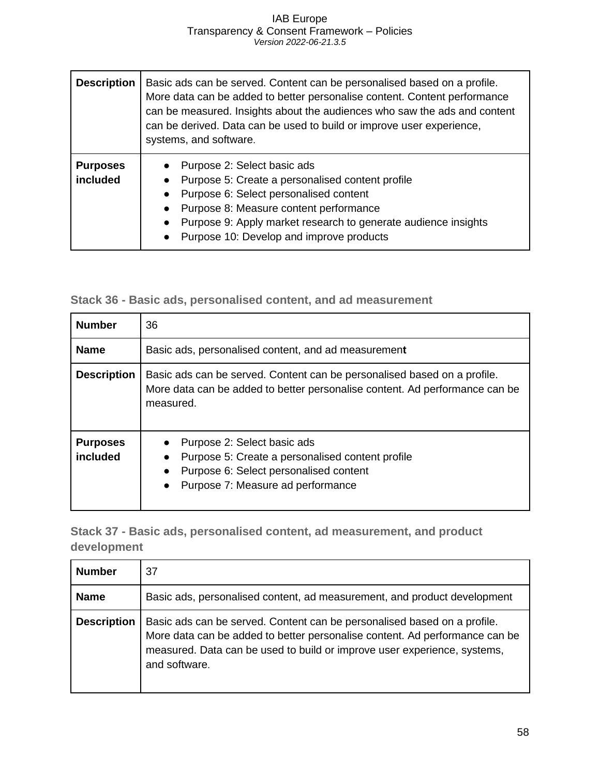| <b>Description</b>          | Basic ads can be served. Content can be personalised based on a profile.<br>More data can be added to better personalise content. Content performance<br>can be measured. Insights about the audiences who saw the ads and content<br>can be derived. Data can be used to build or improve user experience,<br>systems, and software. |
|-----------------------------|---------------------------------------------------------------------------------------------------------------------------------------------------------------------------------------------------------------------------------------------------------------------------------------------------------------------------------------|
| <b>Purposes</b><br>included | Purpose 2: Select basic ads<br>Purpose 5: Create a personalised content profile<br>Purpose 6: Select personalised content<br>Purpose 8: Measure content performance<br>Purpose 9: Apply market research to generate audience insights<br>Purpose 10: Develop and improve products                                                     |

<span id="page-58-0"></span>

|  | Stack 36 - Basic ads, personalised content, and ad measurement |  |  |
|--|----------------------------------------------------------------|--|--|
|--|----------------------------------------------------------------|--|--|

| <b>Number</b>               | 36                                                                                                                                                                                       |  |
|-----------------------------|------------------------------------------------------------------------------------------------------------------------------------------------------------------------------------------|--|
| <b>Name</b>                 | Basic ads, personalised content, and ad measurement                                                                                                                                      |  |
| <b>Description</b>          | Basic ads can be served. Content can be personalised based on a profile.<br>More data can be added to better personalise content. Ad performance can be<br>measured.                     |  |
| <b>Purposes</b><br>included | Purpose 2: Select basic ads<br>Purpose 5: Create a personalised content profile<br>$\bullet$<br>Purpose 6: Select personalised content<br>Purpose 7: Measure ad performance<br>$\bullet$ |  |

<span id="page-58-1"></span>**Stack 37 - Basic ads, personalised content, ad measurement, and product development**

| <b>Number</b>      | 37                                                                                                                                                                                                                                                   |
|--------------------|------------------------------------------------------------------------------------------------------------------------------------------------------------------------------------------------------------------------------------------------------|
| <b>Name</b>        | Basic ads, personalised content, ad measurement, and product development                                                                                                                                                                             |
| <b>Description</b> | Basic ads can be served. Content can be personalised based on a profile.<br>More data can be added to better personalise content. Ad performance can be<br>measured. Data can be used to build or improve user experience, systems,<br>and software. |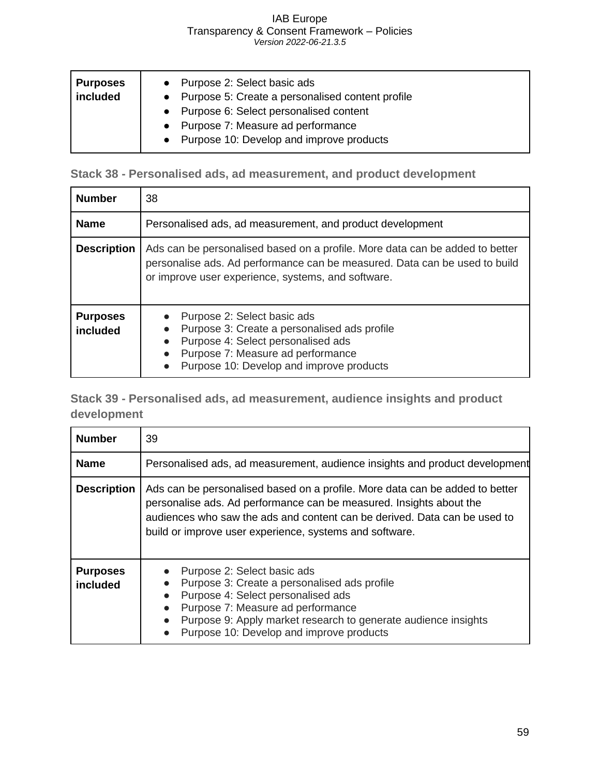| Purposes<br>included | • Purpose 2: Select basic ads<br>• Purpose 5: Create a personalised content profile<br>• Purpose 6: Select personalised content<br>• Purpose 7: Measure ad performance<br>• Purpose 10: Develop and improve products |
|----------------------|----------------------------------------------------------------------------------------------------------------------------------------------------------------------------------------------------------------------|
|----------------------|----------------------------------------------------------------------------------------------------------------------------------------------------------------------------------------------------------------------|

<span id="page-59-0"></span>**Stack 38 - Personalised ads, ad measurement, and product development**

| <b>Number</b>               | 38                                                                                                                                                                                                                           |
|-----------------------------|------------------------------------------------------------------------------------------------------------------------------------------------------------------------------------------------------------------------------|
| <b>Name</b>                 | Personalised ads, ad measurement, and product development                                                                                                                                                                    |
| <b>Description</b>          | Ads can be personalised based on a profile. More data can be added to better<br>personalise ads. Ad performance can be measured. Data can be used to build<br>or improve user experience, systems, and software.             |
| <b>Purposes</b><br>included | Purpose 2: Select basic ads<br>Purpose 3: Create a personalised ads profile<br>$\bullet$<br>Purpose 4: Select personalised ads<br>Purpose 7: Measure ad performance<br>Purpose 10: Develop and improve products<br>$\bullet$ |

<span id="page-59-1"></span>**Stack 39 - Personalised ads, ad measurement, audience insights and product development**

| <b>Number</b>               | 39                                                                                                                                                                                                                                                                                                          |
|-----------------------------|-------------------------------------------------------------------------------------------------------------------------------------------------------------------------------------------------------------------------------------------------------------------------------------------------------------|
| <b>Name</b>                 | Personalised ads, ad measurement, audience insights and product development                                                                                                                                                                                                                                 |
| <b>Description</b>          | Ads can be personalised based on a profile. More data can be added to better<br>personalise ads. Ad performance can be measured. Insights about the<br>audiences who saw the ads and content can be derived. Data can be used to<br>build or improve user experience, systems and software.                 |
| <b>Purposes</b><br>included | Purpose 2: Select basic ads<br>Purpose 3: Create a personalised ads profile<br>$\bullet$<br>Purpose 4: Select personalised ads<br>Purpose 7: Measure ad performance<br>$\bullet$<br>Purpose 9: Apply market research to generate audience insights<br>Purpose 10: Develop and improve products<br>$\bullet$ |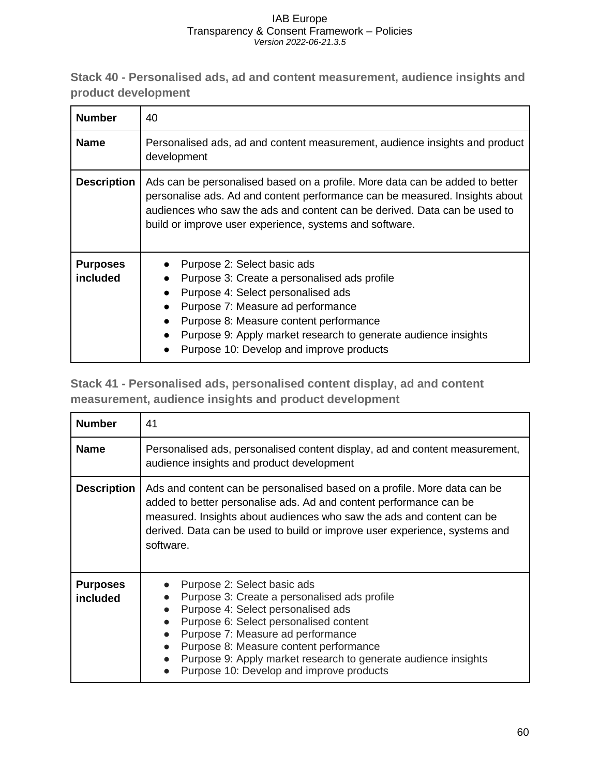<span id="page-60-0"></span>**Stack 40 - Personalised ads, ad and content measurement, audience insights and product development**

| <b>Number</b>               | 40                                                                                                                                                                                                                                                                                                             |
|-----------------------------|----------------------------------------------------------------------------------------------------------------------------------------------------------------------------------------------------------------------------------------------------------------------------------------------------------------|
| <b>Name</b>                 | Personalised ads, ad and content measurement, audience insights and product<br>development                                                                                                                                                                                                                     |
| <b>Description</b>          | Ads can be personalised based on a profile. More data can be added to better<br>personalise ads. Ad and content performance can be measured. Insights about<br>audiences who saw the ads and content can be derived. Data can be used to<br>build or improve user experience, systems and software.            |
| <b>Purposes</b><br>included | Purpose 2: Select basic ads<br>Purpose 3: Create a personalised ads profile<br>Purpose 4: Select personalised ads<br>Purpose 7: Measure ad performance<br>Purpose 8: Measure content performance<br>Purpose 9: Apply market research to generate audience insights<br>Purpose 10: Develop and improve products |

<span id="page-60-1"></span>**Stack 41 - Personalised ads, personalised content display, ad and content measurement, audience insights and product development**

| <b>Number</b>               | 41                                                                                                                                                                                                                                                                                                                                                       |
|-----------------------------|----------------------------------------------------------------------------------------------------------------------------------------------------------------------------------------------------------------------------------------------------------------------------------------------------------------------------------------------------------|
| <b>Name</b>                 | Personalised ads, personalised content display, ad and content measurement,<br>audience insights and product development                                                                                                                                                                                                                                 |
| <b>Description</b>          | Ads and content can be personalised based on a profile. More data can be<br>added to better personalise ads. Ad and content performance can be<br>measured. Insights about audiences who saw the ads and content can be<br>derived. Data can be used to build or improve user experience, systems and<br>software.                                       |
| <b>Purposes</b><br>included | Purpose 2: Select basic ads<br>Purpose 3: Create a personalised ads profile<br>Purpose 4: Select personalised ads<br>Purpose 6: Select personalised content<br>Purpose 7: Measure ad performance<br>Purpose 8: Measure content performance<br>Purpose 9: Apply market research to generate audience insights<br>Purpose 10: Develop and improve products |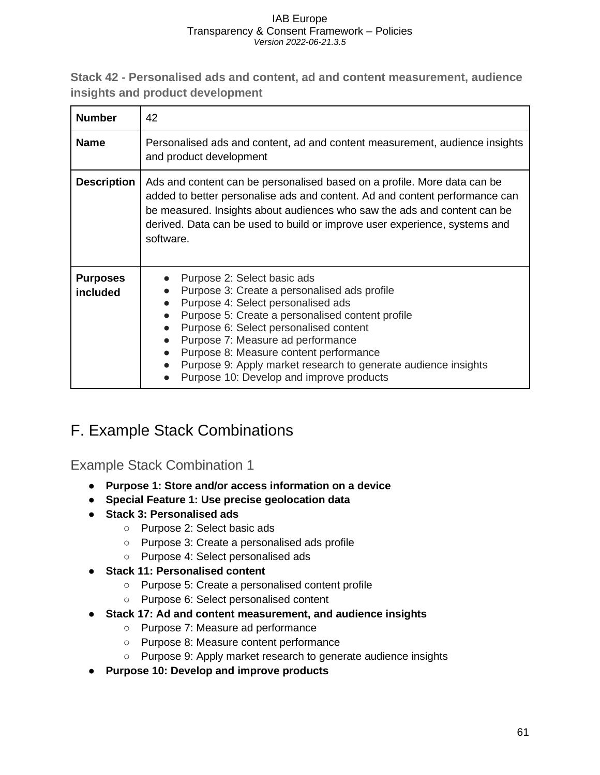<span id="page-61-0"></span>**Stack 42 - Personalised ads and content, ad and content measurement, audience insights and product development**

| <b>Number</b>               | 42                                                                                                                                                                                                                                                                                                                                                                                                           |
|-----------------------------|--------------------------------------------------------------------------------------------------------------------------------------------------------------------------------------------------------------------------------------------------------------------------------------------------------------------------------------------------------------------------------------------------------------|
| <b>Name</b>                 | Personalised ads and content, ad and content measurement, audience insights<br>and product development                                                                                                                                                                                                                                                                                                       |
| <b>Description</b>          | Ads and content can be personalised based on a profile. More data can be<br>added to better personalise ads and content. Ad and content performance can<br>be measured. Insights about audiences who saw the ads and content can be<br>derived. Data can be used to build or improve user experience, systems and<br>software.                                                                               |
| <b>Purposes</b><br>included | Purpose 2: Select basic ads<br>Purpose 3: Create a personalised ads profile<br>Purpose 4: Select personalised ads<br>Purpose 5: Create a personalised content profile<br>Purpose 6: Select personalised content<br>Purpose 7: Measure ad performance<br>Purpose 8: Measure content performance<br>Purpose 9: Apply market research to generate audience insights<br>Purpose 10: Develop and improve products |

## <span id="page-61-1"></span>F. Example Stack Combinations

<span id="page-61-2"></span>Example Stack Combination 1

- **Purpose 1: Store and/or access information on a device**
- **Special Feature 1: Use precise geolocation data**
- **Stack 3: Personalised ads**
	- Purpose 2: Select basic ads
	- Purpose 3: Create a personalised ads profile
	- Purpose 4: Select personalised ads
- **Stack 11: Personalised content**
	- Purpose 5: Create a personalised content profile
	- Purpose 6: Select personalised content
- **Stack 17: Ad and content measurement, and audience insights**
	- Purpose 7: Measure ad performance
	- Purpose 8: Measure content performance
	- Purpose 9: Apply market research to generate audience insights
- **Purpose 10: Develop and improve products**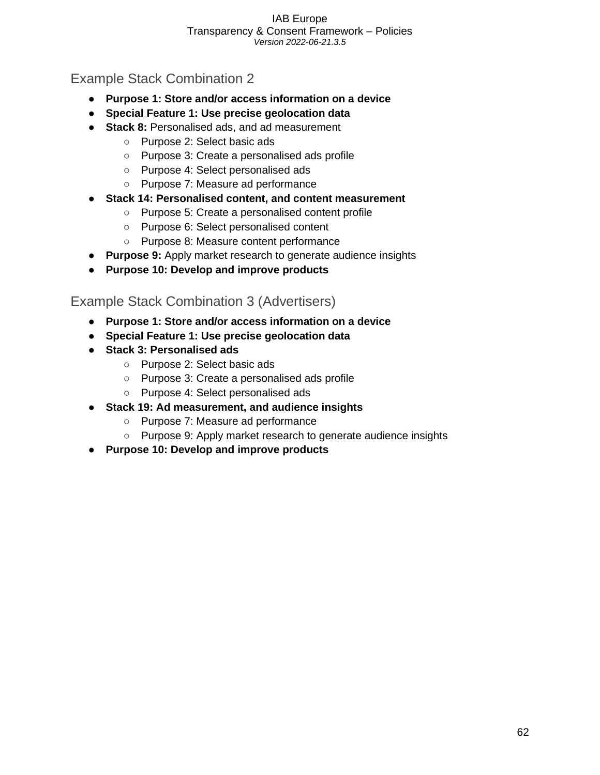### <span id="page-62-0"></span>Example Stack Combination 2

- **Purpose 1: Store and/or access information on a device**
- **Special Feature 1: Use precise geolocation data**
- **Stack 8:** Personalised ads, and ad measurement
	- Purpose 2: Select basic ads
	- Purpose 3: Create a personalised ads profile
	- Purpose 4: Select personalised ads
	- Purpose 7: Measure ad performance
- **Stack 14: Personalised content, and content measurement**
	- Purpose 5: Create a personalised content profile
	- Purpose 6: Select personalised content
	- Purpose 8: Measure content performance
- **Purpose 9:** Apply market research to generate audience insights
- **Purpose 10: Develop and improve products**

### <span id="page-62-1"></span>Example Stack Combination 3 (Advertisers)

- **Purpose 1: Store and/or access information on a device**
- **Special Feature 1: Use precise geolocation data**
- **Stack 3: Personalised ads**
	- Purpose 2: Select basic ads
	- Purpose 3: Create a personalised ads profile
	- Purpose 4: Select personalised ads
- **Stack 19: Ad measurement, and audience insights**
	- Purpose 7: Measure ad performance
	- Purpose 9: Apply market research to generate audience insights
- **Purpose 10: Develop and improve products**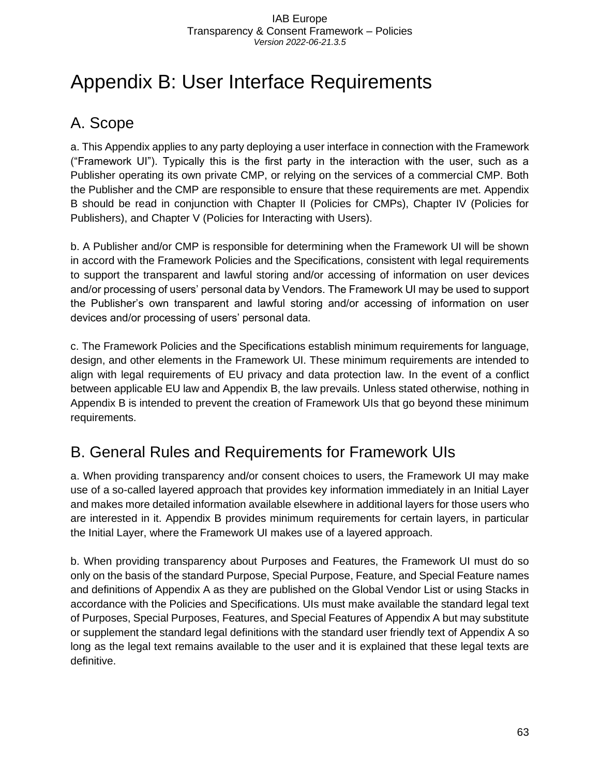## <span id="page-63-0"></span>Appendix B: User Interface Requirements

## <span id="page-63-1"></span>A. Scope

a. This Appendix applies to any party deploying a user interface in connection with the Framework ("Framework UI"). Typically this is the first party in the interaction with the user, such as a Publisher operating its own private CMP, or relying on the services of a commercial CMP. Both the Publisher and the CMP are responsible to ensure that these requirements are met. Appendix B should be read in conjunction with Chapter II (Policies for CMPs), Chapter IV (Policies for Publishers), and Chapter V (Policies for Interacting with Users).

b. A Publisher and/or CMP is responsible for determining when the Framework UI will be shown in accord with the Framework Policies and the Specifications, consistent with legal requirements to support the transparent and lawful storing and/or accessing of information on user devices and/or processing of users' personal data by Vendors. The Framework UI may be used to support the Publisher's own transparent and lawful storing and/or accessing of information on user devices and/or processing of users' personal data.

c. The Framework Policies and the Specifications establish minimum requirements for language, design, and other elements in the Framework UI. These minimum requirements are intended to align with legal requirements of EU privacy and data protection law. In the event of a conflict between applicable EU law and Appendix B, the law prevails. Unless stated otherwise, nothing in Appendix B is intended to prevent the creation of Framework UIs that go beyond these minimum requirements.

## <span id="page-63-2"></span>B. General Rules and Requirements for Framework UIs

a. When providing transparency and/or consent choices to users, the Framework UI may make use of a so-called layered approach that provides key information immediately in an Initial Layer and makes more detailed information available elsewhere in additional layers for those users who are interested in it. Appendix B provides minimum requirements for certain layers, in particular the Initial Layer, where the Framework UI makes use of a layered approach.

b. When providing transparency about Purposes and Features, the Framework UI must do so only on the basis of the standard Purpose, Special Purpose, Feature, and Special Feature names and definitions of Appendix A as they are published on the Global Vendor List or using Stacks in accordance with the Policies and Specifications. UIs must make available the standard legal text of Purposes, Special Purposes, Features, and Special Features of Appendix A but may substitute or supplement the standard legal definitions with the standard user friendly text of Appendix A so long as the legal text remains available to the user and it is explained that these legal texts are definitive.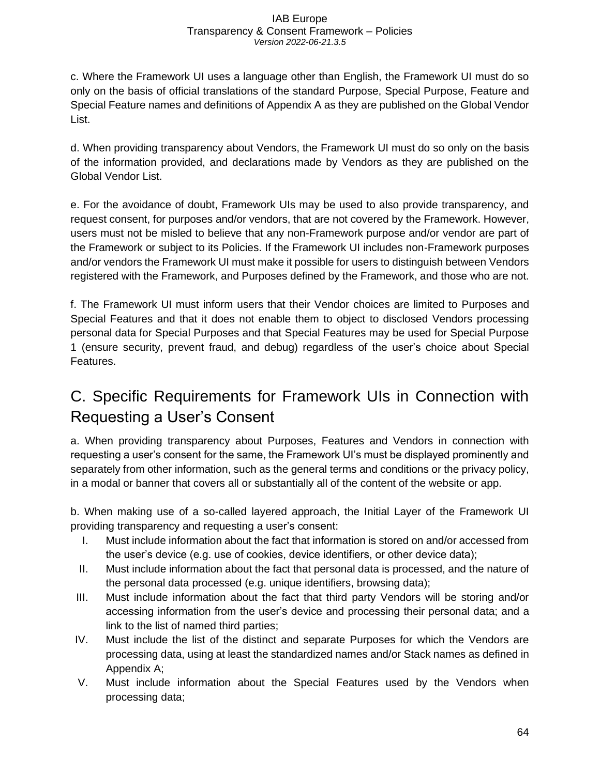c. Where the Framework UI uses a language other than English, the Framework UI must do so only on the basis of official translations of the standard Purpose, Special Purpose, Feature and Special Feature names and definitions of Appendix A as they are published on the Global Vendor List.

d. When providing transparency about Vendors, the Framework UI must do so only on the basis of the information provided, and declarations made by Vendors as they are published on the Global Vendor List.

e. For the avoidance of doubt, Framework UIs may be used to also provide transparency, and request consent, for purposes and/or vendors, that are not covered by the Framework. However, users must not be misled to believe that any non-Framework purpose and/or vendor are part of the Framework or subject to its Policies. If the Framework UI includes non-Framework purposes and/or vendors the Framework UI must make it possible for users to distinguish between Vendors registered with the Framework, and Purposes defined by the Framework, and those who are not.

f. The Framework UI must inform users that their Vendor choices are limited to Purposes and Special Features and that it does not enable them to object to disclosed Vendors processing personal data for Special Purposes and that Special Features may be used for Special Purpose 1 (ensure security, prevent fraud, and debug) regardless of the user's choice about Special Features.

## <span id="page-64-0"></span>C. Specific Requirements for Framework UIs in Connection with Requesting a User's Consent

a. When providing transparency about Purposes, Features and Vendors in connection with requesting a user's consent for the same, the Framework UI's must be displayed prominently and separately from other information, such as the general terms and conditions or the privacy policy, in a modal or banner that covers all or substantially all of the content of the website or app.

b. When making use of a so-called layered approach, the Initial Layer of the Framework UI providing transparency and requesting a user's consent:

- I. Must include information about the fact that information is stored on and/or accessed from the user's device (e.g. use of cookies, device identifiers, or other device data);
- II. Must include information about the fact that personal data is processed, and the nature of the personal data processed (e.g. unique identifiers, browsing data);
- III. Must include information about the fact that third party Vendors will be storing and/or accessing information from the user's device and processing their personal data; and a link to the list of named third parties;
- IV. Must include the list of the distinct and separate Purposes for which the Vendors are processing data, using at least the standardized names and/or Stack names as defined in Appendix A;
- V. Must include information about the Special Features used by the Vendors when processing data;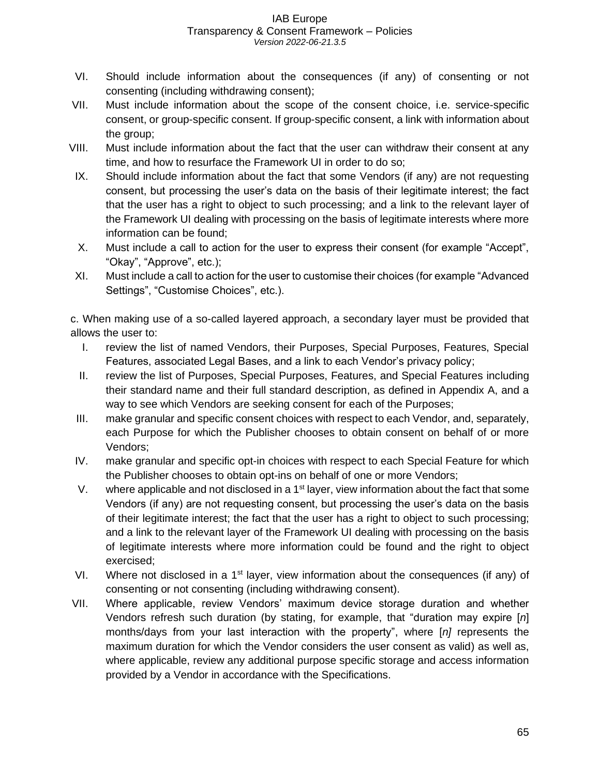- VI. Should include information about the consequences (if any) of consenting or not consenting (including withdrawing consent);
- VII. Must include information about the scope of the consent choice, i.e. service-specific consent, or group-specific consent. If group-specific consent, a link with information about the group;
- VIII. Must include information about the fact that the user can withdraw their consent at any time, and how to resurface the Framework UI in order to do so;
- IX. Should include information about the fact that some Vendors (if any) are not requesting consent, but processing the user's data on the basis of their legitimate interest; the fact that the user has a right to object to such processing; and a link to the relevant layer of the Framework UI dealing with processing on the basis of legitimate interests where more information can be found;
- X. Must include a call to action for the user to express their consent (for example "Accept", "Okay", "Approve", etc.);
- XI. Must include a call to action for the user to customise their choices (for example "Advanced Settings", "Customise Choices", etc.).

c. When making use of a so-called layered approach, a secondary layer must be provided that allows the user to:

- I. review the list of named Vendors, their Purposes, Special Purposes, Features, Special Features, associated Legal Bases, and a link to each Vendor's privacy policy;
- II. review the list of Purposes, Special Purposes, Features, and Special Features including their standard name and their full standard description, as defined in Appendix A, and a way to see which Vendors are seeking consent for each of the Purposes;
- III. make granular and specific consent choices with respect to each Vendor, and, separately, each Purpose for which the Publisher chooses to obtain consent on behalf of or more Vendors;
- IV. make granular and specific opt-in choices with respect to each Special Feature for which the Publisher chooses to obtain opt-ins on behalf of one or more Vendors;
- V. where applicable and not disclosed in a  $1<sup>st</sup>$  layer, view information about the fact that some Vendors (if any) are not requesting consent, but processing the user's data on the basis of their legitimate interest; the fact that the user has a right to object to such processing; and a link to the relevant layer of the Framework UI dealing with processing on the basis of legitimate interests where more information could be found and the right to object exercised;
- VI. Where not disclosed in a 1<sup>st</sup> layer, view information about the consequences (if any) of consenting or not consenting (including withdrawing consent).
- VII. Where applicable, review Vendors' maximum device storage duration and whether Vendors refresh such duration (by stating, for example, that "duration may expire [*n*] months/days from your last interaction with the property", where [*n]* represents the maximum duration for which the Vendor considers the user consent as valid) as well as, where applicable, review any additional purpose specific storage and access information provided by a Vendor in accordance with the Specifications.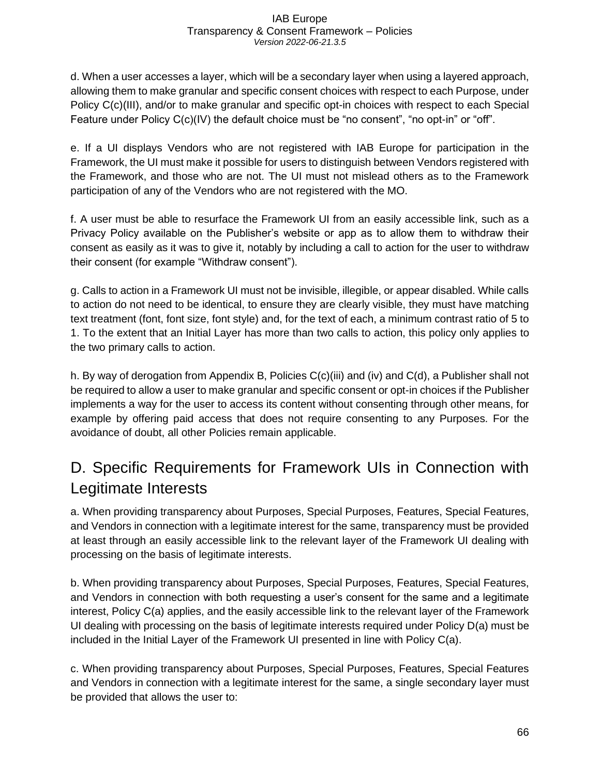d. When a user accesses a layer, which will be a secondary layer when using a layered approach, allowing them to make granular and specific consent choices with respect to each Purpose, under Policy C(c)(III), and/or to make granular and specific opt-in choices with respect to each Special Feature under Policy C(c)(IV) the default choice must be "no consent", "no opt-in" or "off".

e. If a UI displays Vendors who are not registered with IAB Europe for participation in the Framework, the UI must make it possible for users to distinguish between Vendors registered with the Framework, and those who are not. The UI must not mislead others as to the Framework participation of any of the Vendors who are not registered with the MO.

f. A user must be able to resurface the Framework UI from an easily accessible link, such as a Privacy Policy available on the Publisher's website or app as to allow them to withdraw their consent as easily as it was to give it, notably by including a call to action for the user to withdraw their consent (for example "Withdraw consent").

g. Calls to action in a Framework UI must not be invisible, illegible, or appear disabled. While calls to action do not need to be identical, to ensure they are clearly visible, they must have matching text treatment (font, font size, font style) and, for the text of each, a minimum contrast ratio of 5 to 1. To the extent that an Initial Layer has more than two calls to action, this policy only applies to the two primary calls to action.

h. By way of derogation from Appendix B, Policies C(c)(iii) and (iv) and C(d), a Publisher shall not be required to allow a user to make granular and specific consent or opt-in choices if the Publisher implements a way for the user to access its content without consenting through other means, for example by offering paid access that does not require consenting to any Purposes. For the avoidance of doubt, all other Policies remain applicable.

## <span id="page-66-0"></span>D. Specific Requirements for Framework UIs in Connection with Legitimate Interests

a. When providing transparency about Purposes, Special Purposes, Features, Special Features, and Vendors in connection with a legitimate interest for the same, transparency must be provided at least through an easily accessible link to the relevant layer of the Framework UI dealing with processing on the basis of legitimate interests.

b. When providing transparency about Purposes, Special Purposes, Features, Special Features, and Vendors in connection with both requesting a user's consent for the same and a legitimate interest, Policy C(a) applies, and the easily accessible link to the relevant layer of the Framework UI dealing with processing on the basis of legitimate interests required under Policy D(a) must be included in the Initial Layer of the Framework UI presented in line with Policy C(a).

c. When providing transparency about Purposes, Special Purposes, Features, Special Features and Vendors in connection with a legitimate interest for the same, a single secondary layer must be provided that allows the user to: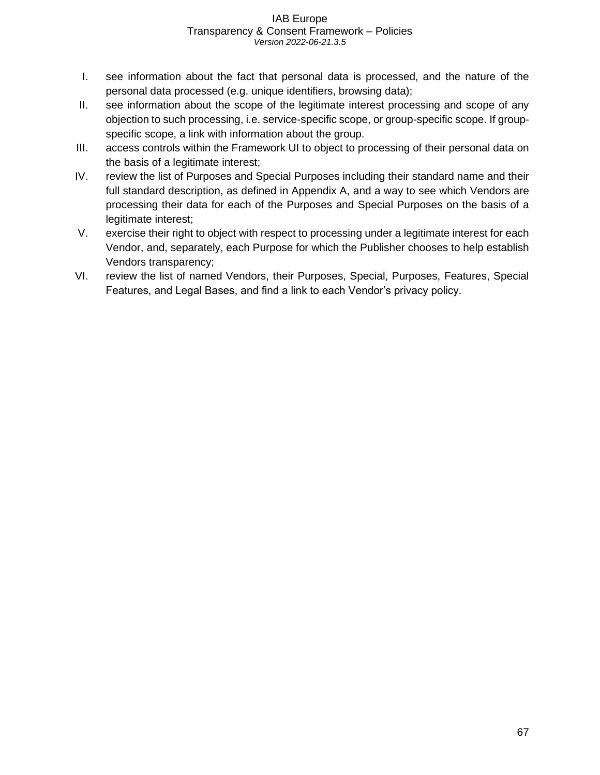- I. see information about the fact that personal data is processed, and the nature of the personal data processed (e.g. unique identifiers, browsing data);
- II. see information about the scope of the legitimate interest processing and scope of any objection to such processing, i.e. service-specific scope, or group-specific scope. If groupspecific scope, a link with information about the group.
- III. access controls within the Framework UI to object to processing of their personal data on the basis of a legitimate interest;
- IV. review the list of Purposes and Special Purposes including their standard name and their full standard description, as defined in Appendix A, and a way to see which Vendors are processing their data for each of the Purposes and Special Purposes on the basis of a legitimate interest;
- V. exercise their right to object with respect to processing under a legitimate interest for each Vendor, and, separately, each Purpose for which the Publisher chooses to help establish Vendors transparency;
- VI. review the list of named Vendors, their Purposes, Special, Purposes, Features, Special Features, and Legal Bases, and find a link to each Vendor's privacy policy.